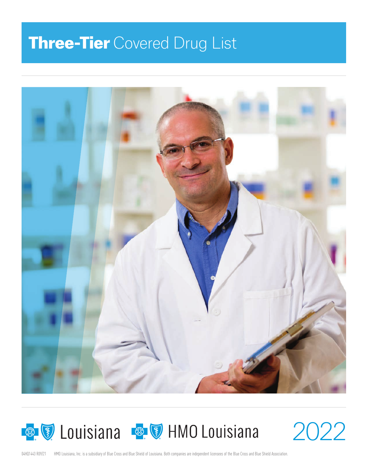# **Three-Tier** Covered Drug List





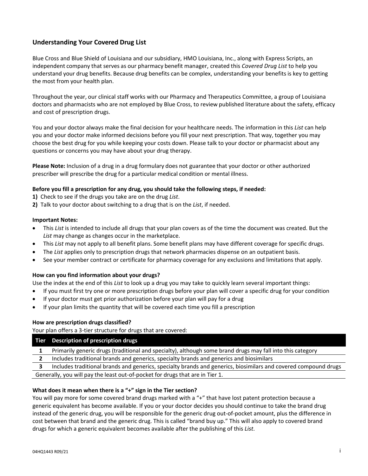# **Understanding Your Covered Drug List**

Blue Cross and Blue Shield of Louisiana and our subsidiary, HMO Louisiana, Inc., along with Express Scripts, an independent company that serves as our pharmacy benefit manager, created this *Covered Drug List* to help you understand your drug benefits. Because drug benefits can be complex, understanding your benefits is key to getting the most from your health plan.

Throughout the year, our clinical staff works with our Pharmacy and Therapeutics Committee, a group of Louisiana doctors and pharmacists who are not employed by Blue Cross, to review published literature about the safety, efficacy and cost of prescription drugs.

You and your doctor always make the final decision for your healthcare needs. The information in this *List* can help you and your doctor make informed decisions before you fill your next prescription. That way, together you may choose the best drug for you while keeping your costs down. Please talk to your doctor or pharmacist about any questions or concerns you may have about your drug therapy.

**Please Note:** Inclusion of a drug in a drug formulary does not guarantee that your doctor or other authorized prescriber will prescribe the drug for a particular medical condition or mental illness.

### **Before you fill a prescription for any drug, you should take the following steps, if needed:**

**1)** Check to see if the drugs you take are on the drug *List*.

**2)** Talk to your doctor about switching to a drug that is on the *List*, if needed.

#### **Important Notes:**

- This *List* is intended to include all drugs that your plan covers as of the time the document was created. But the *List* may change as changes occur in the marketplace.
- This *List* may not apply to all benefit plans. Some benefit plans may have different coverage for specific drugs.
- The *List* applies only to prescription drugs that network pharmacies dispense on an outpatient basis.
- See your member contract or certificate for pharmacy coverage for any exclusions and limitations that apply.

### **How can you find information about your drugs?**

Use the index at the end of this *List* to look up a drug you may take to quickly learn several important things:

- If you must first try one or more prescription drugs before your plan will cover a specific drug for your condition
- If your doctor must get prior authorization before your plan will pay for a drug
- If your plan limits the quantity that will be covered each time you fill a prescription

### **How are prescription drugs classified?**

Your plan offers a 3-tier structure for drugs that are covered:

### **Tier Description of prescription drugs**

- **1**  Primarily generic drugs (traditional and specialty), although some brand drugs may fall into this category
- **2**  Includes traditional brands and generics, specialty brands and generics and biosimilars

**3**  Includes traditional brands and generics, specialty brands and generics, biosimilars and covered compound drugs Generally, you will pay the least out‐of‐pocket for drugs that are in Tier 1.

### **What does it mean when there is a "+" sign in the Tier section?**

You will pay more for some covered brand drugs marked with a "+" that have lost patent protection because a generic equivalent has become available. If you or your doctor decides you should continue to take the brand drug instead of the generic drug, you will be responsible for the generic drug out‐of‐pocket amount, plus the difference in cost between that brand and the generic drug. This is called "brand buy up." This will also apply to covered brand drugs for which a generic equivalent becomes available after the publishing of this *List*.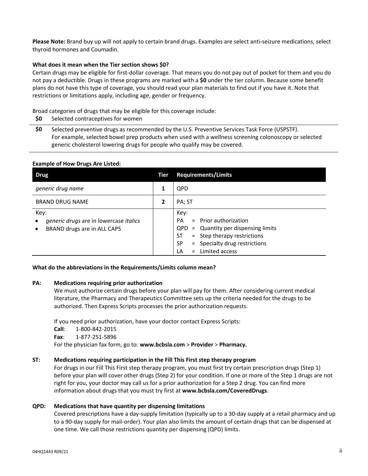**Please Note:** Brand buy up will not apply to certain brand drugs. Examples are select anti‐seizure medications, select thyroid hormones and Coumadin.

### **What does it mean when the Tier section shows \$0?**

Certain drugs may be eligible for first‐dollar coverage. That means you do not pay out of pocket for them and you do not pay a deductible. Drugs in these programs are marked with a **\$0** under the tier column. Because some benefit plans do not have this type of coverage, you should read your plan materials to find out if you have it. Note that restrictions or limitations apply, including age, gender or frequency.

Broad categories of drugs that may be eligible for this coverage include:

**\$0** Selected contraceptives for women

**\$0** Selected preventive drugs as recommended by the U.S. Preventive Services Task Force (USPSTF). For example, selected bowel prep products when used with a wellness screening colonoscopy or selected generic cholesterol lowering drugs for people who qualify may be covered.

| <b>Example of How Drugs Are Listed:</b> |  |
|-----------------------------------------|--|
|-----------------------------------------|--|

| <b>Drug</b>                                                                                             | Tier         | <b>Requirements/Limits</b>                                                                                                                                                                               |
|---------------------------------------------------------------------------------------------------------|--------------|----------------------------------------------------------------------------------------------------------------------------------------------------------------------------------------------------------|
| generic drug name                                                                                       |              | <b>OPD</b>                                                                                                                                                                                               |
| <b>BRAND DRUG NAME</b>                                                                                  | $\mathbf{2}$ | PA; ST                                                                                                                                                                                                   |
| Key:<br>generic drugs are in lowercase italics<br>$\bullet$<br>BRAND drugs are in ALL CAPS<br>$\bullet$ |              | Key:<br>$=$ Prior authorization<br><b>PA</b><br>$QPD =$ Quantity per dispensing limits<br>= Step therapy restrictions<br>ST<br>= Specialty drug restrictions<br><b>SP</b><br>Limited access<br>LA<br>$=$ |

**What do the abbreviations in the Requirements/Limits column mean?** 

#### **PA: Medications requiring prior authorization**

We must authorize certain drugs before your plan will pay for them. After considering current medical literature, the Pharmacy and Therapeutics Committee sets up the criteria needed for the drugs to be authorized. Then Express Scripts processes the prior authorization requests.

If you need prior authorization, have your doctor contact Express Scripts: **Call**: 1‐800‐842‐2015 **Fax**: 1‐877‐251‐5896 For the physician fax form, go to: **www.bcbsla.com** > **Provider** > **Pharmacy.**

#### **ST: Medications requiring participation in the Fill This First** *s***tep therapy program**

For drugs in our Fill This First step therapy program, you must first try certain prescription drugs (Step 1) before your plan will cover other drugs (Step 2) for your condition. If one or more of the Step 1 drugs are not right for you, your doctor may call us for a prior authorization for a Step 2 drug. You can find more information about drugs that you must try first at **www.bcbsla.com/CoveredDrugs**.

### **QPD: Medications that have quantity per dispensing limitations**

Covered prescriptions have a day‐supply limitation (typically up to a 30‐day supply at a retail pharmacy and up to a 90‐day supply for mail‐order). Your plan also limits the amount of certain drugs that can be dispensed at one time. We call those restrictions quantity per dispensing (QPD) limits.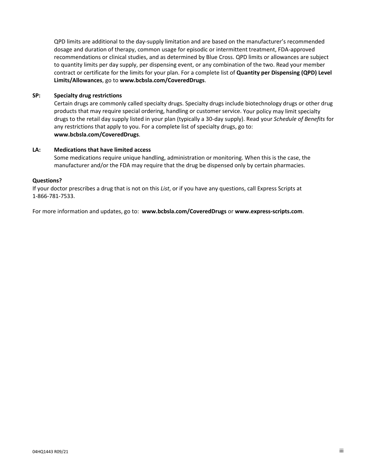QPD limits are additional to the day‐supply limitation and are based on the manufacturer's recommended dosage and duration of therapy, common usage for episodic or intermittent treatment, FDA‐approved recommendations or clinical studies, and as determined by Blue Cross. QPD limits or allowances are subject to quantity limits per day supply, per dispensing event, or any combination of the two. Read your member contract or certificate for the limits for your plan. For a complete list of **Quantity per Dispensing (QPD) Level Limits/Allowances**, go to **www.bcbsla.com/CoveredDrugs**.

## **SP: Specialty drug restrictions**

Certain drugs are commonly called specialty drugs. Specialty drugs include biotechnology drugs or other drug products that may require special ordering, handling or customer service. Your policy may limit specialty drugs to the retail day supply listed in your plan (typically a 30‐day supply). Read your *Schedule of Benefits* for any restrictions that apply to you. For a complete list of specialty drugs, go to: **www.bcbsla.com/CoveredDrugs**.

### **LA: Medications that have limited access**

Some medications require unique handling, administration or monitoring. When this is the case, the manufacturer and/or the FDA may require that the drug be dispensed only by certain pharmacies.

## **Questions?**

If your doctor prescribes a drug that is not on this *List*, or if you have any questions, call Express Scripts at 1‐866‐781‐7533.

For more information and updates, go to: **www.bcbsla.com/CoveredDrugs** or **www.express‐scripts.com**.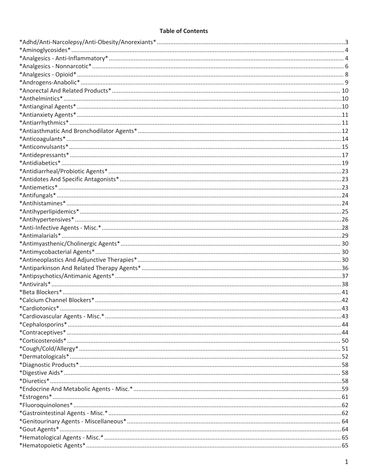# **Table of Contents**

| $*Contraceptives*44$ |  |
|----------------------|--|
|                      |  |
|                      |  |
|                      |  |
|                      |  |
|                      |  |
| $*Divretics*158$     |  |
|                      |  |
|                      |  |
|                      |  |
|                      |  |
|                      |  |
|                      |  |
|                      |  |
|                      |  |
|                      |  |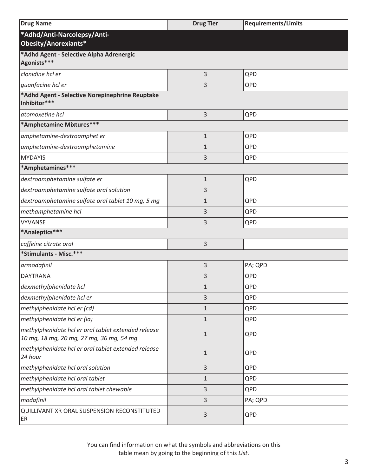<span id="page-6-0"></span>

| <b>Drug Name</b>                                                                                | <b>Drug Tier</b> | <b>Requirements/Limits</b> |
|-------------------------------------------------------------------------------------------------|------------------|----------------------------|
| *Adhd/Anti-Narcolepsy/Anti-<br>Obesity/Anorexiants*                                             |                  |                            |
| *Adhd Agent - Selective Alpha Adrenergic<br>Agonists***                                         |                  |                            |
| clonidine hcl er                                                                                | 3                | QPD                        |
| guanfacine hcl er                                                                               | 3                | QPD                        |
| *Adhd Agent - Selective Norepinephrine Reuptake<br>Inhibitor***                                 |                  |                            |
| atomoxetine hcl                                                                                 | 3                | QPD                        |
| *Amphetamine Mixtures***                                                                        |                  |                            |
| amphetamine-dextroamphet er                                                                     | 1                | QPD                        |
| amphetamine-dextroamphetamine                                                                   | $\mathbf 1$      | QPD                        |
| <b>MYDAYIS</b>                                                                                  | 3                | QPD                        |
| *Amphetamines***                                                                                |                  |                            |
| dextroamphetamine sulfate er                                                                    | 1                | QPD                        |
| dextroamphetamine sulfate oral solution                                                         | 3                |                            |
| dextroamphetamine sulfate oral tablet 10 mg, 5 mg                                               | 1                | QPD                        |
| methamphetamine hcl                                                                             | 3                | QPD                        |
| <b>VYVANSE</b>                                                                                  | 3                | QPD                        |
| *Analeptics***                                                                                  |                  |                            |
| caffeine citrate oral                                                                           | 3                |                            |
| *Stimulants - Misc.***                                                                          |                  |                            |
| armodafinil                                                                                     | 3                | PA; QPD                    |
| <b>DAYTRANA</b>                                                                                 | 3                | QPD                        |
| dexmethylphenidate hcl                                                                          | $\mathbf{1}$     | QPD                        |
| dexmethylphenidate hcl er                                                                       | 3                | QPD                        |
| methylphenidate hcl er (cd)                                                                     | $\mathbf{1}$     | QPD                        |
| methylphenidate hcl er (la)                                                                     | $\mathbf{1}$     | QPD                        |
| methylphenidate hcl er oral tablet extended release<br>10 mg, 18 mg, 20 mg, 27 mg, 36 mg, 54 mg | $\mathbf{1}$     | QPD                        |
| methylphenidate hcl er oral tablet extended release<br>24 hour                                  | $\mathbf{1}$     | QPD                        |
| methylphenidate hcl oral solution                                                               | 3                | QPD                        |
| methylphenidate hcl oral tablet                                                                 | $\mathbf 1$      | QPD                        |
| methylphenidate hcl oral tablet chewable                                                        | 3                | QPD                        |
| modafinil                                                                                       | 3                | PA; QPD                    |
| QUILLIVANT XR ORAL SUSPENSION RECONSTITUTED<br>ER                                               | 3                | QPD                        |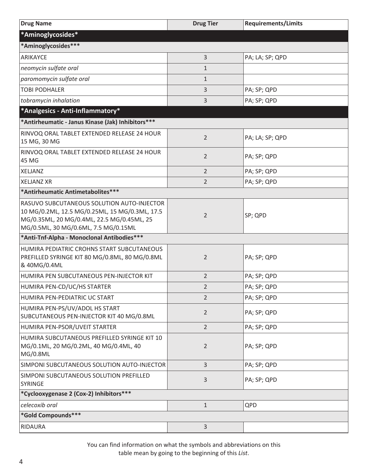<span id="page-7-0"></span>

| <b>Drug Name</b>                                                                                                                                                                   | <b>Drug Tier</b> | <b>Requirements/Limits</b> |
|------------------------------------------------------------------------------------------------------------------------------------------------------------------------------------|------------------|----------------------------|
| *Aminoglycosides*                                                                                                                                                                  |                  |                            |
| *Aminoglycosides***                                                                                                                                                                |                  |                            |
| ARIKAYCE                                                                                                                                                                           | 3                | PA; LA; SP; QPD            |
| neomycin sulfate oral                                                                                                                                                              | $\mathbf{1}$     |                            |
| paromomycin sulfate oral                                                                                                                                                           | $\mathbf{1}$     |                            |
| <b>TOBI PODHALER</b>                                                                                                                                                               | 3                | PA; SP; QPD                |
| tobramycin inhalation                                                                                                                                                              | 3                | PA; SP; QPD                |
| *Analgesics - Anti-Inflammatory*                                                                                                                                                   |                  |                            |
| *Antirheumatic - Janus Kinase (Jak) Inhibitors ***                                                                                                                                 |                  |                            |
| RINVOQ ORAL TABLET EXTENDED RELEASE 24 HOUR<br>15 MG, 30 MG                                                                                                                        | $\overline{2}$   | PA; LA; SP; QPD            |
| RINVOQ ORAL TABLET EXTENDED RELEASE 24 HOUR<br>45 MG                                                                                                                               | $\overline{2}$   | PA; SP; QPD                |
| <b>XELJANZ</b>                                                                                                                                                                     | $\overline{2}$   | PA; SP; QPD                |
| <b>XELJANZ XR</b>                                                                                                                                                                  | $\overline{2}$   | PA; SP; QPD                |
| *Antirheumatic Antimetabolites***                                                                                                                                                  |                  |                            |
| RASUVO SUBCUTANEOUS SOLUTION AUTO-INJECTOR<br>10 MG/0.2ML, 12.5 MG/0.25ML, 15 MG/0.3ML, 17.5<br>MG/0.35ML, 20 MG/0.4ML, 22.5 MG/0.45ML, 25<br>MG/0.5ML, 30 MG/0.6ML, 7.5 MG/0.15ML | $\overline{2}$   | SP; QPD                    |
| *Anti-Tnf-Alpha - Monoclonal Antibodies***                                                                                                                                         |                  |                            |
| HUMIRA PEDIATRIC CROHNS START SUBCUTANEOUS<br>PREFILLED SYRINGE KIT 80 MG/0.8ML, 80 MG/0.8ML<br>& 40MG/0.4ML                                                                       | $\overline{2}$   | PA; SP; QPD                |
| HUMIRA PEN SUBCUTANEOUS PEN-INJECTOR KIT                                                                                                                                           | $\overline{2}$   | PA; SP; QPD                |
| HUMIRA PEN-CD/UC/HS STARTER                                                                                                                                                        | $\overline{2}$   | PA; SP; QPD                |
| HUMIRA PEN-PEDIATRIC UC START                                                                                                                                                      | 2                | PA; SP; QPD                |
| HUMIRA PEN-PS/UV/ADOL HS START<br>SUBCUTANEOUS PEN-INJECTOR KIT 40 MG/0.8ML                                                                                                        | 2                | PA; SP; QPD                |
| HUMIRA PEN-PSOR/UVEIT STARTER                                                                                                                                                      | $\overline{2}$   | PA; SP; QPD                |
| HUMIRA SUBCUTANEOUS PREFILLED SYRINGE KIT 10<br>MG/0.1ML, 20 MG/0.2ML, 40 MG/0.4ML, 40<br>MG/0.8ML                                                                                 | $\overline{2}$   | PA; SP; QPD                |
| SIMPONI SUBCUTANEOUS SOLUTION AUTO-INJECTOR                                                                                                                                        | 3                | PA; SP; QPD                |
| SIMPONI SUBCUTANEOUS SOLUTION PREFILLED<br><b>SYRINGE</b>                                                                                                                          | 3                | PA; SP; QPD                |
| *Cyclooxygenase 2 (Cox-2) Inhibitors ***                                                                                                                                           |                  |                            |
| celecoxib oral                                                                                                                                                                     | $\mathbf{1}$     | QPD                        |
| *Gold Compounds***                                                                                                                                                                 |                  |                            |
| <b>RIDAURA</b>                                                                                                                                                                     | 3                |                            |

You can find information on what the symbols and abbreviations on this

table mean by going to the beginning of this *List*.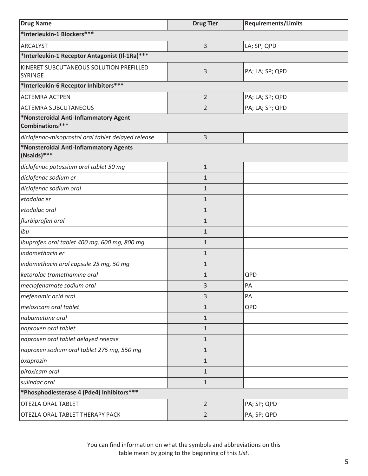| <b>Drug Name</b>                                          | <b>Drug Tier</b> | <b>Requirements/Limits</b> |
|-----------------------------------------------------------|------------------|----------------------------|
| *Interleukin-1 Blockers***                                |                  |                            |
| <b>ARCALYST</b>                                           | 3                | LA; SP; QPD                |
| *Interleukin-1 Receptor Antagonist (Il-1Ra) ***           |                  |                            |
| KINERET SUBCUTANEOUS SOLUTION PREFILLED<br><b>SYRINGE</b> | 3                | PA; LA; SP; QPD            |
| *Interleukin-6 Receptor Inhibitors ***                    |                  |                            |
| <b>ACTEMRA ACTPEN</b>                                     | $\overline{2}$   | PA; LA; SP; QPD            |
| <b>ACTEMRA SUBCUTANEOUS</b>                               | $\overline{2}$   | PA; LA; SP; QPD            |
| *Nonsteroidal Anti-Inflammatory Agent<br>Combinations***  |                  |                            |
| diclofenac-misoprostol oral tablet delayed release        | 3                |                            |
| *Nonsteroidal Anti-Inflammatory Agents<br>(Nsaids)***     |                  |                            |
| diclofenac potassium oral tablet 50 mg                    | $1\,$            |                            |
| diclofenac sodium er                                      | $1\,$            |                            |
| diclofenac sodium oral                                    | $\mathbf{1}$     |                            |
| etodolac er                                               | $\mathbf{1}$     |                            |
| etodolac oral                                             | $1\,$            |                            |
| flurbiprofen oral                                         | $1\,$            |                            |
| ibu                                                       | $\mathbf{1}$     |                            |
| ibuprofen oral tablet 400 mg, 600 mg, 800 mg              | $1\,$            |                            |
| indomethacin er                                           | $1\,$            |                            |
| indomethacin oral capsule 25 mg, 50 mg                    | $1\,$            |                            |
| ketorolac tromethamine oral                               | $\mathbf{1}$     | QPD                        |
| meclofenamate sodium oral                                 | 3                | PA                         |
| mefenamic acid oral                                       | 3                | PA                         |
| meloxicam oral tablet                                     | $\mathbf{1}$     | QPD                        |
| nabumetone oral                                           | $\mathbf{1}$     |                            |
| naproxen oral tablet                                      | $\mathbf{1}$     |                            |
| naproxen oral tablet delayed release                      | $\mathbf{1}$     |                            |
| naproxen sodium oral tablet 275 mg, 550 mg                | $\mathbf{1}$     |                            |
| oxaprozin                                                 | $1\,$            |                            |
| piroxicam oral                                            | $\mathbf{1}$     |                            |
| sulindac oral                                             | $1\,$            |                            |
| *Phosphodiesterase 4 (Pde4) Inhibitors ***                |                  |                            |
| <b>OTEZLA ORAL TABLET</b>                                 | $\overline{2}$   | PA; SP; QPD                |
| OTEZLA ORAL TABLET THERAPY PACK                           | $\overline{2}$   | PA; SP; QPD                |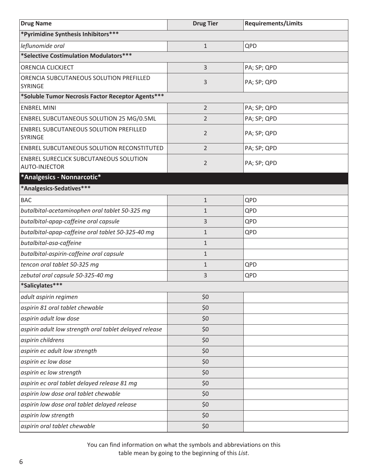<span id="page-9-0"></span>

| <b>Drug Name</b>                                               | <b>Drug Tier</b> | <b>Requirements/Limits</b> |
|----------------------------------------------------------------|------------------|----------------------------|
| *Pyrimidine Synthesis Inhibitors***                            |                  |                            |
| leflunomide oral                                               | $\mathbf{1}$     | QPD                        |
| *Selective Costimulation Modulators***                         |                  |                            |
| ORENCIA CLICKJECT                                              | 3                | PA; SP; QPD                |
| ORENCIA SUBCUTANEOUS SOLUTION PREFILLED<br><b>SYRINGE</b>      | 3                | PA; SP; QPD                |
| *Soluble Tumor Necrosis Factor Receptor Agents***              |                  |                            |
| <b>ENBREL MINI</b>                                             | $\overline{2}$   | PA; SP; QPD                |
| ENBREL SUBCUTANEOUS SOLUTION 25 MG/0.5ML                       | 2                | PA; SP; QPD                |
| ENBREL SUBCUTANEOUS SOLUTION PREFILLED<br><b>SYRINGE</b>       | 2                | PA; SP; QPD                |
| ENBREL SUBCUTANEOUS SOLUTION RECONSTITUTED                     | $\overline{2}$   | PA; SP; QPD                |
| ENBREL SURECLICK SUBCUTANEOUS SOLUTION<br><b>AUTO-INJECTOR</b> | $\overline{2}$   | PA; SP; QPD                |
| *Analgesics - Nonnarcotic*                                     |                  |                            |
| *Analgesics-Sedatives***                                       |                  |                            |
| <b>BAC</b>                                                     | $\mathbf{1}$     | QPD                        |
| butalbital-acetaminophen oral tablet 50-325 mg                 | $\mathbf 1$      | QPD                        |
| butalbital-apap-caffeine oral capsule                          | 3                | QPD                        |
| butalbital-apap-caffeine oral tablet 50-325-40 mg              | $\mathbf{1}$     | QPD                        |
| butalbital-asa-caffeine                                        | $\mathbf{1}$     |                            |
| butalbital-aspirin-caffeine oral capsule                       | $\mathbf{1}$     |                            |
| tencon oral tablet 50-325 mg                                   | $\mathbf{1}$     | QPD                        |
| zebutal oral capsule 50-325-40 mg                              | 3                | QPD                        |
| *Salicylates***                                                |                  |                            |
| adult aspirin regimen                                          | \$0              |                            |
| aspirin 81 oral tablet chewable                                | \$0              |                            |
| aspirin adult low dose                                         | \$0              |                            |
| aspirin adult low strength oral tablet delayed release         | \$0              |                            |
| aspirin childrens                                              | \$0              |                            |
| aspirin ec adult low strength                                  | \$0              |                            |
| aspirin ec low dose                                            | \$0              |                            |
| aspirin ec low strength                                        | \$0              |                            |
| aspirin ec oral tablet delayed release 81 mg                   | \$0              |                            |
| aspirin low dose oral tablet chewable                          | \$0              |                            |
| aspirin low dose oral tablet delayed release                   | \$0              |                            |
| aspirin low strength                                           | \$0              |                            |
| aspirin oral tablet chewable                                   | \$0              |                            |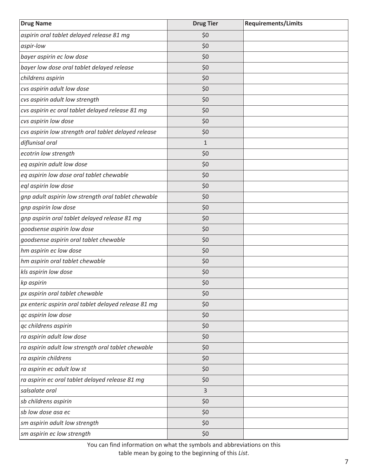| <b>Drug Name</b>                                     | <b>Drug Tier</b> | <b>Requirements/Limits</b> |
|------------------------------------------------------|------------------|----------------------------|
| aspirin oral tablet delayed release 81 mg            | \$0              |                            |
| aspir-low                                            | \$0              |                            |
| bayer aspirin ec low dose                            | \$0              |                            |
| bayer low dose oral tablet delayed release           | \$0              |                            |
| childrens aspirin                                    | \$0              |                            |
| cvs aspirin adult low dose                           | \$0              |                            |
| cvs aspirin adult low strength                       | \$0              |                            |
| cvs aspirin ec oral tablet delayed release 81 mg     | \$0              |                            |
| cvs aspirin low dose                                 | \$0              |                            |
| cvs aspirin low strength oral tablet delayed release | \$0              |                            |
| diflunisal oral                                      | $\mathbf{1}$     |                            |
| ecotrin low strength                                 | \$0              |                            |
| eq aspirin adult low dose                            | \$0              |                            |
| eq aspirin low dose oral tablet chewable             | \$0              |                            |
| eql aspirin low dose                                 | \$0              |                            |
| gnp adult aspirin low strength oral tablet chewable  | \$0              |                            |
| gnp aspirin low dose                                 | \$0              |                            |
| gnp aspirin oral tablet delayed release 81 mg        | \$0              |                            |
| goodsense aspirin low dose                           | \$0              |                            |
| goodsense aspirin oral tablet chewable               | \$0              |                            |
| hm aspirin ec low dose                               | \$0              |                            |
| hm aspirin oral tablet chewable                      | \$0              |                            |
| kls aspirin low dose                                 | \$0              |                            |
| kp aspirin                                           | \$0              |                            |
| px aspirin oral tablet chewable                      | \$0              |                            |
| px enteric aspirin oral tablet delayed release 81 mg | \$0              |                            |
| qc aspirin low dose                                  | \$0              |                            |
| qc childrens aspirin                                 | \$0              |                            |
| ra aspirin adult low dose                            | \$0              |                            |
| ra aspirin adult low strength oral tablet chewable   | \$0              |                            |
| ra aspirin childrens                                 | \$0              |                            |
| ra aspirin ec adult low st                           | \$0              |                            |
| ra aspirin ec oral tablet delayed release 81 mg      | \$0              |                            |
| salsalate oral                                       | 3                |                            |
| sb childrens aspirin                                 | \$0              |                            |
| sb low dose asa ec                                   | \$0              |                            |
| sm aspirin adult low strength                        | \$0              |                            |
| sm aspirin ec low strength                           | \$0              |                            |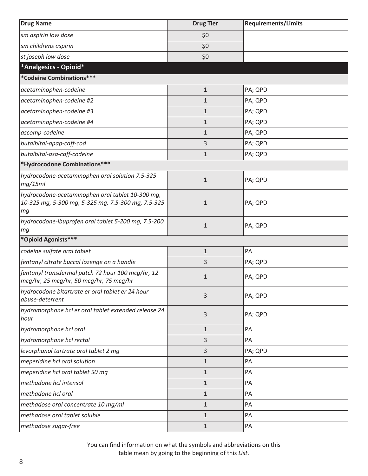<span id="page-11-0"></span>

| <b>Drug Name</b>                                                                                             | <b>Drug Tier</b> | <b>Requirements/Limits</b> |
|--------------------------------------------------------------------------------------------------------------|------------------|----------------------------|
| sm aspirin low dose                                                                                          | \$0              |                            |
| sm childrens aspirin                                                                                         | \$0              |                            |
| st joseph low dose                                                                                           | \$0              |                            |
| *Analgesics - Opioid*                                                                                        |                  |                            |
| *Codeine Combinations***                                                                                     |                  |                            |
| acetaminophen-codeine                                                                                        | $\mathbf{1}$     | PA; QPD                    |
| acetaminophen-codeine #2                                                                                     | $\mathbf{1}$     | PA; QPD                    |
| acetaminophen-codeine #3                                                                                     | $\mathbf{1}$     | PA; QPD                    |
| acetaminophen-codeine #4                                                                                     | $\mathbf{1}$     | PA; QPD                    |
| ascomp-codeine                                                                                               | $\mathbf{1}$     | PA; QPD                    |
| butalbital-apap-caff-cod                                                                                     | 3                | PA; QPD                    |
| butalbital-asa-caff-codeine                                                                                  | $\mathbf{1}$     | PA; QPD                    |
| *Hydrocodone Combinations***                                                                                 |                  |                            |
| hydrocodone-acetaminophen oral solution 7.5-325<br>mg/15ml                                                   | $\mathbf 1$      | PA; QPD                    |
| hydrocodone-acetaminophen oral tablet 10-300 mg,<br>10-325 mg, 5-300 mg, 5-325 mg, 7.5-300 mg, 7.5-325<br>mq | $\mathbf{1}$     | PA; QPD                    |
| hydrocodone-ibuprofen oral tablet 5-200 mg, 7.5-200<br>mg                                                    | $\mathbf 1$      | PA; QPD                    |
| *Opioid Agonists***                                                                                          |                  |                            |
| codeine sulfate oral tablet                                                                                  | $\mathbf{1}$     | PA                         |
| fentanyl citrate buccal lozenge on a handle                                                                  | 3                | PA; QPD                    |
| fentanyl transdermal patch 72 hour 100 mcg/hr, 12<br>mcg/hr, 25 mcg/hr, 50 mcg/hr, 75 mcg/hr                 | $\mathbf{1}$     | PA; QPD                    |
| hydrocodone bitartrate er oral tablet er 24 hour<br>abuse-deterrent                                          | 3                | PA; QPD                    |
| hydromorphone hcl er oral tablet extended release 24<br>hour                                                 | 3                | PA; QPD                    |
| hydromorphone hcl oral                                                                                       | $\mathbf{1}$     | PA                         |
| hydromorphone hcl rectal                                                                                     | 3                | PA                         |
| levorphanol tartrate oral tablet 2 mg                                                                        | 3                | PA; QPD                    |
| meperidine hcl oral solution                                                                                 | $\mathbf{1}$     | PA                         |
| meperidine hcl oral tablet 50 mg                                                                             | $\mathbf{1}$     | PA                         |
| methadone hcl intensol                                                                                       | $\mathbf{1}$     | PA                         |
| methadone hcl oral                                                                                           | $\mathbf{1}$     | PA                         |
| methadose oral concentrate 10 mg/ml                                                                          | $\mathbf{1}$     | PA                         |
| methadose oral tablet soluble                                                                                | $\mathbf{1}$     | PA                         |
| methadose sugar-free                                                                                         | $\mathbf{1}$     | PA                         |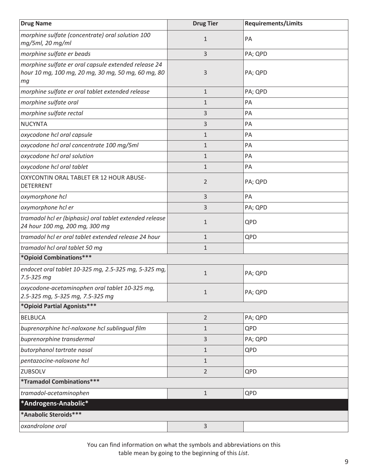<span id="page-12-0"></span>

| <b>Drug Name</b>                                                                                                 | <b>Drug Tier</b> | <b>Requirements/Limits</b> |
|------------------------------------------------------------------------------------------------------------------|------------------|----------------------------|
| morphine sulfate (concentrate) oral solution 100<br>mg/5ml, 20 mg/ml                                             | $\mathbf{1}$     | PA                         |
| morphine sulfate er beads                                                                                        | 3                | PA; QPD                    |
| morphine sulfate er oral capsule extended release 24<br>hour 10 mg, 100 mg, 20 mg, 30 mg, 50 mg, 60 mg, 80<br>mg | 3                | PA; QPD                    |
| morphine sulfate er oral tablet extended release                                                                 | $\mathbf{1}$     | PA; QPD                    |
| morphine sulfate oral                                                                                            | 1                | PA                         |
| morphine sulfate rectal                                                                                          | 3                | PA                         |
| <b>NUCYNTA</b>                                                                                                   | 3                | PA                         |
| oxycodone hcl oral capsule                                                                                       | $\mathbf{1}$     | PA                         |
| oxycodone hcl oral concentrate 100 mg/5ml                                                                        | $\mathbf{1}$     | PA                         |
| oxycodone hcl oral solution                                                                                      | $\mathbf{1}$     | PA                         |
| oxycodone hcl oral tablet                                                                                        | $\mathbf{1}$     | PA                         |
| OXYCONTIN ORAL TABLET ER 12 HOUR ABUSE-<br><b>DETERRENT</b>                                                      | 2                | PA; QPD                    |
| oxymorphone hcl                                                                                                  | 3                | PA                         |
| oxymorphone hcl er                                                                                               | 3                | PA; QPD                    |
| tramadol hcl er (biphasic) oral tablet extended release<br>24 hour 100 mg, 200 mg, 300 mg                        | $\mathbf{1}$     | QPD                        |
| tramadol hcl er oral tablet extended release 24 hour                                                             | $\mathbf{1}$     | QPD                        |
| tramadol hcl oral tablet 50 mg                                                                                   | $\mathbf{1}$     |                            |
| *Opioid Combinations***                                                                                          |                  |                            |
| endocet oral tablet 10-325 mg, 2.5-325 mg, 5-325 mg,<br>7.5-325 mg                                               | $\mathbf{1}$     | PA; QPD                    |
| oxycodone-acetaminophen oral tablet 10-325 mg,<br>2.5-325 mg, 5-325 mg, 7.5-325 mg                               | $\mathbf{1}$     | PA; QPD                    |
| *Opioid Partial Agonists***                                                                                      |                  |                            |
| <b>BELBUCA</b>                                                                                                   | $\overline{2}$   | PA; QPD                    |
| buprenorphine hcl-naloxone hcl sublingual film                                                                   | $\mathbf{1}$     | QPD                        |
| buprenorphine transdermal                                                                                        | 3                | PA; QPD                    |
| butorphanol tartrate nasal                                                                                       | $\mathbf{1}$     | QPD                        |
| pentazocine-naloxone hcl                                                                                         | $\mathbf{1}$     |                            |
| ZUBSOLV                                                                                                          | 2                | QPD                        |
| *Tramadol Combinations***                                                                                        |                  |                            |
| tramadol-acetaminophen                                                                                           | $\mathbf{1}$     | QPD                        |
| *Androgens-Anabolic*                                                                                             |                  |                            |
| *Anabolic Steroids***                                                                                            |                  |                            |
| oxandrolone oral                                                                                                 | 3                |                            |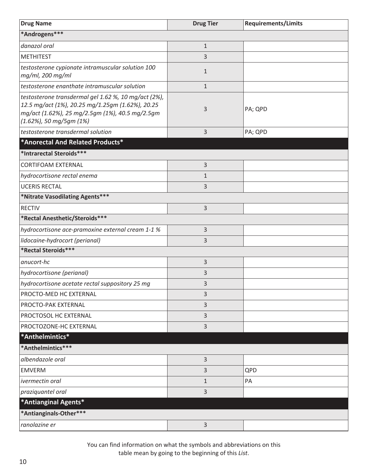<span id="page-13-0"></span>

| <b>Drug Name</b>                                                                                                                                                                       | <b>Drug Tier</b> | <b>Requirements/Limits</b> |
|----------------------------------------------------------------------------------------------------------------------------------------------------------------------------------------|------------------|----------------------------|
| *Androgens***                                                                                                                                                                          |                  |                            |
| danazol oral                                                                                                                                                                           | $\mathbf{1}$     |                            |
| <b>METHITEST</b>                                                                                                                                                                       | 3                |                            |
| testosterone cypionate intramuscular solution 100<br>mg/ml, 200 mg/ml                                                                                                                  | $\mathbf{1}$     |                            |
| testosterone enanthate intramuscular solution                                                                                                                                          | $\mathbf{1}$     |                            |
| testosterone transdermal gel 1.62 %, 10 mg/act (2%),<br>12.5 mg/act (1%), 20.25 mg/1.25gm (1.62%), 20.25<br>mg/act (1.62%), 25 mg/2.5gm (1%), 40.5 mg/2.5gm<br>(1.62%), 50 mg/5gm (1%) | 3                | PA; QPD                    |
| testosterone transdermal solution                                                                                                                                                      | 3                | PA; QPD                    |
| *Anorectal And Related Products*                                                                                                                                                       |                  |                            |
| *Intrarectal Steroids***                                                                                                                                                               |                  |                            |
| <b>CORTIFOAM EXTERNAL</b>                                                                                                                                                              | 3                |                            |
| hydrocortisone rectal enema                                                                                                                                                            | 1                |                            |
| <b>UCERIS RECTAL</b>                                                                                                                                                                   | 3                |                            |
| *Nitrate Vasodilating Agents***                                                                                                                                                        |                  |                            |
| <b>RECTIV</b>                                                                                                                                                                          | 3                |                            |
| *Rectal Anesthetic/Steroids***                                                                                                                                                         |                  |                            |
| hydrocortisone ace-pramoxine external cream 1-1 %                                                                                                                                      | 3                |                            |
| lidocaine-hydrocort (perianal)                                                                                                                                                         | 3                |                            |
| *Rectal Steroids***                                                                                                                                                                    |                  |                            |
| anucort-hc                                                                                                                                                                             | 3                |                            |
| hydrocortisone (perianal)                                                                                                                                                              | 3                |                            |
| hydrocortisone acetate rectal suppository 25 mg                                                                                                                                        | 3                |                            |
| PROCTO-MED HC EXTERNAL                                                                                                                                                                 | 3                |                            |
| PROCTO-PAK EXTERNAL                                                                                                                                                                    | 3                |                            |
| PROCTOSOL HC EXTERNAL                                                                                                                                                                  | 3                |                            |
| PROCTOZONE-HC EXTERNAL                                                                                                                                                                 | 3                |                            |
| *Anthelmintics*                                                                                                                                                                        |                  |                            |
| *Anthelmintics***                                                                                                                                                                      |                  |                            |
| albendazole oral                                                                                                                                                                       | 3                |                            |
| <b>EMVERM</b>                                                                                                                                                                          | 3                | QPD                        |
| ivermectin oral                                                                                                                                                                        | 1                | PA                         |
| praziquantel oral                                                                                                                                                                      | 3                |                            |
| *Antianginal Agents*                                                                                                                                                                   |                  |                            |
| *Antianginals-Other***                                                                                                                                                                 |                  |                            |
| ranolazine er                                                                                                                                                                          | 3                |                            |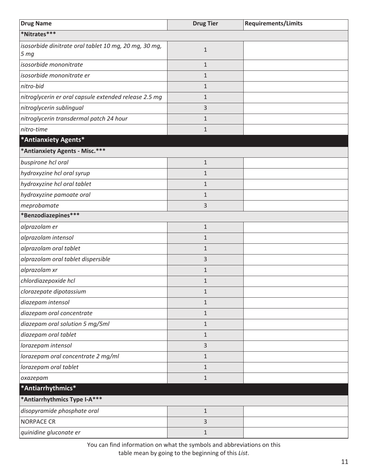<span id="page-14-0"></span>

| <b>Drug Name</b>                                                         | <b>Drug Tier</b> | <b>Requirements/Limits</b> |
|--------------------------------------------------------------------------|------------------|----------------------------|
| *Nitrates***                                                             |                  |                            |
| isosorbide dinitrate oral tablet 10 mg, 20 mg, 30 mg,<br>5 <sub>mg</sub> | $\mathbf{1}$     |                            |
| isosorbide mononitrate                                                   | $\mathbf{1}$     |                            |
| isosorbide mononitrate er                                                | $\mathbf{1}$     |                            |
| nitro-bid                                                                | $\mathbf{1}$     |                            |
| nitroglycerin er oral capsule extended release 2.5 mg                    | $\mathbf{1}$     |                            |
| nitroglycerin sublingual                                                 | 3                |                            |
| nitroglycerin transdermal patch 24 hour                                  | 1                |                            |
| nitro-time                                                               | $\mathbf{1}$     |                            |
| *Antianxiety Agents*                                                     |                  |                            |
| *Antianxiety Agents - Misc.***                                           |                  |                            |
| buspirone hcl oral                                                       | $\mathbf{1}$     |                            |
| hydroxyzine hcl oral syrup                                               | 1                |                            |
| hydroxyzine hcl oral tablet                                              | $\mathbf{1}$     |                            |
| hydroxyzine pamoate oral                                                 | $\mathbf{1}$     |                            |
| meprobamate                                                              | 3                |                            |
| *Benzodiazepines***                                                      |                  |                            |
| alprazolam er                                                            | $\mathbf{1}$     |                            |
| alprazolam intensol                                                      | $\mathbf{1}$     |                            |
| alprazolam oral tablet                                                   | $\mathbf{1}$     |                            |
| alprazolam oral tablet dispersible                                       | 3                |                            |
| alprazolam xr                                                            | $\mathbf{1}$     |                            |
| chlordiazepoxide hcl                                                     | $\mathbf{1}$     |                            |
| clorazepate dipotassium                                                  | $\mathbf{1}$     |                            |
| diazepam intensol                                                        | $\mathbf{1}$     |                            |
| diazepam oral concentrate                                                | $\mathbf{1}$     |                            |
| diazepam oral solution 5 mg/5ml                                          | $\mathbf{1}$     |                            |
| diazepam oral tablet                                                     | $\mathbf{1}$     |                            |
| lorazepam intensol                                                       | 3                |                            |
| lorazepam oral concentrate 2 mg/ml                                       | $\mathbf{1}$     |                            |
| lorazepam oral tablet                                                    | $\mathbf{1}$     |                            |
| oxazepam                                                                 | $\mathbf{1}$     |                            |
| *Antiarrhythmics*                                                        |                  |                            |
| *Antiarrhythmics Type I-A***                                             |                  |                            |
| disopyramide phosphate oral                                              | $1\,$            |                            |
| <b>NORPACE CR</b>                                                        | 3                |                            |
| quinidine gluconate er                                                   | $\mathbf{1}$     |                            |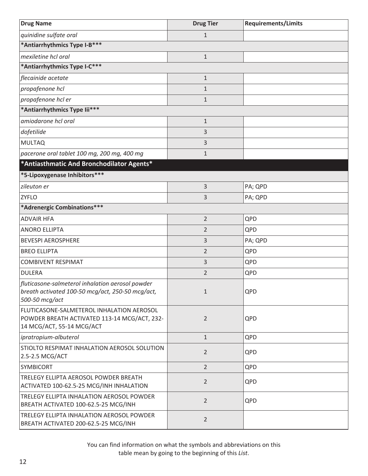<span id="page-15-0"></span>

| <b>Drug Name</b>                                                                                                       | <b>Drug Tier</b> | <b>Requirements/Limits</b> |
|------------------------------------------------------------------------------------------------------------------------|------------------|----------------------------|
| quinidine sulfate oral                                                                                                 | $\mathbf{1}$     |                            |
| *Antiarrhythmics Type I-B***                                                                                           |                  |                            |
| mexiletine hcl oral                                                                                                    | $1\,$            |                            |
| *Antiarrhythmics Type I-C***                                                                                           |                  |                            |
| flecainide acetate                                                                                                     | $1\,$            |                            |
| propafenone hcl                                                                                                        | $\mathbf{1}$     |                            |
| propafenone hcl er                                                                                                     | $\mathbf{1}$     |                            |
| *Antiarrhythmics Type lii***                                                                                           |                  |                            |
| amiodarone hcl oral                                                                                                    | $\mathbf 1$      |                            |
| dofetilide                                                                                                             | 3                |                            |
| <b>MULTAQ</b>                                                                                                          | $\mathsf{3}$     |                            |
| pacerone oral tablet 100 mg, 200 mg, 400 mg                                                                            | $\mathbf{1}$     |                            |
| *Antiasthmatic And Bronchodilator Agents*                                                                              |                  |                            |
| *5-Lipoxygenase Inhibitors***                                                                                          |                  |                            |
| zileuton er                                                                                                            | $\mathsf{3}$     | PA; QPD                    |
| <b>ZYFLO</b>                                                                                                           | 3                | PA; QPD                    |
| *Adrenergic Combinations***                                                                                            |                  |                            |
| <b>ADVAIR HFA</b>                                                                                                      | $\overline{2}$   | QPD                        |
| <b>ANORO ELLIPTA</b>                                                                                                   | $\overline{2}$   | QPD                        |
| <b>BEVESPI AEROSPHERE</b>                                                                                              | 3                | PA; QPD                    |
| <b>BREO ELLIPTA</b>                                                                                                    | $\overline{2}$   | QPD                        |
| <b>COMBIVENT RESPIMAT</b>                                                                                              | 3                | QPD                        |
| <b>DULERA</b>                                                                                                          | $\overline{2}$   | QPD                        |
| fluticasone-salmeterol inhalation aerosol powder<br>breath activated 100-50 mcg/act, 250-50 mcg/act,<br>500-50 mcg/act | $\mathbf{1}$     | QPD                        |
| FLUTICASONE-SALMETEROL INHALATION AEROSOL<br>POWDER BREATH ACTIVATED 113-14 MCG/ACT, 232-<br>14 MCG/ACT, 55-14 MCG/ACT | $\overline{2}$   | QPD                        |
| ipratropium-albuterol                                                                                                  | $\mathbf{1}$     | QPD                        |
| STIOLTO RESPIMAT INHALATION AEROSOL SOLUTION<br>2.5-2.5 MCG/ACT                                                        | $\overline{2}$   | QPD                        |
| <b>SYMBICORT</b>                                                                                                       | $\overline{2}$   | QPD                        |
| TRELEGY ELLIPTA AEROSOL POWDER BREATH<br>ACTIVATED 100-62.5-25 MCG/INH INHALATION                                      | $\overline{2}$   | QPD                        |
| TRELEGY ELLIPTA INHALATION AEROSOL POWDER<br>BREATH ACTIVATED 100-62.5-25 MCG/INH                                      | $\overline{2}$   | QPD                        |
| TRELEGY ELLIPTA INHALATION AEROSOL POWDER<br>BREATH ACTIVATED 200-62.5-25 MCG/INH                                      | $\overline{2}$   |                            |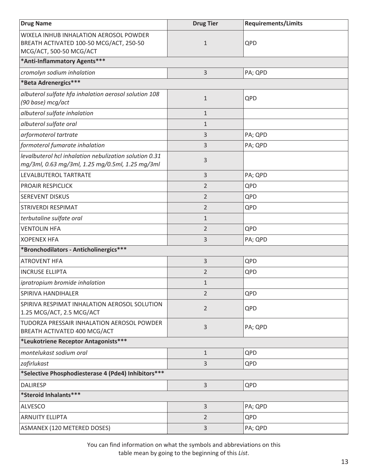| <b>Drug Name</b>                                                                                             | <b>Drug Tier</b> | <b>Requirements/Limits</b> |
|--------------------------------------------------------------------------------------------------------------|------------------|----------------------------|
| WIXELA INHUB INHALATION AEROSOL POWDER<br>BREATH ACTIVATED 100-50 MCG/ACT, 250-50<br>MCG/ACT, 500-50 MCG/ACT | $\mathbf{1}$     | QPD                        |
| *Anti-Inflammatory Agents***                                                                                 |                  |                            |
| cromolyn sodium inhalation                                                                                   | 3                | PA; QPD                    |
| *Beta Adrenergics***                                                                                         |                  |                            |
| albuterol sulfate hfa inhalation aerosol solution 108<br>(90 base) mcg/act                                   | $\mathbf 1$      | QPD                        |
| albuterol sulfate inhalation                                                                                 | $\mathbf{1}$     |                            |
| albuterol sulfate oral                                                                                       | $\mathbf{1}$     |                            |
| arformoterol tartrate                                                                                        | 3                | PA; QPD                    |
| formoterol fumarate inhalation                                                                               | 3                | PA; QPD                    |
| levalbuterol hcl inhalation nebulization solution 0.31<br>mg/3ml, 0.63 mg/3ml, 1.25 mg/0.5ml, 1.25 mg/3ml    | 3                |                            |
| LEVALBUTEROL TARTRATE                                                                                        | 3                | PA; QPD                    |
| <b>PROAIR RESPICLICK</b>                                                                                     | $\overline{2}$   | QPD                        |
| <b>SEREVENT DISKUS</b>                                                                                       | $\overline{2}$   | QPD                        |
| <b>STRIVERDI RESPIMAT</b>                                                                                    | $\overline{2}$   | QPD                        |
| terbutaline sulfate oral                                                                                     | $\mathbf{1}$     |                            |
| <b>VENTOLIN HFA</b>                                                                                          | $\overline{2}$   | QPD                        |
| <b>XOPENEX HFA</b>                                                                                           | 3                | PA; QPD                    |
| *Bronchodilators - Anticholinergics***                                                                       |                  |                            |
| <b>ATROVENT HFA</b>                                                                                          | 3                | QPD                        |
| <b>INCRUSE ELLIPTA</b>                                                                                       | $\overline{2}$   | QPD                        |
| ipratropium bromide inhalation                                                                               | $\mathbf{1}$     |                            |
| SPIRIVA HANDIHALER                                                                                           | $\overline{2}$   | QPD                        |
| SPIRIVA RESPIMAT INHALATION AEROSOL SOLUTION<br>1.25 MCG/ACT, 2.5 MCG/ACT                                    | $\overline{2}$   | QPD                        |
| TUDORZA PRESSAIR INHALATION AEROSOL POWDER<br>BREATH ACTIVATED 400 MCG/ACT                                   | 3                | PA; QPD                    |
| *Leukotriene Receptor Antagonists***                                                                         |                  |                            |
| montelukast sodium oral                                                                                      | $\mathbf{1}$     | QPD                        |
| zafirlukast                                                                                                  | 3                | QPD                        |
| *Selective Phosphodiesterase 4 (Pde4) Inhibitors ***                                                         |                  |                            |
| <b>DALIRESP</b>                                                                                              | 3                | QPD                        |
| *Steroid Inhalants***                                                                                        |                  |                            |
| <b>ALVESCO</b>                                                                                               | 3                | PA; QPD                    |
| <b>ARNUITY ELLIPTA</b>                                                                                       | $\overline{2}$   | QPD                        |
| ASMANEX (120 METERED DOSES)                                                                                  | 3                | PA; QPD                    |

You can find information on what the symbols and abbreviations on this

table mean by going to the beginning of this *List*.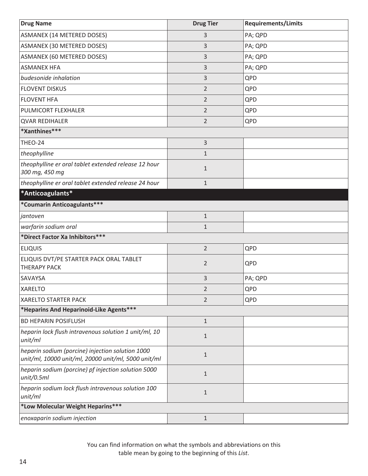<span id="page-17-0"></span>

| <b>Drug Name</b>                                                                                        | <b>Drug Tier</b> | <b>Requirements/Limits</b> |
|---------------------------------------------------------------------------------------------------------|------------------|----------------------------|
| <b>ASMANEX (14 METERED DOSES)</b>                                                                       | 3                | PA; QPD                    |
| ASMANEX (30 METERED DOSES)                                                                              | 3                | PA; QPD                    |
| <b>ASMANEX (60 METERED DOSES)</b>                                                                       | 3                | PA; QPD                    |
| <b>ASMANEX HFA</b>                                                                                      | 3                | PA; QPD                    |
| budesonide inhalation                                                                                   | 3                | QPD                        |
| <b>FLOVENT DISKUS</b>                                                                                   | $\overline{2}$   | QPD                        |
| <b>FLOVENT HFA</b>                                                                                      | $\overline{2}$   | QPD                        |
| PULMICORT FLEXHALER                                                                                     | $\overline{2}$   | QPD                        |
| <b>QVAR REDIHALER</b>                                                                                   | $\overline{2}$   | QPD                        |
| *Xanthines***                                                                                           |                  |                            |
| THEO-24                                                                                                 | $\mathsf{3}$     |                            |
| theophylline                                                                                            | $\mathbf{1}$     |                            |
| theophylline er oral tablet extended release 12 hour<br>300 mg, 450 mg                                  | $\mathbf{1}$     |                            |
| theophylline er oral tablet extended release 24 hour                                                    | $1\,$            |                            |
| *Anticoagulants*                                                                                        |                  |                            |
| *Coumarin Anticoagulants***                                                                             |                  |                            |
| jantoven                                                                                                | $1\,$            |                            |
| warfarin sodium oral                                                                                    | $\mathbf{1}$     |                            |
| *Direct Factor Xa Inhibitors ***                                                                        |                  |                            |
| <b>ELIQUIS</b>                                                                                          | $\overline{2}$   | QPD                        |
| ELIQUIS DVT/PE STARTER PACK ORAL TABLET<br><b>THERAPY PACK</b>                                          | $\overline{2}$   | QPD                        |
| SAVAYSA                                                                                                 | 3                | PA; QPD                    |
| <b>XARELTO</b>                                                                                          | 2                | QPD                        |
| <b>XARELTO STARTER PACK</b>                                                                             | $\overline{2}$   | QPD                        |
| *Heparins And Heparinoid-Like Agents***                                                                 |                  |                            |
| <b>BD HEPARIN POSIFLUSH</b>                                                                             | $1\,$            |                            |
| heparin lock flush intravenous solution 1 unit/ml, 10<br>unit/ml                                        | $\mathbf 1$      |                            |
| heparin sodium (porcine) injection solution 1000<br>unit/ml, 10000 unit/ml, 20000 unit/ml, 5000 unit/ml | $1\,$            |                            |
| heparin sodium (porcine) pf injection solution 5000<br>unit/0.5ml                                       | $\mathbf 1$      |                            |
| heparin sodium lock flush intravenous solution 100<br>unit/ml                                           | $\mathbf 1$      |                            |
| *Low Molecular Weight Heparins***                                                                       |                  |                            |
| enoxaparin sodium injection                                                                             | $1\,$            |                            |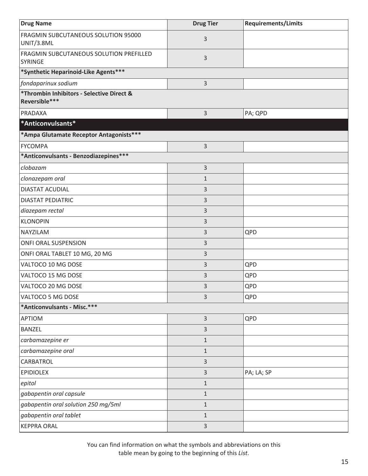<span id="page-18-0"></span>

| <b>Drug Name</b>                                           | <b>Drug Tier</b> | <b>Requirements/Limits</b> |
|------------------------------------------------------------|------------------|----------------------------|
| FRAGMIN SUBCUTANEOUS SOLUTION 95000<br>UNIT/3.8ML          | 3                |                            |
| FRAGMIN SUBCUTANEOUS SOLUTION PREFILLED<br><b>SYRINGE</b>  | 3                |                            |
| *Synthetic Heparinoid-Like Agents***                       |                  |                            |
| fondaparinux sodium                                        | 3                |                            |
| *Thrombin Inhibitors - Selective Direct &<br>Reversible*** |                  |                            |
| PRADAXA                                                    | $\mathsf{3}$     | PA; QPD                    |
| *Anticonvulsants*                                          |                  |                            |
| *Ampa Glutamate Receptor Antagonists***                    |                  |                            |
| <b>FYCOMPA</b>                                             | 3                |                            |
| *Anticonvulsants - Benzodiazepines***                      |                  |                            |
| clobazam                                                   | 3                |                            |
| clonazepam oral                                            | $\mathbf{1}$     |                            |
| DIASTAT ACUDIAL                                            | 3                |                            |
| <b>DIASTAT PEDIATRIC</b>                                   | 3                |                            |
| diazepam rectal                                            | 3                |                            |
| <b>KLONOPIN</b>                                            | 3                |                            |
| NAYZILAM                                                   | $\mathsf{3}$     | QPD                        |
| ONFI ORAL SUSPENSION                                       | 3                |                            |
| ONFI ORAL TABLET 10 MG, 20 MG                              | $\mathsf{3}$     |                            |
| VALTOCO 10 MG DOSE                                         | $\mathsf{3}$     | QPD                        |
| VALTOCO 15 MG DOSE                                         | 3                | QPD                        |
| VALTOCO 20 MG DOSE                                         | 3                | QPD                        |
| VALTOCO 5 MG DOSE                                          | $\mathsf{3}$     | QPD                        |
| *Anticonvulsants - Misc.***                                |                  |                            |
| <b>APTIOM</b>                                              | $\mathsf 3$      | QPD                        |
| <b>BANZEL</b>                                              | 3                |                            |
| carbamazepine er                                           | $\mathbf 1$      |                            |
| carbamazepine oral                                         | $1\,$            |                            |
| CARBATROL                                                  | $\overline{3}$   |                            |
| <b>EPIDIOLEX</b>                                           | 3                | PA; LA; SP                 |
| epitol                                                     | $1\,$            |                            |
| gabapentin oral capsule                                    | $1\,$            |                            |
| gabapentin oral solution 250 mg/5ml                        | $\mathbf 1$      |                            |
| gabapentin oral tablet                                     | $\mathbf{1}$     |                            |
| <b>KEPPRA ORAL</b>                                         | $\overline{3}$   |                            |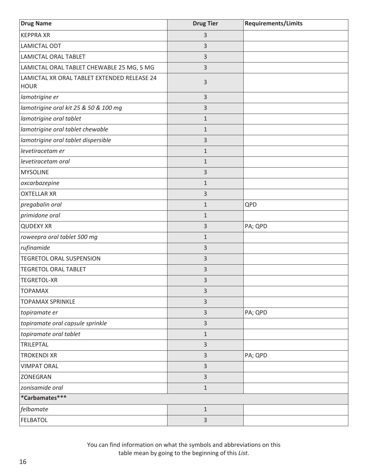| <b>Drug Name</b>                                           | <b>Drug Tier</b> | <b>Requirements/Limits</b> |
|------------------------------------------------------------|------------------|----------------------------|
| <b>KEPPRA XR</b>                                           | 3                |                            |
| <b>LAMICTAL ODT</b>                                        | 3                |                            |
| LAMICTAL ORAL TABLET                                       | 3                |                            |
| LAMICTAL ORAL TABLET CHEWABLE 25 MG, 5 MG                  | 3                |                            |
| LAMICTAL XR ORAL TABLET EXTENDED RELEASE 24<br><b>HOUR</b> | 3                |                            |
| lamotrigine er                                             | $\overline{3}$   |                            |
| lamotrigine oral kit 25 & 50 & 100 mg                      | 3                |                            |
| lamotrigine oral tablet                                    | $\mathbf{1}$     |                            |
| lamotrigine oral tablet chewable                           | $\mathbf{1}$     |                            |
| lamotrigine oral tablet dispersible                        | 3                |                            |
| levetiracetam er                                           | $\mathbf{1}$     |                            |
| levetiracetam oral                                         | $\mathbf{1}$     |                            |
| <b>MYSOLINE</b>                                            | 3                |                            |
| oxcarbazepine                                              | $\mathbf{1}$     |                            |
| <b>OXTELLAR XR</b>                                         | 3                |                            |
| pregabalin oral                                            | $\mathbf{1}$     | QPD                        |
| primidone oral                                             | $1\,$            |                            |
| <b>QUDEXY XR</b>                                           | 3                | PA; QPD                    |
| roweepra oral tablet 500 mg                                | $1\,$            |                            |
| rufinamide                                                 | 3                |                            |
| <b>TEGRETOL ORAL SUSPENSION</b>                            | 3                |                            |
| <b>TEGRETOL ORAL TABLET</b>                                | 3                |                            |
| <b>TEGRETOL-XR</b>                                         | 3                |                            |
| <b>TOPAMAX</b>                                             | 3                |                            |
| <b>TOPAMAX SPRINKLE</b>                                    | 3                |                            |
| topiramate er                                              | 3                | PA; QPD                    |
| topiramate oral capsule sprinkle                           | 3                |                            |
| topiramate oral tablet                                     | $1\,$            |                            |
| <b>TRILEPTAL</b>                                           | 3                |                            |
| <b>TROKENDI XR</b>                                         | 3                | PA; QPD                    |
| <b>VIMPAT ORAL</b>                                         | 3                |                            |
| ZONEGRAN                                                   | 3                |                            |
| zonisamide oral                                            | $\mathbf 1$      |                            |
| *Carbamates***                                             |                  |                            |
| felbamate                                                  | $1\,$            |                            |
| <b>FELBATOL</b>                                            | $\mathsf{3}$     |                            |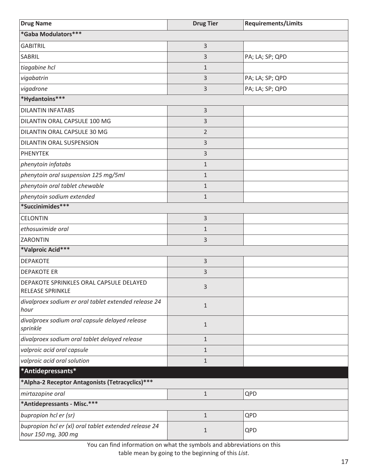<span id="page-20-0"></span>

| <b>Drug Name</b>                                                             | <b>Drug Tier</b> | <b>Requirements/Limits</b> |
|------------------------------------------------------------------------------|------------------|----------------------------|
| *Gaba Modulators***                                                          |                  |                            |
| <b>GABITRIL</b>                                                              | 3                |                            |
| SABRIL                                                                       | 3                | PA; LA; SP; QPD            |
| tiagabine hcl                                                                | $\mathbf{1}$     |                            |
| vigabatrin                                                                   | 3                | PA; LA; SP; QPD            |
| vigadrone                                                                    | 3                | PA; LA; SP; QPD            |
| *Hydantoins***                                                               |                  |                            |
| <b>DILANTIN INFATABS</b>                                                     | 3                |                            |
| DILANTIN ORAL CAPSULE 100 MG                                                 | 3                |                            |
| DILANTIN ORAL CAPSULE 30 MG                                                  | $\overline{2}$   |                            |
| DILANTIN ORAL SUSPENSION                                                     | 3                |                            |
| <b>PHENYTEK</b>                                                              | 3                |                            |
| phenytoin infatabs                                                           | $\mathbf 1$      |                            |
| phenytoin oral suspension 125 mg/5ml                                         | $1\,$            |                            |
| phenytoin oral tablet chewable                                               | $1\,$            |                            |
| phenytoin sodium extended                                                    | $1\,$            |                            |
| *Succinimides***                                                             |                  |                            |
| <b>CELONTIN</b>                                                              | 3                |                            |
| ethosuximide oral                                                            | $1\,$            |                            |
| ZARONTIN                                                                     | 3                |                            |
| *Valproic Acid***                                                            |                  |                            |
| <b>DEPAKOTE</b>                                                              | 3                |                            |
| <b>DEPAKOTE ER</b>                                                           | 3                |                            |
| DEPAKOTE SPRINKLES ORAL CAPSULE DELAYED<br><b>RELEASE SPRINKLE</b>           | 3                |                            |
| divalproex sodium er oral tablet extended release 24<br>hour                 | $\mathbf{1}$     |                            |
| divalproex sodium oral capsule delayed release<br>sprinkle                   | $\mathbf{1}$     |                            |
| divalproex sodium oral tablet delayed release                                | $1\,$            |                            |
| valproic acid oral capsule                                                   | $\mathbf{1}$     |                            |
| valproic acid oral solution                                                  | $\mathbf{1}$     |                            |
| *Antidepressants*                                                            |                  |                            |
| *Alpha-2 Receptor Antagonists (Tetracyclics)***                              |                  |                            |
| mirtazapine oral                                                             | $\mathbf{1}$     | QPD                        |
| *Antidepressants - Misc.***                                                  |                  |                            |
| bupropion hcl er (sr)                                                        | $\mathbf{1}$     | QPD                        |
| bupropion hcl er (xl) oral tablet extended release 24<br>hour 150 mg, 300 mg | $\mathbf{1}$     | QPD                        |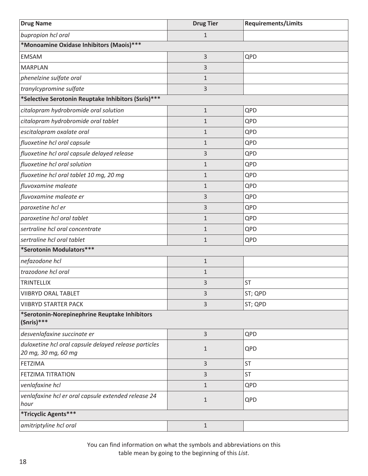| <b>Drug Name</b>                                                             | <b>Drug Tier</b> | <b>Requirements/Limits</b> |  |
|------------------------------------------------------------------------------|------------------|----------------------------|--|
| bupropion hcl oral                                                           | $\mathbf{1}$     |                            |  |
| *Monoamine Oxidase Inhibitors (Maois) ***                                    |                  |                            |  |
| <b>EMSAM</b>                                                                 | 3                | QPD                        |  |
| <b>MARPLAN</b>                                                               | 3                |                            |  |
| phenelzine sulfate oral                                                      | $1\,$            |                            |  |
| tranylcypromine sulfate                                                      | 3                |                            |  |
| *Selective Serotonin Reuptake Inhibitors (Ssris) ***                         |                  |                            |  |
| citalopram hydrobromide oral solution                                        | $\mathbf{1}$     | QPD                        |  |
| citalopram hydrobromide oral tablet                                          | $\mathbf{1}$     | QPD                        |  |
| escitalopram oxalate oral                                                    | $\mathbf{1}$     | QPD                        |  |
| fluoxetine hcl oral capsule                                                  | $\mathbf{1}$     | QPD                        |  |
| fluoxetine hcl oral capsule delayed release                                  | 3                | QPD                        |  |
| fluoxetine hcl oral solution                                                 | $\mathbf{1}$     | QPD                        |  |
| fluoxetine hcl oral tablet 10 mg, 20 mg                                      | $\mathbf{1}$     | QPD                        |  |
| fluvoxamine maleate                                                          | $1\,$            | QPD                        |  |
| fluvoxamine maleate er                                                       | 3                | QPD                        |  |
| paroxetine hcl er                                                            | 3                | QPD                        |  |
| paroxetine hcl oral tablet                                                   | $\mathbf{1}$     | QPD                        |  |
| sertraline hcl oral concentrate                                              | $1\,$            | QPD                        |  |
| sertraline hcl oral tablet                                                   | $\mathbf{1}$     | QPD                        |  |
| *Serotonin Modulators***                                                     |                  |                            |  |
| nefazodone hcl                                                               | $1\,$            |                            |  |
| trazodone hcl oral                                                           | $1\,$            |                            |  |
| <b>TRINTELLIX</b>                                                            | 3                | <b>ST</b>                  |  |
| <b>VIIBRYD ORAL TABLET</b>                                                   | 3                | ST; QPD                    |  |
| <b>VIIBRYD STARTER PACK</b>                                                  | 3                | ST; QPD                    |  |
| *Serotonin-Norepinephrine Reuptake Inhibitors<br>(Snris)***                  |                  |                            |  |
| desvenlafaxine succinate er                                                  | 3                | QPD                        |  |
| duloxetine hcl oral capsule delayed release particles<br>20 mg, 30 mg, 60 mg | $\mathbf{1}$     | QPD                        |  |
| <b>FETZIMA</b>                                                               | 3                | <b>ST</b>                  |  |
| <b>FETZIMA TITRATION</b>                                                     | 3                | <b>ST</b>                  |  |
| venlafaxine hcl                                                              | $\mathbf{1}$     | QPD                        |  |
| venlafaxine hcl er oral capsule extended release 24<br>hour                  | $1\,$            | QPD                        |  |
| *Tricyclic Agents***                                                         |                  |                            |  |
| amitriptyline hcl oral                                                       | $1\,$            |                            |  |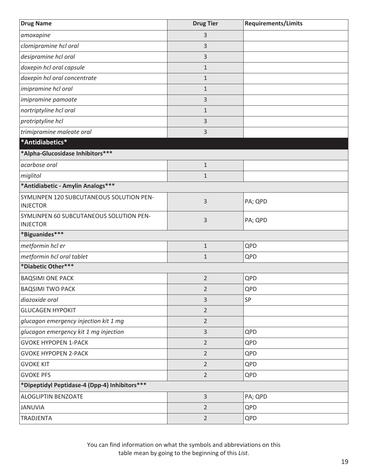<span id="page-22-0"></span>

| <b>Drug Name</b>                                            | <b>Drug Tier</b> | <b>Requirements/Limits</b> |
|-------------------------------------------------------------|------------------|----------------------------|
| amoxapine                                                   | 3                |                            |
| clomipramine hcl oral                                       | 3                |                            |
| desipramine hcl oral                                        | 3                |                            |
| doxepin hcl oral capsule                                    | $\mathbf{1}$     |                            |
| doxepin hcl oral concentrate                                | $1\,$            |                            |
| imipramine hcl oral                                         | $1\,$            |                            |
| imipramine pamoate                                          | 3                |                            |
| nortriptyline hcl oral                                      | $1\,$            |                            |
| protriptyline hcl                                           | 3                |                            |
| trimipramine maleate oral                                   | 3                |                            |
| *Antidiabetics*                                             |                  |                            |
| *Alpha-Glucosidase Inhibitors ***                           |                  |                            |
| acarbose oral                                               | $\mathbf{1}$     |                            |
| miglitol                                                    | $\mathbf{1}$     |                            |
| *Antidiabetic - Amylin Analogs***                           |                  |                            |
| SYMLINPEN 120 SUBCUTANEOUS SOLUTION PEN-<br><b>INJECTOR</b> | 3                | PA; QPD                    |
| SYMLINPEN 60 SUBCUTANEOUS SOLUTION PEN-<br><b>INJECTOR</b>  | 3                | PA; QPD                    |
| *Biguanides***                                              |                  |                            |
| metformin hcl er                                            | $\mathbf{1}$     | QPD                        |
| metformin hcl oral tablet                                   | $\mathbf{1}$     | QPD                        |
| *Diabetic Other***                                          |                  |                            |
| <b>BAQSIMI ONE PACK</b>                                     | $\overline{2}$   | QPD                        |
| <b>BAQSIMI TWO PACK</b>                                     | $\overline{2}$   | QPD                        |
| diazoxide oral                                              | 3                | SP                         |
| <b>GLUCAGEN HYPOKIT</b>                                     | $\overline{2}$   |                            |
| glucagon emergency injection kit 1 mg                       | $\overline{2}$   |                            |
| glucagon emergency kit 1 mg injection                       | $\overline{3}$   | QPD                        |
| <b>GVOKE HYPOPEN 1-PACK</b>                                 | $\overline{2}$   | QPD                        |
| <b>GVOKE HYPOPEN 2-PACK</b>                                 | $\overline{2}$   | QPD                        |
| <b>GVOKE KIT</b>                                            | $\overline{2}$   | QPD                        |
| <b>GVOKE PFS</b>                                            | $\overline{2}$   | QPD                        |
| *Dipeptidyl Peptidase-4 (Dpp-4) Inhibitors ***              |                  |                            |
| ALOGLIPTIN BENZOATE                                         | $\overline{3}$   | PA; QPD                    |
| <b>JANUVIA</b>                                              | $\overline{2}$   | QPD                        |
| <b>TRADJENTA</b>                                            | $\overline{2}$   | QPD                        |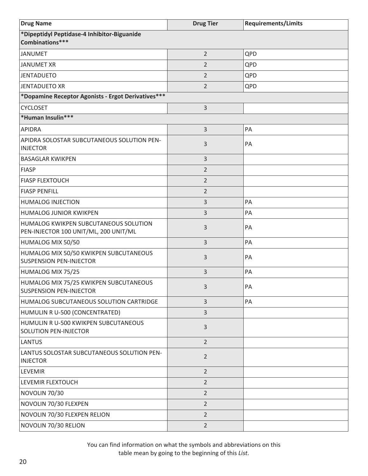| <b>Drug Name</b>                                                               | <b>Drug Tier</b> | <b>Requirements/Limits</b> |
|--------------------------------------------------------------------------------|------------------|----------------------------|
| *Dipeptidyl Peptidase-4 Inhibitor-Biguanide<br>Combinations***                 |                  |                            |
| <b>JANUMET</b>                                                                 | $\overline{2}$   | QPD                        |
| <b>JANUMET XR</b>                                                              | 2                | QPD                        |
| <b>JENTADUETO</b>                                                              | $\overline{2}$   | QPD                        |
| <b>JENTADUETO XR</b>                                                           | $\overline{2}$   | QPD                        |
| *Dopamine Receptor Agonists - Ergot Derivatives***                             |                  |                            |
| <b>CYCLOSET</b>                                                                | 3                |                            |
| *Human Insulin***                                                              |                  |                            |
| <b>APIDRA</b>                                                                  | 3                | PA                         |
| APIDRA SOLOSTAR SUBCUTANEOUS SOLUTION PEN-<br><b>INJECTOR</b>                  | 3                | PA                         |
| <b>BASAGLAR KWIKPEN</b>                                                        | 3                |                            |
| <b>FIASP</b>                                                                   | $\overline{2}$   |                            |
| <b>FIASP FLEXTOUCH</b>                                                         | $\overline{2}$   |                            |
| <b>FIASP PENFILL</b>                                                           | $\overline{2}$   |                            |
| <b>HUMALOG INJECTION</b>                                                       | 3                | PA                         |
| <b>HUMALOG JUNIOR KWIKPEN</b>                                                  | 3                | PA                         |
| HUMALOG KWIKPEN SUBCUTANEOUS SOLUTION<br>PEN-INJECTOR 100 UNIT/ML, 200 UNIT/ML | 3                | PA                         |
| HUMALOG MIX 50/50                                                              | 3                | PA                         |
| HUMALOG MIX 50/50 KWIKPEN SUBCUTANEOUS<br><b>SUSPENSION PEN-INJECTOR</b>       | 3                | PA                         |
| HUMALOG MIX 75/25                                                              | 3                | PA                         |
| HUMALOG MIX 75/25 KWIKPEN SUBCUTANEOUS<br><b>SUSPENSION PEN-INJECTOR</b>       | 3                | PA                         |
| HUMALOG SUBCUTANEOUS SOLUTION CARTRIDGE                                        | 3                | PA                         |
| HUMULIN R U-500 (CONCENTRATED)                                                 | 3                |                            |
| HUMULIN R U-500 KWIKPEN SUBCUTANEOUS<br>SOLUTION PEN-INJECTOR                  | 3                |                            |
| <b>LANTUS</b>                                                                  | $\overline{2}$   |                            |
| LANTUS SOLOSTAR SUBCUTANEOUS SOLUTION PEN-<br><b>INJECTOR</b>                  | $\overline{2}$   |                            |
| LEVEMIR                                                                        | $\overline{2}$   |                            |
| LEVEMIR FLEXTOUCH                                                              | $\overline{2}$   |                            |
| NOVOLIN 70/30                                                                  | $\overline{2}$   |                            |
| NOVOLIN 70/30 FLEXPEN                                                          | $\overline{2}$   |                            |
| NOVOLIN 70/30 FLEXPEN RELION                                                   | $\overline{2}$   |                            |
| NOVOLIN 70/30 RELION                                                           | $\overline{2}$   |                            |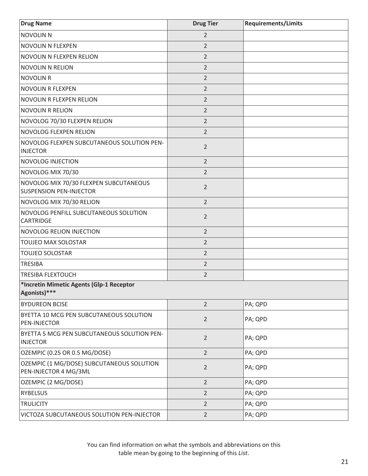| <b>Drug Name</b>                                                         | <b>Drug Tier</b> | <b>Requirements/Limits</b> |
|--------------------------------------------------------------------------|------------------|----------------------------|
| NOVOLIN N                                                                | $\overline{2}$   |                            |
| NOVOLIN N FLEXPEN                                                        | $\overline{2}$   |                            |
| NOVOLIN N FLEXPEN RELION                                                 | $\overline{2}$   |                            |
| NOVOLIN N RELION                                                         | $\overline{2}$   |                            |
| NOVOLIN R                                                                | $\overline{2}$   |                            |
| NOVOLIN R FLEXPEN                                                        | $\overline{2}$   |                            |
| NOVOLIN R FLEXPEN RELION                                                 | $\overline{2}$   |                            |
| NOVOLIN R RELION                                                         | $\overline{2}$   |                            |
| NOVOLOG 70/30 FLEXPEN RELION                                             | $\overline{2}$   |                            |
| <b>NOVOLOG FLEXPEN RELION</b>                                            | $\overline{2}$   |                            |
| NOVOLOG FLEXPEN SUBCUTANEOUS SOLUTION PEN-<br><b>INJECTOR</b>            | $\overline{2}$   |                            |
| <b>NOVOLOG INJECTION</b>                                                 | $\overline{2}$   |                            |
| NOVOLOG MIX 70/30                                                        | $\overline{2}$   |                            |
| NOVOLOG MIX 70/30 FLEXPEN SUBCUTANEOUS<br><b>SUSPENSION PEN-INJECTOR</b> | $\overline{2}$   |                            |
| NOVOLOG MIX 70/30 RELION                                                 | $\overline{2}$   |                            |
| NOVOLOG PENFILL SUBCUTANEOUS SOLUTION<br>CARTRIDGE                       | $\overline{2}$   |                            |
| <b>NOVOLOG RELION INJECTION</b>                                          | $\overline{2}$   |                            |
| TOUJEO MAX SOLOSTAR                                                      | $\overline{2}$   |                            |
| <b>TOUJEO SOLOSTAR</b>                                                   | $\overline{2}$   |                            |
| <b>TRESIBA</b>                                                           | $\overline{2}$   |                            |
| <b>TRESIBA FLEXTOUCH</b>                                                 | $\overline{2}$   |                            |
| *Incretin Mimetic Agents (Glp-1 Receptor<br>Agonists)***                 |                  |                            |
| <b>BYDUREON BCISE</b>                                                    | $\overline{2}$   | PA; QPD                    |
| BYETTA 10 MCG PEN SUBCUTANEOUS SOLUTION<br>PEN-INJECTOR                  | $\overline{2}$   | PA; QPD                    |
| BYETTA 5 MCG PEN SUBCUTANEOUS SOLUTION PEN-<br><b>INJECTOR</b>           | $\overline{2}$   | PA; QPD                    |
| OZEMPIC (0.25 OR 0.5 MG/DOSE)                                            | $\overline{2}$   | PA; QPD                    |
| OZEMPIC (1 MG/DOSE) SUBCUTANEOUS SOLUTION<br>PEN-INJECTOR 4 MG/3ML       | $\overline{2}$   | PA; QPD                    |
| OZEMPIC (2 MG/DOSE)                                                      | $\overline{2}$   | PA; QPD                    |
| <b>RYBELSUS</b>                                                          | $\overline{2}$   | PA; QPD                    |
| <b>TRULICITY</b>                                                         | $\overline{2}$   | PA; QPD                    |
| VICTOZA SUBCUTANEOUS SOLUTION PEN-INJECTOR                               | $\overline{2}$   | PA; QPD                    |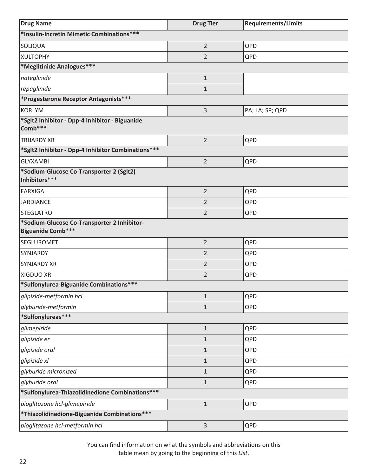| <b>Drug Name</b>                                                        | <b>Drug Tier</b> | <b>Requirements/Limits</b> |  |
|-------------------------------------------------------------------------|------------------|----------------------------|--|
| *Insulin-Incretin Mimetic Combinations***                               |                  |                            |  |
| SOLIQUA                                                                 | $\overline{2}$   | QPD                        |  |
| <b>XULTOPHY</b>                                                         | $\overline{2}$   | QPD                        |  |
| *Meglitinide Analogues***                                               |                  |                            |  |
| nateglinide                                                             | $1\,$            |                            |  |
| repaglinide                                                             | $\mathbf{1}$     |                            |  |
| *Progesterone Receptor Antagonists***                                   |                  |                            |  |
| <b>KORLYM</b>                                                           | 3                | PA; LA; SP; QPD            |  |
| *Sglt2 Inhibitor - Dpp-4 Inhibitor - Biguanide<br>Comb***               |                  |                            |  |
| <b>TRIJARDY XR</b>                                                      | $\overline{2}$   | QPD                        |  |
| *Sglt2 Inhibitor - Dpp-4 Inhibitor Combinations ***                     |                  |                            |  |
| <b>GLYXAMBI</b>                                                         | $\overline{2}$   | QPD                        |  |
| *Sodium-Glucose Co-Transporter 2 (Sglt2)<br>Inhibitors***               |                  |                            |  |
| <b>FARXIGA</b>                                                          | $\overline{2}$   | QPD                        |  |
| <b>JARDIANCE</b>                                                        | 2                | QPD                        |  |
| <b>STEGLATRO</b>                                                        | $\overline{2}$   | QPD                        |  |
| *Sodium-Glucose Co-Transporter 2 Inhibitor-<br><b>Biguanide Comb***</b> |                  |                            |  |
| SEGLUROMET                                                              | $\overline{2}$   | QPD                        |  |
| SYNJARDY                                                                | $\overline{2}$   | QPD                        |  |
| <b>SYNJARDY XR</b>                                                      | $\overline{2}$   | QPD                        |  |
| XIGDUO XR                                                               | $\overline{2}$   | QPD                        |  |
| *Sulfonylurea-Biguanide Combinations***                                 |                  |                            |  |
| glipizide-metformin hcl                                                 | $1\,$            | QPD                        |  |
| glyburide-metformin                                                     | $\mathbf 1$      | QPD                        |  |
| *Sulfonylureas***                                                       |                  |                            |  |
| glimepiride                                                             | $\mathbf{1}$     | QPD                        |  |
| glipizide er                                                            | $\mathbf{1}$     | QPD                        |  |
| glipizide oral                                                          | $\mathbf{1}$     | QPD                        |  |
| glipizide xl                                                            | $\mathbf{1}$     | QPD                        |  |
| glyburide micronized                                                    | $\mathbf{1}$     | QPD                        |  |
| glyburide oral                                                          | $1\,$            | QPD                        |  |
| *Sulfonylurea-Thiazolidinedione Combinations***                         |                  |                            |  |
| pioglitazone hcl-glimepiride                                            | $\mathbf 1$      | QPD                        |  |
| *Thiazolidinedione-Biguanide Combinations***                            |                  |                            |  |
| pioglitazone hcl-metformin hcl                                          | 3                | QPD                        |  |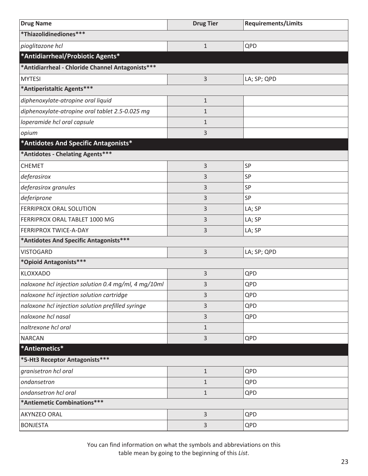<span id="page-26-0"></span>

| <b>Drug Name</b>                                     | <b>Drug Tier</b> | <b>Requirements/Limits</b> |  |
|------------------------------------------------------|------------------|----------------------------|--|
| *Thiazolidinediones***                               |                  |                            |  |
| pioglitazone hcl                                     | $\mathbf 1$      | QPD                        |  |
| *Antidiarrheal/Probiotic Agents*                     |                  |                            |  |
| *Antidiarrheal - Chloride Channel Antagonists***     |                  |                            |  |
| <b>MYTESI</b>                                        | 3                | LA; SP; QPD                |  |
| *Antiperistaltic Agents***                           |                  |                            |  |
| diphenoxylate-atropine oral liquid                   | $\mathbf 1$      |                            |  |
| diphenoxylate-atropine oral tablet 2.5-0.025 mg      | $\mathbf{1}$     |                            |  |
| loperamide hcl oral capsule                          | $\mathbf{1}$     |                            |  |
| opium                                                | 3                |                            |  |
| *Antidotes And Specific Antagonists*                 |                  |                            |  |
| *Antidotes - Chelating Agents***                     |                  |                            |  |
| <b>CHEMET</b>                                        | 3                | SP                         |  |
| deferasirox                                          | 3                | SP                         |  |
| deferasirox granules                                 | 3                | SP                         |  |
| deferiprone                                          | 3                | SP                         |  |
| FERRIPROX ORAL SOLUTION                              | 3                | LA; SP                     |  |
| FERRIPROX ORAL TABLET 1000 MG                        | 3                | LA; SP                     |  |
| FERRIPROX TWICE-A-DAY                                | 3                | LA; SP                     |  |
| *Antidotes And Specific Antagonists***               |                  |                            |  |
| <b>VISTOGARD</b>                                     | 3                | LA; SP; QPD                |  |
| *Opioid Antagonists***                               |                  |                            |  |
| KLOXXADO                                             | 3                | QPD                        |  |
| naloxone hcl injection solution 0.4 mg/ml, 4 mg/10ml | 3                | QPD                        |  |
| naloxone hcl injection solution cartridge            | 3                | QPD                        |  |
| naloxone hcl injection solution prefilled syringe    | 3                | QPD                        |  |
| naloxone hcl nasal                                   | 3                | QPD                        |  |
| naltrexone hcl oral                                  | $\mathbf{1}$     |                            |  |
| <b>NARCAN</b>                                        | 3                | QPD                        |  |
| *Antiemetics*                                        |                  |                            |  |
| *5-Ht3 Receptor Antagonists***                       |                  |                            |  |
| granisetron hcl oral                                 | $\mathbf 1$      | QPD                        |  |
| ondansetron                                          | $\mathbf{1}$     | QPD                        |  |
| ondansetron hcl oral                                 | $\mathbf{1}$     | QPD                        |  |
| *Antiemetic Combinations***                          |                  |                            |  |
| AKYNZEO ORAL                                         | 3                | QPD                        |  |
| <b>BONJESTA</b>                                      | 3                | QPD                        |  |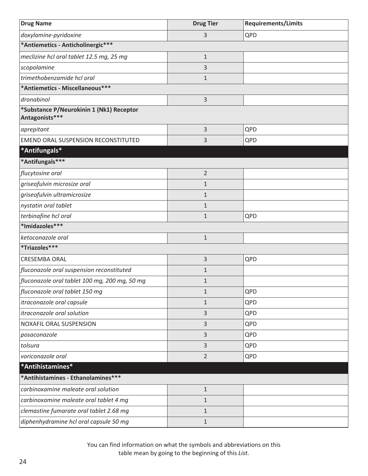<span id="page-27-0"></span>

| <b>Drug Name</b>                                           | <b>Drug Tier</b> | <b>Requirements/Limits</b> |  |
|------------------------------------------------------------|------------------|----------------------------|--|
| doxylamine-pyridoxine                                      | 3                | QPD                        |  |
| *Antiemetics - Anticholinergic***                          |                  |                            |  |
| meclizine hcl oral tablet 12.5 mg, 25 mg                   | $1\,$            |                            |  |
| scopolamine                                                | 3                |                            |  |
| trimethobenzamide hcl oral                                 | $1\,$            |                            |  |
| *Antiemetics - Miscellaneous***                            |                  |                            |  |
| dronabinol                                                 | $\mathsf{3}$     |                            |  |
| *Substance P/Neurokinin 1 (Nk1) Receptor<br>Antagonists*** |                  |                            |  |
| aprepitant                                                 | 3                | QPD                        |  |
| EMEND ORAL SUSPENSION RECONSTITUTED                        | 3                | QPD                        |  |
| *Antifungals*                                              |                  |                            |  |
| *Antifungals***                                            |                  |                            |  |
| flucytosine oral                                           | $\overline{2}$   |                            |  |
| griseofulvin microsize oral                                | 1                |                            |  |
| griseofulvin ultramicrosize                                | 1                |                            |  |
| nystatin oral tablet                                       | $\mathbf{1}$     |                            |  |
| terbinafine hcl oral                                       | $\mathbf{1}$     | QPD                        |  |
| *Imidazoles***                                             |                  |                            |  |
| ketoconazole oral                                          | $1\,$            |                            |  |
| *Triazoles***                                              |                  |                            |  |
| <b>CRESEMBA ORAL</b>                                       | 3                | QPD                        |  |
| fluconazole oral suspension reconstituted                  | $\mathbf{1}$     |                            |  |
| fluconazole oral tablet 100 mg, 200 mg, 50 mg              | $\mathbf{1}$     |                            |  |
| fluconazole oral tablet 150 mg                             | 1                | QPD                        |  |
| itraconazole oral capsule                                  | $\mathbf{1}$     | QPD                        |  |
| itraconazole oral solution                                 | $\mathsf 3$      | QPD                        |  |
| NOXAFIL ORAL SUSPENSION                                    | $\mathsf{3}$     | QPD                        |  |
| posaconazole                                               | 3                | QPD                        |  |
| tolsura                                                    | 3                | QPD                        |  |
| voriconazole oral                                          | $\overline{2}$   | QPD                        |  |
| *Antihistamines*                                           |                  |                            |  |
| *Antihistamines - Ethanolamines***                         |                  |                            |  |
| carbinoxamine maleate oral solution                        | $1\,$            |                            |  |
| carbinoxamine maleate oral tablet 4 mg                     | $\mathbf{1}$     |                            |  |
| clemastine fumarate oral tablet 2.68 mg                    | $\mathbf{1}$     |                            |  |
| diphenhydramine hcl oral capsule 50 mg                     | $\mathbf{1}$     |                            |  |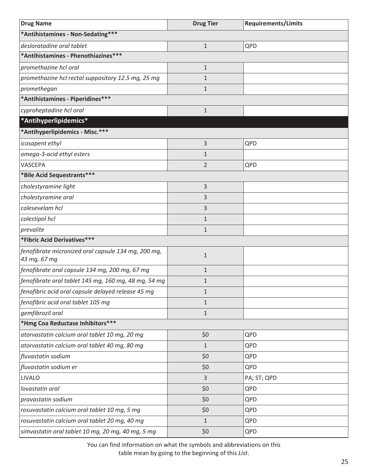<span id="page-28-0"></span>

| <b>Drug Name</b>                                                    | <b>Drug Tier</b> | <b>Requirements/Limits</b> |  |
|---------------------------------------------------------------------|------------------|----------------------------|--|
| *Antihistamines - Non-Sedating***                                   |                  |                            |  |
| desloratadine oral tablet                                           | $\mathbf{1}$     | QPD                        |  |
| *Antihistamines - Phenothiazines***                                 |                  |                            |  |
| promethazine hcl oral                                               | $\mathbf{1}$     |                            |  |
| promethazine hcl rectal suppository 12.5 mg, 25 mg                  | $\mathbf{1}$     |                            |  |
| promethegan                                                         | $\mathbf{1}$     |                            |  |
| *Antihistamines - Piperidines***                                    |                  |                            |  |
| cyproheptadine hcl oral                                             | $\mathbf{1}$     |                            |  |
| *Antihyperlipidemics*                                               |                  |                            |  |
| *Antihyperlipidemics - Misc.***                                     |                  |                            |  |
| icosapent ethyl                                                     | 3                | QPD                        |  |
| omega-3-acid ethyl esters                                           | $\mathbf{1}$     |                            |  |
| VASCEPA                                                             | $\overline{2}$   | QPD                        |  |
| *Bile Acid Sequestrants***                                          |                  |                            |  |
| cholestyramine light                                                | 3                |                            |  |
| cholestyramine oral                                                 | 3                |                            |  |
| colesevelam hcl                                                     | 3                |                            |  |
| colestipol hcl                                                      | $\mathbf{1}$     |                            |  |
| prevalite                                                           | $\mathbf{1}$     |                            |  |
| *Fibric Acid Derivatives***                                         |                  |                            |  |
| fenofibrate micronized oral capsule 134 mg, 200 mg,<br>43 mg, 67 mg | $\mathbf{1}$     |                            |  |
| fenofibrate oral capsule 134 mg, 200 mg, 67 mg                      | $\mathbf{1}$     |                            |  |
| fenofibrate oral tablet 145 mg, 160 mg, 48 mg, 54 mg                | 1                |                            |  |
| fenofibric acid oral capsule delayed release 45 mg                  | $\mathbf{1}$     |                            |  |
| fenofibric acid oral tablet 105 mg                                  | $\mathbf{1}$     |                            |  |
| gemfibrozil oral                                                    | $\mathbf{1}$     |                            |  |
| *Hmg Coa Reductase Inhibitors***                                    |                  |                            |  |
| atorvastatin calcium oral tablet 10 mg, 20 mg                       | \$0              | QPD                        |  |
| atorvastatin calcium oral tablet 40 mg, 80 mg                       | $\mathbf{1}$     | QPD                        |  |
| fluvastatin sodium                                                  | \$0              | QPD                        |  |
| fluvastatin sodium er                                               | \$0              | QPD                        |  |
| <b>LIVALO</b>                                                       | 3                | PA; ST; QPD                |  |
| lovastatin oral                                                     | \$0              | QPD                        |  |
| pravastatin sodium                                                  | \$0              | QPD                        |  |
| rosuvastatin calcium oral tablet 10 mg, 5 mg                        | \$0              | QPD                        |  |
| rosuvastatin calcium oral tablet 20 mg, 40 mg                       | $\mathbf{1}$     | QPD                        |  |
| simvastatin oral tablet 10 mg, 20 mg, 40 mg, 5 mg                   | \$0              | QPD                        |  |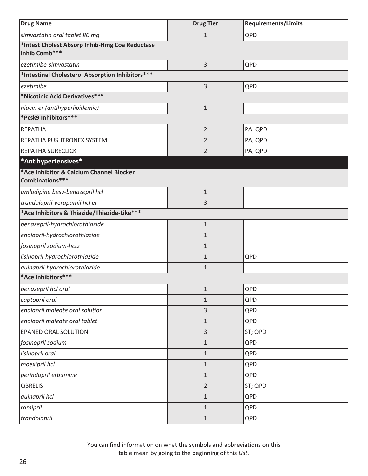<span id="page-29-0"></span>

| <b>Drug Name</b>                                                | <b>Drug Tier</b> | <b>Requirements/Limits</b> |  |
|-----------------------------------------------------------------|------------------|----------------------------|--|
| simvastatin oral tablet 80 mg                                   | $\mathbf 1$      | QPD                        |  |
| *Intest Cholest Absorp Inhib-Hmg Coa Reductase<br>Inhib Comb*** |                  |                            |  |
| ezetimibe-simvastatin                                           | 3                | QPD                        |  |
| *Intestinal Cholesterol Absorption Inhibitors***                |                  |                            |  |
| ezetimibe                                                       | 3                | QPD                        |  |
| *Nicotinic Acid Derivatives***                                  |                  |                            |  |
| niacin er (antihyperlipidemic)                                  | $\mathbf{1}$     |                            |  |
| *Pcsk9 Inhibitors***                                            |                  |                            |  |
| <b>REPATHA</b>                                                  | $\overline{2}$   | PA; QPD                    |  |
| REPATHA PUSHTRONEX SYSTEM                                       | 2                | PA; QPD                    |  |
| REPATHA SURECLICK                                               | 2                | PA; QPD                    |  |
| *Antihypertensives*                                             |                  |                            |  |
| *Ace Inhibitor & Calcium Channel Blocker<br>Combinations***     |                  |                            |  |
| amlodipine besy-benazepril hcl                                  | $\mathbf 1$      |                            |  |
| trandolapril-verapamil hcl er                                   | 3                |                            |  |
| *Ace Inhibitors & Thiazide/Thiazide-Like***                     |                  |                            |  |
| benazepril-hydrochlorothiazide                                  | $\mathbf 1$      |                            |  |
| enalapril-hydrochlorothiazide                                   | $\mathbf{1}$     |                            |  |
| fosinopril sodium-hctz                                          | $\mathbf{1}$     |                            |  |
| lisinopril-hydrochlorothiazide                                  | $\mathbf{1}$     | QPD                        |  |
| quinapril-hydrochlorothiazide                                   | $\mathbf{1}$     |                            |  |
| *Ace Inhibitors***                                              |                  |                            |  |
| benazepril hcl oral                                             | $\mathbf{1}$     | QPD                        |  |
| captopril oral                                                  | $\mathbf{1}$     | QPD                        |  |
| enalapril maleate oral solution                                 | 3                | QPD                        |  |
| enalapril maleate oral tablet                                   | $\mathbf{1}$     | QPD                        |  |
| EPANED ORAL SOLUTION                                            | 3                | ST; QPD                    |  |
| fosinopril sodium                                               | $\mathbf{1}$     | QPD                        |  |
| lisinopril oral                                                 | $\mathbf{1}$     | QPD                        |  |
| moexipril hcl                                                   | $\mathbf{1}$     | QPD                        |  |
| perindopril erbumine                                            | $\mathbf{1}$     | QPD                        |  |
| QBRELIS                                                         | $\overline{2}$   | ST; QPD                    |  |
| quinapril hcl                                                   | $\mathbf{1}$     | QPD                        |  |
| ramipril                                                        | $\mathbf{1}$     | QPD                        |  |
| trandolapril                                                    | $\mathbf{1}$     | QPD                        |  |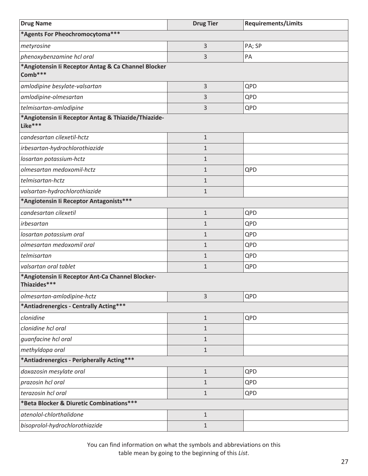| <b>Drug Name</b>                                                 | <b>Drug Tier</b> | <b>Requirements/Limits</b> |  |
|------------------------------------------------------------------|------------------|----------------------------|--|
| *Agents For Pheochromocytoma***                                  |                  |                            |  |
| metyrosine                                                       | 3                | PA; SP                     |  |
| phenoxybenzamine hcl oral                                        | 3                | PA                         |  |
| *Angiotensin li Receptor Antag & Ca Channel Blocker<br>Comb***   |                  |                            |  |
| amlodipine besylate-valsartan                                    | 3                | QPD                        |  |
| amlodipine-olmesartan                                            | 3                | QPD                        |  |
| telmisartan-amlodipine                                           | 3                | QPD                        |  |
| *Angiotensin li Receptor Antag & Thiazide/Thiazide-<br>Like***   |                  |                            |  |
| candesartan cilexetil-hctz                                       | $\mathbf{1}$     |                            |  |
| irbesartan-hydrochlorothiazide                                   | $\mathbf{1}$     |                            |  |
| losartan potassium-hctz                                          | $\mathbf{1}$     |                            |  |
| olmesartan medoxomil-hctz                                        | $\mathbf{1}$     | QPD                        |  |
| telmisartan-hctz                                                 | $\mathbf{1}$     |                            |  |
| valsartan-hydrochlorothiazide                                    | $\mathbf{1}$     |                            |  |
| *Angiotensin li Receptor Antagonists***                          |                  |                            |  |
| candesartan cilexetil                                            | $\mathbf 1$      | QPD                        |  |
| irbesartan                                                       | $\mathbf{1}$     | QPD                        |  |
| losartan potassium oral                                          | $\mathbf{1}$     | QPD                        |  |
| olmesartan medoxomil oral                                        | $\mathbf{1}$     | QPD                        |  |
| telmisartan                                                      | $\mathbf{1}$     | QPD                        |  |
| valsartan oral tablet                                            | $\mathbf{1}$     | QPD                        |  |
| *Angiotensin Ii Receptor Ant-Ca Channel Blocker-<br>Thiazides*** |                  |                            |  |
| olmesartan-amlodipine-hctz                                       | 3                | QPD                        |  |
| *Antiadrenergics - Centrally Acting***                           |                  |                            |  |
| clonidine                                                        | $\mathbf 1$      | QPD                        |  |
| clonidine hcl oral                                               | $\mathbf{1}$     |                            |  |
| guanfacine hcl oral                                              | $\mathbf{1}$     |                            |  |
| methyldopa oral                                                  | $\mathbf{1}$     |                            |  |
| *Antiadrenergics - Peripherally Acting***                        |                  |                            |  |
| doxazosin mesylate oral                                          | $\mathbf{1}$     | QPD                        |  |
| prazosin hcl oral                                                | 1                | QPD                        |  |
| terazosin hcl oral                                               | $\mathbf{1}$     | QPD                        |  |
| *Beta Blocker & Diuretic Combinations***                         |                  |                            |  |
| atenolol-chlorthalidone                                          | $\mathbf{1}$     |                            |  |
| bisoprolol-hydrochlorothiazide                                   | $\mathbf{1}$     |                            |  |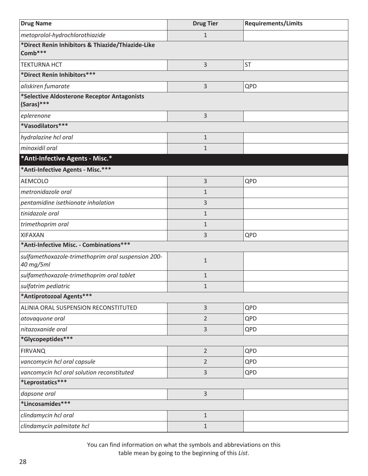<span id="page-31-0"></span>

| <b>Drug Name</b>                                                | <b>Drug Tier</b> | <b>Requirements/Limits</b> |  |
|-----------------------------------------------------------------|------------------|----------------------------|--|
| metoprolol-hydrochlorothiazide                                  | $\mathbf{1}$     |                            |  |
| *Direct Renin Inhibitors & Thiazide/Thiazide-Like<br>Comb***    |                  |                            |  |
| <b>TEKTURNA HCT</b>                                             | 3                | <b>ST</b>                  |  |
| *Direct Renin Inhibitors***                                     |                  |                            |  |
| aliskiren fumarate                                              | 3                | QPD                        |  |
| *Selective Aldosterone Receptor Antagonists<br>$(Saras)****$    |                  |                            |  |
| eplerenone                                                      | 3                |                            |  |
| *Vasodilators***                                                |                  |                            |  |
| hydralazine hcl oral                                            | $1\,$            |                            |  |
| minoxidil oral                                                  | $\mathbf{1}$     |                            |  |
| *Anti-Infective Agents - Misc.*                                 |                  |                            |  |
| *Anti-Infective Agents - Misc.***                               |                  |                            |  |
| <b>AEMCOLO</b>                                                  | 3                | QPD                        |  |
| metronidazole oral                                              | $\mathbf{1}$     |                            |  |
| pentamidine isethionate inhalation                              | 3                |                            |  |
| tinidazole oral                                                 | $\mathbf{1}$     |                            |  |
| trimethoprim oral                                               | $\mathbf{1}$     |                            |  |
| <b>XIFAXAN</b>                                                  | 3                | QPD                        |  |
| *Anti-Infective Misc. - Combinations***                         |                  |                            |  |
| sulfamethoxazole-trimethoprim oral suspension 200-<br>40 mg/5ml | $\mathbf{1}$     |                            |  |
| sulfamethoxazole-trimethoprim oral tablet                       | $\mathbf{1}$     |                            |  |
| sulfatrim pediatric                                             | $\mathbf{1}$     |                            |  |
| *Antiprotozoal Agents***                                        |                  |                            |  |
| ALINIA ORAL SUSPENSION RECONSTITUTED                            | $\mathsf{3}$     | QPD                        |  |
| atovaquone oral                                                 | $\overline{2}$   | QPD                        |  |
| nitazoxanide oral                                               | 3                | QPD                        |  |
| *Glycopeptides***                                               |                  |                            |  |
| <b>FIRVANQ</b>                                                  | $\overline{2}$   | QPD                        |  |
| vancomycin hcl oral capsule                                     | $\overline{2}$   | QPD                        |  |
| vancomycin hcl oral solution reconstituted                      | 3                | QPD                        |  |
| *Leprostatics***                                                |                  |                            |  |
| dapsone oral                                                    | 3                |                            |  |
| *Lincosamides***                                                |                  |                            |  |
| clindamycin hcl oral                                            | $1\,$            |                            |  |
| clindamycin palmitate hcl                                       | $\mathbf{1}$     |                            |  |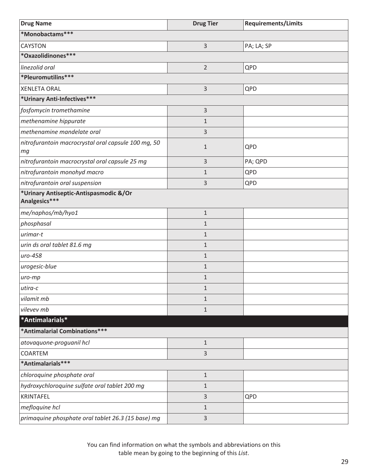<span id="page-32-0"></span>

| <b>Drug Name</b>                                          | <b>Drug Tier</b> | <b>Requirements/Limits</b> |
|-----------------------------------------------------------|------------------|----------------------------|
| *Monobactams***                                           |                  |                            |
| <b>CAYSTON</b>                                            | 3                | PA; LA; SP                 |
| *Oxazolidinones***                                        |                  |                            |
| linezolid oral                                            | $\overline{2}$   | QPD                        |
| *Pleuromutilins***                                        |                  |                            |
| <b>XENLETA ORAL</b>                                       | 3                | QPD                        |
| *Urinary Anti-Infectives***                               |                  |                            |
| fosfomycin tromethamine                                   | 3                |                            |
| methenamine hippurate                                     | $\mathbf{1}$     |                            |
| methenamine mandelate oral                                | 3                |                            |
| nitrofurantoin macrocrystal oral capsule 100 mg, 50<br>mg | $\mathbf{1}$     | QPD                        |
| nitrofurantoin macrocrystal oral capsule 25 mg            | 3                | PA; QPD                    |
| nitrofurantoin monohyd macro                              | $\mathbf{1}$     | QPD                        |
| nitrofurantoin oral suspension                            | 3                | QPD                        |
| *Urinary Antiseptic-Antispasmodic &/Or<br>Analgesics***   |                  |                            |
| me/naphos/mb/hyo1                                         | $1\,$            |                            |
| phosphasal                                                | $\mathbf{1}$     |                            |
| urimar-t                                                  | $\mathbf{1}$     |                            |
| urin ds oral tablet 81.6 mg                               | $\mathbf{1}$     |                            |
| uro-458                                                   | $\mathbf{1}$     |                            |
| urogesic-blue                                             | $\mathbf{1}$     |                            |
| uro-mp                                                    | $\mathbf 1$      |                            |
| $utira-c$                                                 | $1\,$            |                            |
| vilamit mb                                                | $\mathbf{1}$     |                            |
| vilevev mb                                                | $\mathbf{1}$     |                            |
| *Antimalarials*                                           |                  |                            |
| *Antimalarial Combinations***                             |                  |                            |
| atovaquone-proguanil hcl                                  | $\mathbf{1}$     |                            |
| COARTEM                                                   | 3                |                            |
| *Antimalarials***                                         |                  |                            |
| chloroquine phosphate oral                                | $1\,$            |                            |
| hydroxychloroquine sulfate oral tablet 200 mg             | $\mathbf{1}$     |                            |
| KRINTAFEL                                                 | 3                | QPD                        |
| mefloquine hcl                                            | $\mathbf{1}$     |                            |
| primaquine phosphate oral tablet 26.3 (15 base) mg        | 3                |                            |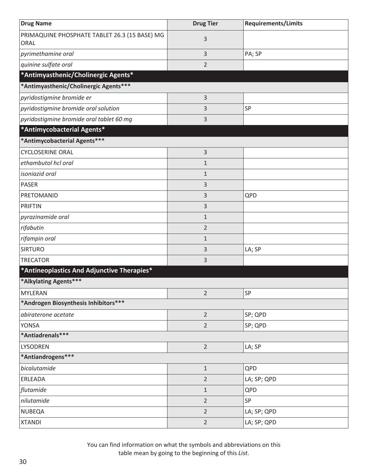<span id="page-33-0"></span>

| <b>Drug Name</b>                                      | <b>Drug Tier</b> | <b>Requirements/Limits</b> |
|-------------------------------------------------------|------------------|----------------------------|
| PRIMAQUINE PHOSPHATE TABLET 26.3 (15 BASE) MG<br>ORAL | 3                |                            |
| pyrimethamine oral                                    | 3                | PA; SP                     |
| quinine sulfate oral                                  | 2                |                            |
| *Antimyasthenic/Cholinergic Agents*                   |                  |                            |
| *Antimyasthenic/Cholinergic Agents***                 |                  |                            |
| pyridostigmine bromide er                             | 3                |                            |
| pyridostigmine bromide oral solution                  | 3                | SP                         |
| pyridostigmine bromide oral tablet 60 mg              | 3                |                            |
| *Antimycobacterial Agents*                            |                  |                            |
| *Antimycobacterial Agents***                          |                  |                            |
| <b>CYCLOSERINE ORAL</b>                               | 3                |                            |
| ethambutol hcl oral                                   | $\mathbf{1}$     |                            |
| isoniazid oral                                        | $\mathbf{1}$     |                            |
| <b>PASER</b>                                          | 3                |                            |
| PRETOMANID                                            | 3                | QPD                        |
| <b>PRIFTIN</b>                                        | 3                |                            |
| pyrazinamide oral                                     | $\mathbf{1}$     |                            |
| rifabutin                                             | $\overline{2}$   |                            |
| rifampin oral                                         | $\mathbf{1}$     |                            |
| <b>SIRTURO</b>                                        | 3                | LA; SP                     |
| <b>TRECATOR</b>                                       | 3                |                            |
| *Antineoplastics And Adjunctive Therapies*            |                  |                            |
| *Alkylating Agents***                                 |                  |                            |
| <b>MYLERAN</b>                                        | $\overline{2}$   | SP                         |
| *Androgen Biosynthesis Inhibitors***                  |                  |                            |
| abiraterone acetate                                   | $\overline{2}$   | SP; QPD                    |
| <b>YONSA</b>                                          | $\overline{2}$   | SP; QPD                    |
| *Antiadrenals***                                      |                  |                            |
| LYSODREN                                              | $\overline{2}$   | LA; SP                     |
| *Antiandrogens***                                     |                  |                            |
| bicalutamide                                          | $\mathbf{1}$     | QPD                        |
| ERLEADA                                               | $\overline{2}$   | LA; SP; QPD                |
| flutamide                                             | $\mathbf{1}$     | QPD                        |
| nilutamide                                            | $\overline{2}$   | SP                         |
| <b>NUBEQA</b>                                         | $\overline{2}$   | LA; SP; QPD                |
| <b>XTANDI</b>                                         | $\overline{2}$   | LA; SP; QPD                |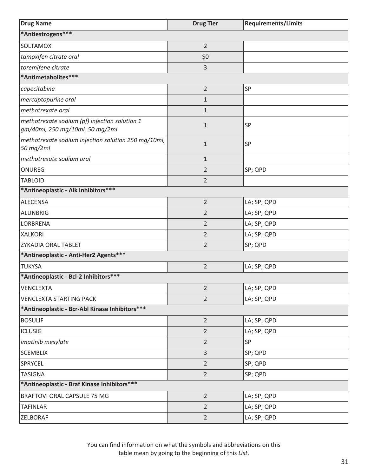| <b>Drug Name</b>                                                                 | <b>Drug Tier</b> | <b>Requirements/Limits</b> |
|----------------------------------------------------------------------------------|------------------|----------------------------|
| *Antiestrogens***                                                                |                  |                            |
| SOLTAMOX                                                                         | $\overline{2}$   |                            |
| tamoxifen citrate oral                                                           | \$0              |                            |
| toremifene citrate                                                               | 3                |                            |
| *Antimetabolites***                                                              |                  |                            |
| capecitabine                                                                     | $\overline{2}$   | SP                         |
| mercaptopurine oral                                                              | $\mathbf{1}$     |                            |
| methotrexate oral                                                                | $\mathbf{1}$     |                            |
| methotrexate sodium (pf) injection solution 1<br>gm/40ml, 250 mg/10ml, 50 mg/2ml | $\mathbf{1}$     | SP                         |
| methotrexate sodium injection solution 250 mg/10ml,<br>50 mg/2ml                 | $\mathbf{1}$     | SP                         |
| methotrexate sodium oral                                                         | $\mathbf{1}$     |                            |
| ONUREG                                                                           | $\overline{2}$   | SP; QPD                    |
| <b>TABLOID</b>                                                                   | $\overline{2}$   |                            |
| *Antineoplastic - Alk Inhibitors ***                                             |                  |                            |
| <b>ALECENSA</b>                                                                  | $\overline{2}$   | LA; SP; QPD                |
| <b>ALUNBRIG</b>                                                                  | $\overline{2}$   | LA; SP; QPD                |
| LORBRENA                                                                         | $\overline{2}$   | LA; SP; QPD                |
| <b>XALKORI</b>                                                                   | $\overline{2}$   | LA; SP; QPD                |
| ZYKADIA ORAL TABLET                                                              | 2                | SP; QPD                    |
| *Antineoplastic - Anti-Her2 Agents***                                            |                  |                            |
| <b>TUKYSA</b>                                                                    | $\overline{2}$   | LA; SP; QPD                |
| *Antineoplastic - Bcl-2 Inhibitors***                                            |                  |                            |
| <b>VENCLEXTA</b>                                                                 | $\overline{2}$   | LA; SP; QPD                |
| <b>VENCLEXTA STARTING PACK</b>                                                   | $\overline{2}$   | LA; SP; QPD                |
| *Antineoplastic - Bcr-Abl Kinase Inhibitors***                                   |                  |                            |
| <b>BOSULIF</b>                                                                   | $\overline{2}$   | LA; SP; QPD                |
| <b>ICLUSIG</b>                                                                   | $\overline{2}$   | LA; SP; QPD                |
| imatinib mesylate                                                                | $\overline{2}$   | SP                         |
| <b>SCEMBLIX</b>                                                                  | 3                | SP; QPD                    |
| SPRYCEL                                                                          | $\overline{2}$   | SP; QPD                    |
| <b>TASIGNA</b>                                                                   | $\overline{2}$   | SP; QPD                    |
| *Antineoplastic - Braf Kinase Inhibitors ***                                     |                  |                            |
| BRAFTOVI ORAL CAPSULE 75 MG                                                      | $\overline{2}$   | LA; SP; QPD                |
| <b>TAFINLAR</b>                                                                  | $\overline{2}$   | LA; SP; QPD                |
| ZELBORAF                                                                         | $\overline{2}$   | LA; SP; QPD                |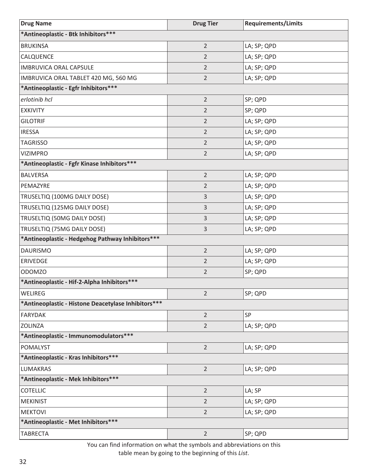| <b>Drug Name</b>                                     | <b>Drug Tier</b> | <b>Requirements/Limits</b> |  |
|------------------------------------------------------|------------------|----------------------------|--|
| *Antineoplastic - Btk Inhibitors***                  |                  |                            |  |
| <b>BRUKINSA</b>                                      | $\overline{2}$   | LA; SP; QPD                |  |
| CALQUENCE                                            | $\overline{2}$   | LA; SP; QPD                |  |
| <b>IMBRUVICA ORAL CAPSULE</b>                        | $\overline{2}$   | LA; SP; QPD                |  |
| IMBRUVICA ORAL TABLET 420 MG, 560 MG                 | $\overline{2}$   | LA; SP; QPD                |  |
| *Antineoplastic - Egfr Inhibitors***                 |                  |                            |  |
| erlotinib hcl                                        | $\overline{2}$   | SP; QPD                    |  |
| <b>EXKIVITY</b>                                      | $\overline{2}$   | SP; QPD                    |  |
| <b>GILOTRIF</b>                                      | $\overline{2}$   | LA; SP; QPD                |  |
| <b>IRESSA</b>                                        | $\overline{2}$   | LA; SP; QPD                |  |
| <b>TAGRISSO</b>                                      | $\overline{2}$   | LA; SP; QPD                |  |
| <b>VIZIMPRO</b>                                      | $\overline{2}$   | LA; SP; QPD                |  |
| *Antineoplastic - Fgfr Kinase Inhibitors ***         |                  |                            |  |
| <b>BALVERSA</b>                                      | $\overline{2}$   | LA; SP; QPD                |  |
| PEMAZYRE                                             | $\overline{2}$   | LA; SP; QPD                |  |
| TRUSELTIQ (100MG DAILY DOSE)                         | 3                | LA; SP; QPD                |  |
| TRUSELTIQ (125MG DAILY DOSE)                         | 3                | LA; SP; QPD                |  |
| TRUSELTIQ (50MG DAILY DOSE)                          | 3                | LA; SP; QPD                |  |
| TRUSELTIQ (75MG DAILY DOSE)                          | 3                | LA; SP; QPD                |  |
| *Antineoplastic - Hedgehog Pathway Inhibitors***     |                  |                            |  |
| <b>DAURISMO</b>                                      | $\overline{2}$   | LA; SP; QPD                |  |
| ERIVEDGE                                             | $\overline{2}$   | LA; SP; QPD                |  |
| <b>ODOMZO</b>                                        | $\overline{2}$   | SP; QPD                    |  |
| *Antineoplastic - Hif-2-Alpha Inhibitors***          |                  |                            |  |
| <b>WELIREG</b>                                       | $\overline{2}$   | SP; QPD                    |  |
| *Antineoplastic - Histone Deacetylase Inhibitors *** |                  |                            |  |
| <b>FARYDAK</b>                                       | $\overline{2}$   | SP                         |  |
| <b>ZOLINZA</b>                                       | $\overline{2}$   | LA; SP; QPD                |  |
| *Antineoplastic - Immunomodulators ***               |                  |                            |  |
| POMALYST                                             | $\overline{2}$   | LA; SP; QPD                |  |
| *Antineoplastic - Kras Inhibitors***                 |                  |                            |  |
| <b>LUMAKRAS</b>                                      | $\overline{2}$   | LA; SP; QPD                |  |
| *Antineoplastic - Mek Inhibitors***                  |                  |                            |  |
| <b>COTELLIC</b>                                      | $\overline{2}$   | LA; SP                     |  |
| <b>MEKINIST</b>                                      | $\overline{2}$   | LA; SP; QPD                |  |
| <b>MEKTOVI</b>                                       | $\overline{2}$   | LA; SP; QPD                |  |
| *Antineoplastic - Met Inhibitors ***                 |                  |                            |  |
| <b>TABRECTA</b>                                      | $\overline{2}$   | SP; QPD                    |  |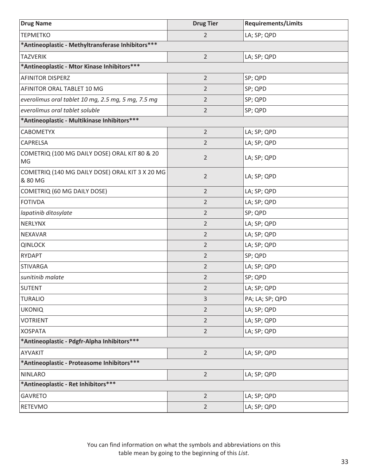| <b>Drug Name</b>                                           | <b>Drug Tier</b> | <b>Requirements/Limits</b> |
|------------------------------------------------------------|------------------|----------------------------|
| <b>TEPMETKO</b>                                            | $\overline{2}$   | LA; SP; QPD                |
| *Antineoplastic - Methyltransferase Inhibitors***          |                  |                            |
| <b>TAZVERIK</b>                                            | $\overline{2}$   | LA; SP; QPD                |
| *Antineoplastic - Mtor Kinase Inhibitors***                |                  |                            |
| <b>AFINITOR DISPERZ</b>                                    | $\overline{2}$   | SP; QPD                    |
| AFINITOR ORAL TABLET 10 MG                                 | $\overline{2}$   | SP; QPD                    |
| everolimus oral tablet 10 mg, 2.5 mg, 5 mg, 7.5 mg         | $\overline{2}$   | SP; QPD                    |
| everolimus oral tablet soluble                             | $\overline{2}$   | SP; QPD                    |
| *Antineoplastic - Multikinase Inhibitors***                |                  |                            |
| <b>CABOMETYX</b>                                           | $\overline{2}$   | LA; SP; QPD                |
| CAPRELSA                                                   | $\overline{2}$   | LA; SP; QPD                |
| COMETRIQ (100 MG DAILY DOSE) ORAL KIT 80 & 20<br>MG        | $\overline{2}$   | LA; SP; QPD                |
| COMETRIQ (140 MG DAILY DOSE) ORAL KIT 3 X 20 MG<br>& 80 MG | $\overline{2}$   | LA; SP; QPD                |
| COMETRIQ (60 MG DAILY DOSE)                                | $\overline{2}$   | LA; SP; QPD                |
| <b>FOTIVDA</b>                                             | 2                | LA; SP; QPD                |
| lapatinib ditosylate                                       | $\overline{2}$   | SP; QPD                    |
| NERLYNX                                                    | $\overline{2}$   | LA; SP; QPD                |
| <b>NEXAVAR</b>                                             | $\overline{2}$   | LA; SP; QPD                |
| <b>QINLOCK</b>                                             | $\overline{2}$   | LA; SP; QPD                |
| <b>RYDAPT</b>                                              | $\overline{2}$   | SP; QPD                    |
| <b>STIVARGA</b>                                            | $\overline{2}$   | LA; SP; QPD                |
| sunitinib malate                                           | $\overline{2}$   | SP; QPD                    |
| <b>SUTENT</b>                                              | 2                | LA; SP; QPD                |
| <b>TURALIO</b>                                             | 3                | PA; LA; SP; QPD            |
| <b>UKONIQ</b>                                              | $\overline{2}$   | LA; SP; QPD                |
| <b>VOTRIENT</b>                                            | $\overline{2}$   | LA; SP; QPD                |
| <b>XOSPATA</b>                                             | $\overline{2}$   | LA; SP; QPD                |
| *Antineoplastic - Pdgfr-Alpha Inhibitors ***               |                  |                            |
| AYVAKIT                                                    | $\overline{2}$   | LA; SP; QPD                |
| *Antineoplastic - Proteasome Inhibitors ***                |                  |                            |
| <b>NINLARO</b>                                             | $\overline{2}$   | LA; SP; QPD                |
| *Antineoplastic - Ret Inhibitors ***                       |                  |                            |
| <b>GAVRETO</b>                                             | $\overline{2}$   | LA; SP; QPD                |
| <b>RETEVMO</b>                                             | $\overline{2}$   | LA; SP; QPD                |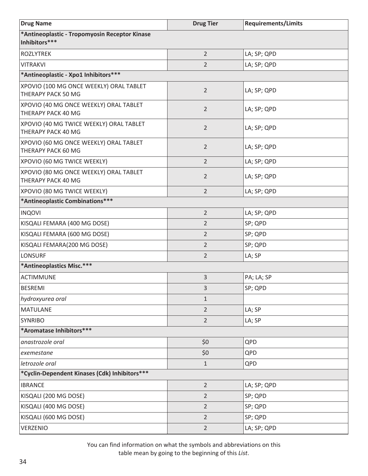| <b>Drug Name</b>                                               | <b>Drug Tier</b> | <b>Requirements/Limits</b> |
|----------------------------------------------------------------|------------------|----------------------------|
| *Antineoplastic - Tropomyosin Receptor Kinase<br>Inhibitors*** |                  |                            |
| <b>ROZLYTREK</b>                                               | $\overline{2}$   | LA; SP; QPD                |
| <b>VITRAKVI</b>                                                | 2                | LA; SP; QPD                |
| *Antineoplastic - Xpo1 Inhibitors ***                          |                  |                            |
| XPOVIO (100 MG ONCE WEEKLY) ORAL TABLET<br>THERAPY PACK 50 MG  | $\overline{2}$   | LA; SP; QPD                |
| XPOVIO (40 MG ONCE WEEKLY) ORAL TABLET<br>THERAPY PACK 40 MG   | $\overline{2}$   | LA; SP; QPD                |
| XPOVIO (40 MG TWICE WEEKLY) ORAL TABLET<br>THERAPY PACK 40 MG  | $\overline{2}$   | LA; SP; QPD                |
| XPOVIO (60 MG ONCE WEEKLY) ORAL TABLET<br>THERAPY PACK 60 MG   | $\overline{2}$   | LA; SP; QPD                |
| XPOVIO (60 MG TWICE WEEKLY)                                    | 2                | LA; SP; QPD                |
| XPOVIO (80 MG ONCE WEEKLY) ORAL TABLET<br>THERAPY PACK 40 MG   | $\overline{2}$   | LA; SP; QPD                |
| XPOVIO (80 MG TWICE WEEKLY)                                    | $\overline{2}$   | LA; SP; QPD                |
| *Antineoplastic Combinations***                                |                  |                            |
| <b>INQOVI</b>                                                  | $\overline{2}$   | LA; SP; QPD                |
| KISQALI FEMARA (400 MG DOSE)                                   | $\overline{2}$   | SP; QPD                    |
| KISQALI FEMARA (600 MG DOSE)                                   | 2                | SP; QPD                    |
| KISQALI FEMARA(200 MG DOSE)                                    | $\overline{2}$   | SP; QPD                    |
| LONSURF                                                        | 2                | LA; SP                     |
| *Antineoplastics Misc.***                                      |                  |                            |
| <b>ACTIMMUNE</b>                                               | 3                | PA; LA; SP                 |
| <b>BESREMI</b>                                                 | 3                | SP; QPD                    |
| hydroxyurea oral                                               | $\mathbf{1}$     |                            |
| <b>MATULANE</b>                                                | $\overline{2}$   | LA; SP                     |
| <b>SYNRIBO</b>                                                 | $\overline{2}$   | LA; SP                     |
| *Aromatase Inhibitors***                                       |                  |                            |
| anastrozole oral                                               | \$0              | QPD                        |
| exemestane                                                     | \$0              | QPD                        |
| letrozole oral                                                 | $1\,$            | QPD                        |
| *Cyclin-Dependent Kinases (Cdk) Inhibitors***                  |                  |                            |
| <b>IBRANCE</b>                                                 | $\overline{2}$   | LA; SP; QPD                |
| KISQALI (200 MG DOSE)                                          | $\overline{2}$   | SP; QPD                    |
| KISQALI (400 MG DOSE)                                          | $\overline{2}$   | SP; QPD                    |
| KISQALI (600 MG DOSE)                                          | $\overline{2}$   | SP; QPD                    |
| VERZENIO                                                       | $\overline{2}$   | LA; SP; QPD                |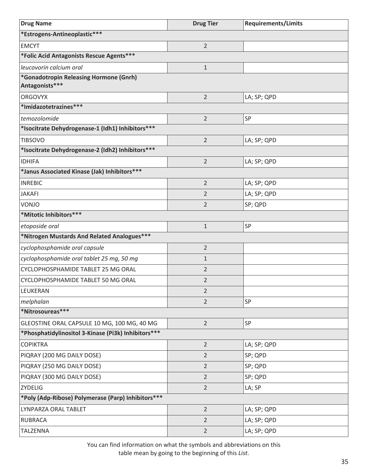| <b>Drug Name</b>                                         | <b>Drug Tier</b> | <b>Requirements/Limits</b> |
|----------------------------------------------------------|------------------|----------------------------|
| *Estrogens-Antineoplastic***                             |                  |                            |
| <b>EMCYT</b>                                             | $\overline{2}$   |                            |
| *Folic Acid Antagonists Rescue Agents***                 |                  |                            |
| leucovorin calcium oral                                  | $\mathbf{1}$     |                            |
| *Gonadotropin Releasing Hormone (Gnrh)<br>Antagonists*** |                  |                            |
| <b>ORGOVYX</b>                                           | $\overline{2}$   | LA; SP; QPD                |
| *Imidazotetrazines***                                    |                  |                            |
| temozolomide                                             | $\overline{2}$   | SP                         |
| *Isocitrate Dehydrogenase-1 (Idh1) Inhibitors ***        |                  |                            |
| <b>TIBSOVO</b>                                           | $\overline{2}$   | LA; SP; QPD                |
| *Isocitrate Dehydrogenase-2 (Idh2) Inhibitors ***        |                  |                            |
| <b>IDHIFA</b>                                            | $\overline{2}$   | LA; SP; QPD                |
| *Janus Associated Kinase (Jak) Inhibitors***             |                  |                            |
| <b>INREBIC</b>                                           | $\overline{2}$   | LA; SP; QPD                |
| <b>JAKAFI</b>                                            | 2                | LA; SP; QPD                |
| <b>VONJO</b>                                             | $\overline{2}$   | SP; QPD                    |
| *Mitotic Inhibitors***                                   |                  |                            |
| etoposide oral                                           | $\mathbf{1}$     | SP                         |
| *Nitrogen Mustards And Related Analogues***              |                  |                            |
| cyclophosphamide oral capsule                            | $\overline{2}$   |                            |
| cyclophosphamide oral tablet 25 mg, 50 mg                | $\mathbf{1}$     |                            |
| CYCLOPHOSPHAMIDE TABLET 25 MG ORAL                       | $\overline{2}$   |                            |
| CYCLOPHOSPHAMIDE TABLET 50 MG ORAL                       | $\overline{2}$   |                            |
| LEUKERAN                                                 | 2                |                            |
| melphalan                                                | $\overline{2}$   | SP                         |
| *Nitrosoureas***                                         |                  |                            |
| GLEOSTINE ORAL CAPSULE 10 MG, 100 MG, 40 MG              | $\overline{2}$   | SP                         |
| *Phosphatidylinositol 3-Kinase (Pi3k) Inhibitors ***     |                  |                            |
| <b>COPIKTRA</b>                                          | $\overline{2}$   | LA; SP; QPD                |
| PIQRAY (200 MG DAILY DOSE)                               | $\overline{2}$   | SP; QPD                    |
| PIQRAY (250 MG DAILY DOSE)                               | $\overline{2}$   | SP; QPD                    |
| PIQRAY (300 MG DAILY DOSE)                               | $\overline{2}$   | SP; QPD                    |
| <b>ZYDELIG</b>                                           | $\overline{2}$   | LA; SP                     |
| *Poly (Adp-Ribose) Polymerase (Parp) Inhibitors ***      |                  |                            |
| LYNPARZA ORAL TABLET                                     | $\overline{2}$   | LA; SP; QPD                |
| <b>RUBRACA</b>                                           | $\overline{2}$   | LA; SP; QPD                |
| TALZENNA                                                 | $\overline{2}$   | LA; SP; QPD                |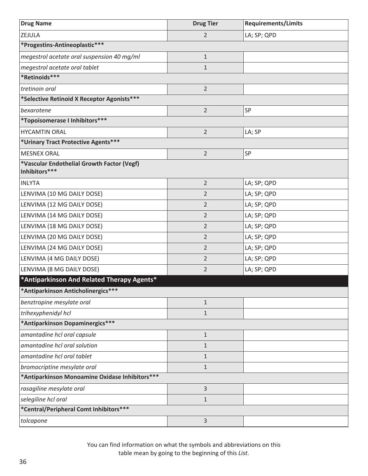| <b>Drug Name</b>                                            | <b>Drug Tier</b> | <b>Requirements/Limits</b> |
|-------------------------------------------------------------|------------------|----------------------------|
| ZEJULA                                                      | $\overline{2}$   | LA; SP; QPD                |
| *Progestins-Antineoplastic***                               |                  |                            |
| megestrol acetate oral suspension 40 mg/ml                  | $\mathbf{1}$     |                            |
| megestrol acetate oral tablet                               | $\mathbf{1}$     |                            |
| *Retinoids***                                               |                  |                            |
| tretinoin oral                                              | $\overline{2}$   |                            |
| *Selective Retinoid X Receptor Agonists***                  |                  |                            |
| bexarotene                                                  | $\overline{2}$   | <b>SP</b>                  |
| *Topoisomerase I Inhibitors ***                             |                  |                            |
| <b>HYCAMTIN ORAL</b>                                        | $\overline{2}$   | LA; SP                     |
| *Urinary Tract Protective Agents***                         |                  |                            |
| <b>MESNEX ORAL</b>                                          | $\overline{2}$   | SP                         |
| *Vascular Endothelial Growth Factor (Vegf)<br>Inhibitors*** |                  |                            |
| <b>INLYTA</b>                                               | $\overline{2}$   | LA; SP; QPD                |
| LENVIMA (10 MG DAILY DOSE)                                  | $\overline{2}$   | LA; SP; QPD                |
| LENVIMA (12 MG DAILY DOSE)                                  | $\overline{2}$   | LA; SP; QPD                |
| LENVIMA (14 MG DAILY DOSE)                                  | $\overline{2}$   | LA; SP; QPD                |
| LENVIMA (18 MG DAILY DOSE)                                  | $\overline{2}$   | LA; SP; QPD                |
| LENVIMA (20 MG DAILY DOSE)                                  | $\overline{2}$   | LA; SP; QPD                |
| LENVIMA (24 MG DAILY DOSE)                                  | $\overline{2}$   | LA; SP; QPD                |
| LENVIMA (4 MG DAILY DOSE)                                   | $\overline{2}$   | LA; SP; QPD                |
| LENVIMA (8 MG DAILY DOSE)                                   | $\overline{2}$   | LA; SP; QPD                |
| *Antiparkinson And Related Therapy Agents*                  |                  |                            |
| *Antiparkinson Anticholinergics***                          |                  |                            |
| benztropine mesylate oral                                   | $\mathbf{1}$     |                            |
| trihexyphenidyl hcl                                         | $\mathbf{1}$     |                            |
| *Antiparkinson Dopaminergics***                             |                  |                            |
| amantadine hcl oral capsule                                 | $1\,$            |                            |
| amantadine hcl oral solution                                | $\mathbf{1}$     |                            |
| amantadine hcl oral tablet                                  | $1\,$            |                            |
| bromocriptine mesylate oral                                 | $\mathbf{1}$     |                            |
| *Antiparkinson Monoamine Oxidase Inhibitors***              |                  |                            |
| rasagiline mesylate oral                                    | $\overline{3}$   |                            |
| selegiline hcl oral                                         | $1\,$            |                            |
| *Central/Peripheral Comt Inhibitors***                      |                  |                            |
| tolcapone                                                   | 3                |                            |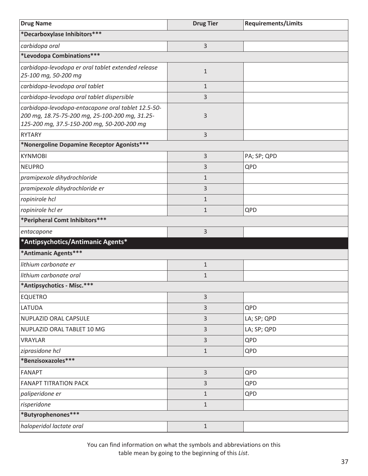| <b>Drug Name</b>                                                                                                                                   | <b>Drug Tier</b> | <b>Requirements/Limits</b> |
|----------------------------------------------------------------------------------------------------------------------------------------------------|------------------|----------------------------|
| *Decarboxylase Inhibitors***                                                                                                                       |                  |                            |
| carbidopa oral                                                                                                                                     | 3                |                            |
| *Levodopa Combinations***                                                                                                                          |                  |                            |
| carbidopa-levodopa er oral tablet extended release<br>25-100 mg, 50-200 mg                                                                         | $\mathbf 1$      |                            |
| carbidopa-levodopa oral tablet                                                                                                                     | $\mathbf{1}$     |                            |
| carbidopa-levodopa oral tablet dispersible                                                                                                         | 3                |                            |
| carbidopa-levodopa-entacapone oral tablet 12.5-50-<br>200 mg, 18.75-75-200 mg, 25-100-200 mg, 31.25-<br>125-200 mg, 37.5-150-200 mg, 50-200-200 mg | 3                |                            |
| <b>RYTARY</b>                                                                                                                                      | 3                |                            |
| *Nonergoline Dopamine Receptor Agonists***                                                                                                         |                  |                            |
| <b>KYNMOBI</b>                                                                                                                                     | 3                | PA; SP; QPD                |
| <b>NEUPRO</b>                                                                                                                                      | 3                | QPD                        |
| pramipexole dihydrochloride                                                                                                                        | $\mathbf{1}$     |                            |
| pramipexole dihydrochloride er                                                                                                                     | 3                |                            |
| ropinirole hcl                                                                                                                                     | $\mathbf 1$      |                            |
| ropinirole hcl er                                                                                                                                  | $\mathbf 1$      | QPD                        |
| *Peripheral Comt Inhibitors***                                                                                                                     |                  |                            |
| entacapone                                                                                                                                         | 3                |                            |
| *Antipsychotics/Antimanic Agents*                                                                                                                  |                  |                            |
| *Antimanic Agents***                                                                                                                               |                  |                            |
| lithium carbonate er                                                                                                                               | $1\,$            |                            |
| lithium carbonate oral                                                                                                                             | $\mathbf{1}$     |                            |
| *Antipsychotics - Misc.***                                                                                                                         |                  |                            |
| <b>EQUETRO</b>                                                                                                                                     | 3                |                            |
| LATUDA                                                                                                                                             | 3                | QPD                        |
| NUPLAZID ORAL CAPSULE                                                                                                                              | 3                | LA; SP; QPD                |
| NUPLAZID ORAL TABLET 10 MG                                                                                                                         | 3                | LA; SP; QPD                |
| VRAYLAR                                                                                                                                            | 3                | QPD                        |
| ziprasidone hcl                                                                                                                                    | $1\,$            | QPD                        |
| *Benzisoxazoles***                                                                                                                                 |                  |                            |
| <b>FANAPT</b>                                                                                                                                      | 3                | QPD                        |
| <b>FANAPT TITRATION PACK</b>                                                                                                                       | 3                | QPD                        |
| paliperidone er                                                                                                                                    | $\mathbf{1}$     | QPD                        |
| risperidone                                                                                                                                        | $\mathbf{1}$     |                            |
| *Butyrophenones***                                                                                                                                 |                  |                            |
| haloperidol lactate oral                                                                                                                           | $1\,$            |                            |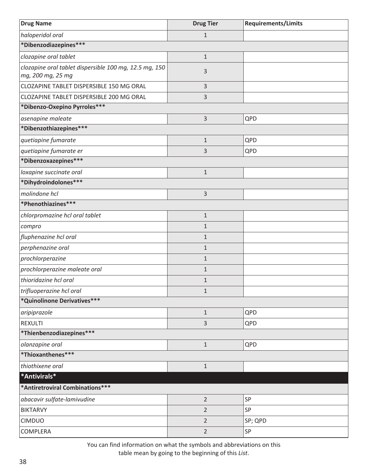| <b>Drug Name</b>                                                            | <b>Drug Tier</b> | <b>Requirements/Limits</b> |
|-----------------------------------------------------------------------------|------------------|----------------------------|
| haloperidol oral                                                            | $\mathbf{1}$     |                            |
| *Dibenzodiazepines***                                                       |                  |                            |
| clozapine oral tablet                                                       | $\mathbf{1}$     |                            |
| clozapine oral tablet dispersible 100 mg, 12.5 mg, 150<br>mg, 200 mg, 25 mg | 3                |                            |
| CLOZAPINE TABLET DISPERSIBLE 150 MG ORAL                                    | 3                |                            |
| CLOZAPINE TABLET DISPERSIBLE 200 MG ORAL                                    | 3                |                            |
| *Dibenzo-Oxepino Pyrroles***                                                |                  |                            |
| asenapine maleate                                                           | 3                | QPD                        |
| *Dibenzothiazepines***                                                      |                  |                            |
| quetiapine fumarate                                                         | $\mathbf 1$      | QPD                        |
| quetiapine fumarate er                                                      | 3                | QPD                        |
| *Dibenzoxazepines***                                                        |                  |                            |
| loxapine succinate oral                                                     | $\mathbf{1}$     |                            |
| *Dihydroindolones***                                                        |                  |                            |
| molindone hcl                                                               | 3                |                            |
| *Phenothiazines***                                                          |                  |                            |
| chlorpromazine hcl oral tablet                                              | $\mathbf{1}$     |                            |
| compro                                                                      | $\mathbf{1}$     |                            |
| fluphenazine hcl oral                                                       | $\mathbf{1}$     |                            |
| perphenazine oral                                                           | $\mathbf{1}$     |                            |
| prochlorperazine                                                            | $\mathbf{1}$     |                            |
| prochlorperazine maleate oral                                               | $\mathbf{1}$     |                            |
| thioridazine hcl oral                                                       | $\mathbf 1$      |                            |
| trifluoperazine hcl oral                                                    | 1                |                            |
| *Quinolinone Derivatives***                                                 |                  |                            |
| aripiprazole                                                                | $\mathbf{1}$     | QPD                        |
| <b>REXULTI</b>                                                              | 3                | QPD                        |
| *Thienbenzodiazepines***                                                    |                  |                            |
| olanzapine oral                                                             | $1\,$            | QPD                        |
| *Thioxanthenes***                                                           |                  |                            |
| thiothixene oral                                                            | $\mathbf{1}$     |                            |
| *Antivirals*                                                                |                  |                            |
| *Antiretroviral Combinations***                                             |                  |                            |
| abacavir sulfate-lamivudine                                                 | $\overline{2}$   | SP                         |
| <b>BIKTARVY</b>                                                             | $\overline{2}$   | SP                         |
| <b>CIMDUO</b>                                                               | $\overline{2}$   | SP; QPD                    |
| COMPLERA                                                                    | $\overline{2}$   | SP                         |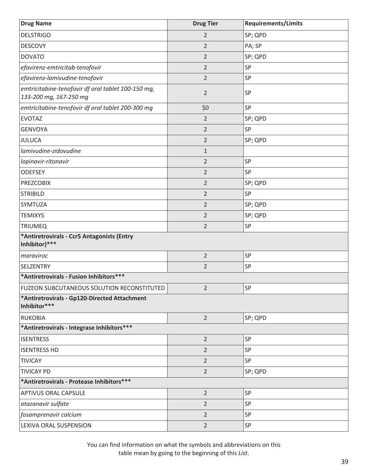| <b>Drug Name</b>                                                             | <b>Drug Tier</b> | <b>Requirements/Limits</b> |
|------------------------------------------------------------------------------|------------------|----------------------------|
| <b>DELSTRIGO</b>                                                             | 2                | SP; QPD                    |
| <b>DESCOVY</b>                                                               | $\overline{2}$   | PA; SP                     |
| <b>DOVATO</b>                                                                | $\overline{2}$   | SP; QPD                    |
| efavirenz-emtricitab-tenofovir                                               | $\overline{2}$   | SP                         |
| efavirenz-lamivudine-tenofovir                                               | $\overline{2}$   | SP                         |
| emtricitabine-tenofovir df oral tablet 100-150 mg,<br>133-200 mg, 167-250 mg | $\overline{2}$   | SP                         |
| emtricitabine-tenofovir df oral tablet 200-300 mg                            | \$0              | SP                         |
| <b>EVOTAZ</b>                                                                | $\overline{2}$   | SP; QPD                    |
| <b>GENVOYA</b>                                                               | $\overline{2}$   | SP                         |
| JULUCA                                                                       | $\overline{2}$   | SP; QPD                    |
| lamivudine-zidovudine                                                        | $\mathbf{1}$     |                            |
| lopinavir-ritonavir                                                          | $\overline{2}$   | SP                         |
| <b>ODEFSEY</b>                                                               | $\overline{2}$   | SP                         |
| <b>PREZCOBIX</b>                                                             | $\overline{2}$   | SP; QPD                    |
| <b>STRIBILD</b>                                                              | $\overline{2}$   | SP                         |
| <b>SYMTUZA</b>                                                               | $\overline{2}$   | SP; QPD                    |
| <b>TEMIXYS</b>                                                               | $\overline{2}$   | SP; QPD                    |
| <b>TRIUMEQ</b>                                                               | $\overline{2}$   | SP                         |
| *Antiretrovirals - Ccr5 Antagonists (Entry<br>Inhibitor)***                  |                  |                            |
| maraviroc                                                                    | $\overline{2}$   | SP                         |
| SELZENTRY                                                                    | $\overline{2}$   | SP                         |
| *Antiretrovirals - Fusion Inhibitors***                                      |                  |                            |
| <b>FUZEON SUBCUTANEOUS SOLUTION RECONSTITUTED</b>                            | $\overline{2}$   | SP                         |
| *Antiretrovirals - Gp120-Directed Attachment<br>Inhibitor***                 |                  |                            |
| <b>RUKOBIA</b>                                                               | $\overline{2}$   | SP; QPD                    |
| *Antiretrovirals - Integrase Inhibitors***                                   |                  |                            |
| <b>ISENTRESS</b>                                                             | $\overline{2}$   | SP                         |
| <b>ISENTRESS HD</b>                                                          | $\overline{2}$   | SP                         |
| <b>TIVICAY</b>                                                               | $\overline{2}$   | SP                         |
| <b>TIVICAY PD</b>                                                            | $\overline{2}$   | SP; QPD                    |
| *Antiretrovirals - Protease Inhibitors***                                    |                  |                            |
| <b>APTIVUS ORAL CAPSULE</b>                                                  | $\overline{2}$   | SP                         |
| atazanavir sulfate                                                           | $\overline{2}$   | SP                         |
| fosamprenavir calcium                                                        | $\overline{2}$   | SP                         |
| LEXIVA ORAL SUSPENSION                                                       | $\overline{2}$   | SP                         |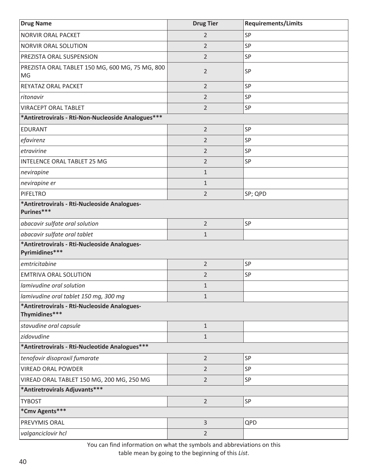| <b>Drug Name</b>                                               | <b>Drug Tier</b> | <b>Requirements/Limits</b> |
|----------------------------------------------------------------|------------------|----------------------------|
| NORVIR ORAL PACKET                                             | 2                | SP                         |
| NORVIR ORAL SOLUTION                                           | $\overline{2}$   | SP                         |
| PREZISTA ORAL SUSPENSION                                       | $\overline{2}$   | SP                         |
| PREZISTA ORAL TABLET 150 MG, 600 MG, 75 MG, 800<br>MG          | $\overline{2}$   | <b>SP</b>                  |
| REYATAZ ORAL PACKET                                            | $\overline{2}$   | SP                         |
| ritonavir                                                      | $\overline{2}$   | SP                         |
| <b>VIRACEPT ORAL TABLET</b>                                    | $\overline{2}$   | SP                         |
| *Antiretrovirals - Rti-Non-Nucleoside Analogues***             |                  |                            |
| <b>EDURANT</b>                                                 | $\overline{2}$   | SP                         |
| efavirenz                                                      | $\overline{2}$   | SP                         |
| etravirine                                                     | $\overline{2}$   | SP                         |
| <b>INTELENCE ORAL TABLET 25 MG</b>                             | $\overline{2}$   | SP                         |
| nevirapine                                                     | $\mathbf{1}$     |                            |
| nevirapine er                                                  | $1\,$            |                            |
| PIFELTRO                                                       | $\overline{2}$   | SP; QPD                    |
| *Antiretrovirals - Rti-Nucleoside Analogues-<br>Purines***     |                  |                            |
| abacavir sulfate oral solution                                 | $\overline{2}$   | SP                         |
| abacavir sulfate oral tablet                                   | $1\,$            |                            |
| *Antiretrovirals - Rti-Nucleoside Analogues-<br>Pyrimidines*** |                  |                            |
| emtricitabine                                                  | $\overline{2}$   | <b>SP</b>                  |
| <b>EMTRIVA ORAL SOLUTION</b>                                   | $\overline{2}$   | SP                         |
| lamivudine oral solution                                       | $\mathbf{1}$     |                            |
| lamivudine oral tablet 150 mg, 300 mg                          | $1\,$            |                            |
| *Antiretrovirals - Rti-Nucleoside Analogues-<br>Thymidines***  |                  |                            |
| stavudine oral capsule                                         | $\mathbf{1}$     |                            |
| zidovudine                                                     | $\mathbf{1}$     |                            |
| *Antiretrovirals - Rti-Nucleotide Analogues***                 |                  |                            |
| tenofovir disoproxil fumarate                                  | $\overline{2}$   | SP                         |
| <b>VIREAD ORAL POWDER</b>                                      | $\overline{2}$   | SP                         |
| VIREAD ORAL TABLET 150 MG, 200 MG, 250 MG                      | $\overline{2}$   | SP                         |
| *Antiretrovirals Adjuvants***                                  |                  |                            |
| <b>TYBOST</b>                                                  | $\overline{2}$   | <b>SP</b>                  |
| *Cmv Agents***                                                 |                  |                            |
| PREVYMIS ORAL                                                  | $\overline{3}$   | QPD                        |
| valganciclovir hcl                                             | $\overline{2}$   |                            |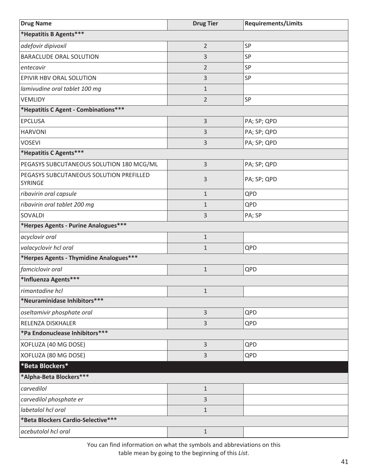| <b>Drug Name</b>                                          | <b>Drug Tier</b> | <b>Requirements/Limits</b> |
|-----------------------------------------------------------|------------------|----------------------------|
| *Hepatitis B Agents***                                    |                  |                            |
| adefovir dipivoxil                                        | $\overline{2}$   | SP                         |
| BARACLUDE ORAL SOLUTION                                   | 3                | SP                         |
| entecavir                                                 | $\overline{2}$   | SP                         |
| EPIVIR HBV ORAL SOLUTION                                  | 3                | SP                         |
| lamivudine oral tablet 100 mg                             | $\mathbf{1}$     |                            |
| <b>VEMLIDY</b>                                            | $\overline{2}$   | SP                         |
| *Hepatitis C Agent - Combinations***                      |                  |                            |
| <b>EPCLUSA</b>                                            | 3                | PA; SP; QPD                |
| <b>HARVONI</b>                                            | 3                | PA; SP; QPD                |
| <b>VOSEVI</b>                                             | 3                | PA; SP; QPD                |
| *Hepatitis C Agents***                                    |                  |                            |
| PEGASYS SUBCUTANEOUS SOLUTION 180 MCG/ML                  | 3                | PA; SP; QPD                |
| PEGASYS SUBCUTANEOUS SOLUTION PREFILLED<br><b>SYRINGE</b> | 3                | PA; SP; QPD                |
| ribavirin oral capsule                                    | $\mathbf{1}$     | QPD                        |
| ribavirin oral tablet 200 mg                              | $\mathbf{1}$     | QPD                        |
| SOVALDI                                                   | 3                | PA; SP                     |
| *Herpes Agents - Purine Analogues***                      |                  |                            |
| acyclovir oral                                            | $\mathbf{1}$     |                            |
| valacyclovir hcl oral                                     | $\mathbf{1}$     | QPD                        |
| *Herpes Agents - Thymidine Analogues***                   |                  |                            |
| famciclovir oral                                          | $\mathbf 1$      | QPD                        |
| *Influenza Agents***                                      |                  |                            |
| rimantadine hcl                                           | $\mathbf{1}$     |                            |
| *Neuraminidase Inhibitors***                              |                  |                            |
| oseltamivir phosphate oral                                | 3                | QPD                        |
| RELENZA DISKHALER                                         | 3                | QPD                        |
| *Pa Endonuclease Inhibitors ***                           |                  |                            |
| XOFLUZA (40 MG DOSE)                                      | 3                | QPD                        |
| XOFLUZA (80 MG DOSE)                                      | 3                | QPD                        |
| *Beta Blockers*                                           |                  |                            |
| *Alpha-Beta Blockers***                                   |                  |                            |
| carvedilol                                                | $\mathbf{1}$     |                            |
| carvedilol phosphate er                                   | 3                |                            |
| labetalol hcl oral                                        | $\mathbf{1}$     |                            |
| *Beta Blockers Cardio-Selective***                        |                  |                            |
| acebutolol hcl oral                                       | $1\,$            |                            |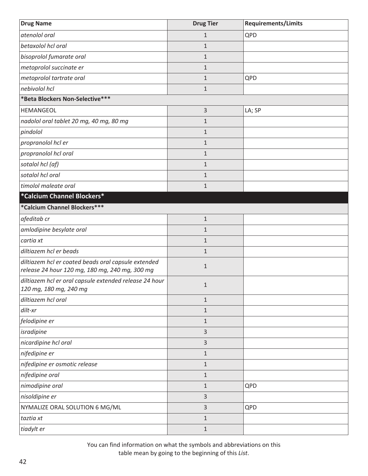| <b>Drug Name</b>                                                                                      | <b>Drug Tier</b> | <b>Requirements/Limits</b> |
|-------------------------------------------------------------------------------------------------------|------------------|----------------------------|
| atenolol oral                                                                                         | $\mathbf{1}$     | QPD                        |
| betaxolol hcl oral                                                                                    | $\mathbf{1}$     |                            |
| bisoprolol fumarate oral                                                                              | $\mathbf 1$      |                            |
| metoprolol succinate er                                                                               | $\mathbf{1}$     |                            |
| metoprolol tartrate oral                                                                              | $\mathbf{1}$     | QPD                        |
| nebivolol hcl                                                                                         | $\mathbf{1}$     |                            |
| *Beta Blockers Non-Selective***                                                                       |                  |                            |
| <b>HEMANGEOL</b>                                                                                      | 3                | LA; SP                     |
| nadolol oral tablet 20 mg, 40 mg, 80 mg                                                               | $\mathbf{1}$     |                            |
| pindolol                                                                                              | $\mathbf{1}$     |                            |
| propranolol hcl er                                                                                    | $\mathbf{1}$     |                            |
| propranolol hcl oral                                                                                  | $\mathbf{1}$     |                            |
| sotalol hcl (af)                                                                                      | $\mathbf{1}$     |                            |
| sotalol hcl oral                                                                                      | $\mathbf{1}$     |                            |
| timolol maleate oral                                                                                  | $\mathbf{1}$     |                            |
| *Calcium Channel Blockers*                                                                            |                  |                            |
| *Calcium Channel Blockers***                                                                          |                  |                            |
| afeditab cr                                                                                           | $\mathbf 1$      |                            |
| amlodipine besylate oral                                                                              | $\mathbf 1$      |                            |
| cartia xt                                                                                             | $\mathbf{1}$     |                            |
| diltiazem hcl er beads                                                                                | $\mathbf{1}$     |                            |
| diltiazem hcl er coated beads oral capsule extended<br>release 24 hour 120 mg, 180 mg, 240 mg, 300 mg | $\mathbf{1}$     |                            |
| diltiazem hcl er oral capsule extended release 24 hour<br>120 mg, 180 mg, 240 mg                      | $\mathbf{1}$     |                            |
| diltiazem hcl oral                                                                                    | $\mathbf{1}$     |                            |
| dilt-xr                                                                                               | $\mathbf{1}$     |                            |
| felodipine er                                                                                         | $\mathbf 1$      |                            |
| isradipine                                                                                            | 3                |                            |
| nicardipine hcl oral                                                                                  | 3                |                            |
| nifedipine er                                                                                         | $\mathbf 1$      |                            |
| nifedipine er osmotic release                                                                         | $\mathbf 1$      |                            |
| nifedipine oral                                                                                       | $\mathbf 1$      |                            |
| nimodipine oral                                                                                       | $\mathbf 1$      | QPD                        |
| nisoldipine er                                                                                        | 3                |                            |
| NYMALIZE ORAL SOLUTION 6 MG/ML                                                                        | 3                | QPD                        |
| taztia xt                                                                                             | $\mathbf 1$      |                            |
| tiadylt er                                                                                            | $\mathbf{1}$     |                            |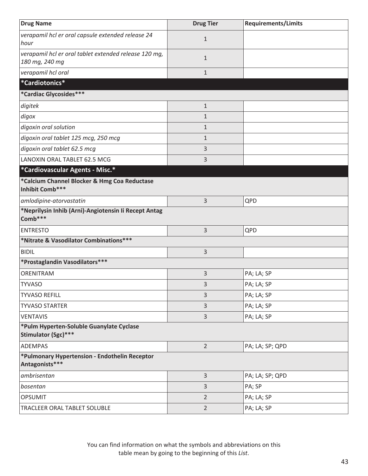| <b>Drug Name</b>                                                        | <b>Drug Tier</b> | <b>Requirements/Limits</b> |
|-------------------------------------------------------------------------|------------------|----------------------------|
| verapamil hcl er oral capsule extended release 24<br>hour               | $\mathbf{1}$     |                            |
| verapamil hcl er oral tablet extended release 120 mg,<br>180 mg, 240 mg | $\mathbf{1}$     |                            |
| verapamil hcl oral                                                      | $\mathbf{1}$     |                            |
| *Cardiotonics*                                                          |                  |                            |
| *Cardiac Glycosides***                                                  |                  |                            |
| digitek                                                                 | $\mathbf 1$      |                            |
| digox                                                                   | $\mathbf{1}$     |                            |
| digoxin oral solution                                                   | $\mathbf{1}$     |                            |
| digoxin oral tablet 125 mcg, 250 mcg                                    | $\mathbf{1}$     |                            |
| digoxin oral tablet 62.5 mcg                                            | 3                |                            |
| LANOXIN ORAL TABLET 62.5 MCG                                            | 3                |                            |
| *Cardiovascular Agents - Misc.*                                         |                  |                            |
| *Calcium Channel Blocker & Hmg Coa Reductase<br>Inhibit Comb***         |                  |                            |
| amlodipine-atorvastatin                                                 | 3                | QPD                        |
| *Neprilysin Inhib (Arni)-Angiotensin Ii Recept Antag<br>Comb***         |                  |                            |
| <b>ENTRESTO</b>                                                         | 3                | QPD                        |
| *Nitrate & Vasodilator Combinations***                                  |                  |                            |
| <b>BIDIL</b>                                                            | 3                |                            |
| *Prostaglandin Vasodilators***                                          |                  |                            |
| ORENITRAM                                                               | 3                | PA; LA; SP                 |
| <b>TYVASO</b>                                                           | 3                | PA; LA; SP                 |
| <b>TYVASO REFILL</b>                                                    | 3                | PA; LA; SP                 |
| <b>TYVASO STARTER</b>                                                   | 3                | PA; LA; SP                 |
| <b>VENTAVIS</b>                                                         | 3                | PA; LA; SP                 |
| *Pulm Hyperten-Soluble Guanylate Cyclase<br>Stimulator (Sgc)***         |                  |                            |
| ADEMPAS                                                                 | $\overline{2}$   | PA; LA; SP; QPD            |
| *Pulmonary Hypertension - Endothelin Receptor<br>Antagonists***         |                  |                            |
| ambrisentan                                                             | 3                | PA; LA; SP; QPD            |
| bosentan                                                                | 3                | PA; SP                     |
| <b>OPSUMIT</b>                                                          | $\overline{2}$   | PA; LA; SP                 |
| TRACLEER ORAL TABLET SOLUBLE                                            | $\overline{2}$   | PA; LA; SP                 |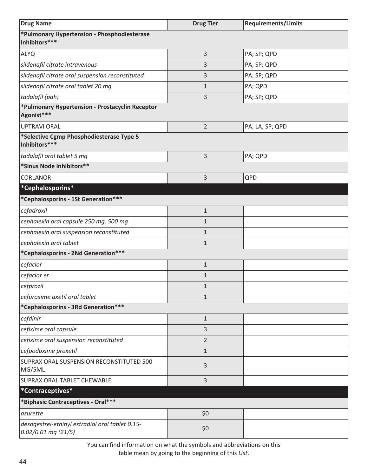| <b>Drug Name</b>                                                       | <b>Drug Tier</b> | <b>Requirements/Limits</b> |
|------------------------------------------------------------------------|------------------|----------------------------|
| *Pulmonary Hypertension - Phosphodiesterase<br>Inhibitors***           |                  |                            |
| <b>ALYQ</b>                                                            | 3                | PA; SP; QPD                |
| sildenafil citrate intravenous                                         | 3                | PA; SP; QPD                |
| sildenafil citrate oral suspension reconstituted                       | 3                | PA; SP; QPD                |
| sildenafil citrate oral tablet 20 mg                                   | $\mathbf{1}$     | PA; QPD                    |
| tadalafil (pah)                                                        | 3                | PA; SP; QPD                |
| *Pulmonary Hypertension - Prostacyclin Receptor<br>Agonist***          |                  |                            |
| <b>UPTRAVI ORAL</b>                                                    | $\overline{2}$   | PA; LA; SP; QPD            |
| *Selective Cgmp Phosphodiesterase Type 5<br>Inhibitors***              |                  |                            |
| tadalafil oral tablet 5 mg                                             | 3                | PA; QPD                    |
| *Sinus Node Inhibitors**                                               |                  |                            |
| <b>CORLANOR</b>                                                        | 3                | QPD                        |
| *Cephalosporins*                                                       |                  |                            |
| *Cephalosporins - 1St Generation***                                    |                  |                            |
| cefadroxil                                                             | $\mathbf 1$      |                            |
| cephalexin oral capsule 250 mg, 500 mg                                 | $\mathbf 1$      |                            |
| cephalexin oral suspension reconstituted                               | $\mathbf{1}$     |                            |
| cephalexin oral tablet                                                 | $\mathbf 1$      |                            |
| *Cephalosporins - 2Nd Generation***                                    |                  |                            |
| cefaclor                                                               | $\mathbf{1}$     |                            |
| cefaclor er                                                            | $\mathbf{1}$     |                            |
| cefprozil                                                              | $\mathbf{1}$     |                            |
| cefuroxime axetil oral tablet                                          | $\mathbf{1}$     |                            |
| *Cephalosporins - 3Rd Generation***                                    |                  |                            |
| cefdinir                                                               | $1\,$            |                            |
| cefixime oral capsule                                                  | 3                |                            |
| cefixime oral suspension reconstituted                                 | $\overline{2}$   |                            |
| cefpodoxime proxetil                                                   | $\mathbf{1}$     |                            |
| SUPRAX ORAL SUSPENSION RECONSTITUTED 500<br>MG/5ML                     | 3                |                            |
| SUPRAX ORAL TABLET CHEWABLE                                            | 3                |                            |
| *Contraceptives*                                                       |                  |                            |
| *Biphasic Contraceptives - Oral***                                     |                  |                            |
| azurette                                                               | \$0              |                            |
| desogestrel-ethinyl estradiol oral tablet 0.15-<br>0.02/0.01 mg (21/5) | \$0              |                            |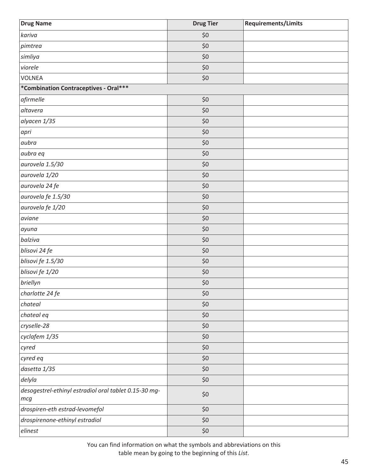| <b>Drug Name</b>                                             | <b>Drug Tier</b> | Requirements/Limits |
|--------------------------------------------------------------|------------------|---------------------|
| kariva                                                       | \$0              |                     |
| pimtrea                                                      | \$0              |                     |
| simliya                                                      | \$0              |                     |
| viorele                                                      | \$0              |                     |
| <b>VOLNEA</b>                                                | \$0              |                     |
| *Combination Contraceptives - Oral***                        |                  |                     |
| afirmelle                                                    | \$0              |                     |
| altavera                                                     | \$0              |                     |
| alyacen 1/35                                                 | \$0              |                     |
| apri                                                         | $$0$$            |                     |
| aubra                                                        | \$0              |                     |
| aubra eq                                                     | $$0$$            |                     |
| aurovela 1.5/30                                              | $$0$$            |                     |
| aurovela 1/20                                                | \$0              |                     |
| aurovela 24 fe                                               | \$0              |                     |
| aurovela fe 1.5/30                                           | \$0              |                     |
| aurovela fe 1/20                                             | $$0$$            |                     |
| aviane                                                       | \$0              |                     |
| ayuna                                                        | $$0$$            |                     |
| balziva                                                      | \$0              |                     |
| blisovi 24 fe                                                | $$0$$            |                     |
| blisovi fe 1.5/30                                            | \$0              |                     |
| blisovi fe 1/20                                              | \$0              |                     |
| briellyn                                                     | $$0$$            |                     |
| charlotte 24 fe                                              | $$0$$            |                     |
| chateal                                                      | \$0              |                     |
| chateal eq                                                   | \$0              |                     |
| cryselle-28                                                  | \$0              |                     |
| cyclafem 1/35                                                | \$0              |                     |
| cyred                                                        | \$0              |                     |
| cyred eq                                                     | \$0              |                     |
| dasetta 1/35                                                 | \$0              |                     |
| delyla                                                       | \$0              |                     |
| desogestrel-ethinyl estradiol oral tablet 0.15-30 mg-<br>mcg | \$0              |                     |
| drospiren-eth estrad-levomefol                               | \$0              |                     |
| drospirenone-ethinyl estradiol                               | \$0              |                     |
| elinest                                                      | $$0$$            |                     |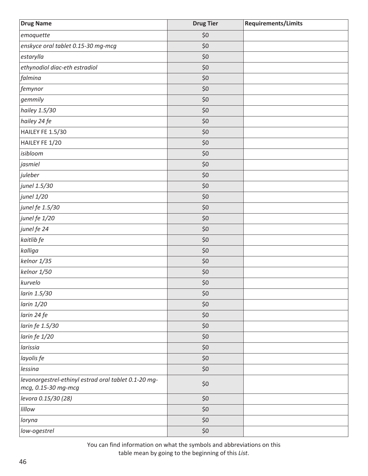| <b>Drug Name</b>                                                            | <b>Drug Tier</b> | Requirements/Limits |
|-----------------------------------------------------------------------------|------------------|---------------------|
| emoquette                                                                   | \$0              |                     |
| enskyce oral tablet 0.15-30 mg-mcg                                          | \$0              |                     |
| estarylla                                                                   | \$0              |                     |
| ethynodiol diac-eth estradiol                                               | \$0              |                     |
| falmina                                                                     | \$0              |                     |
| femynor                                                                     | \$0              |                     |
| gemmily                                                                     | \$0              |                     |
| hailey 1.5/30                                                               | \$0              |                     |
| hailey 24 fe                                                                | \$0              |                     |
| HAILEY FE 1.5/30                                                            | \$0              |                     |
| HAILEY FE 1/20                                                              | \$0              |                     |
| isibloom                                                                    | \$0              |                     |
| jasmiel                                                                     | \$0              |                     |
| juleber                                                                     | \$0              |                     |
| junel 1.5/30                                                                | \$0              |                     |
| junel 1/20                                                                  | \$0              |                     |
| junel fe 1.5/30                                                             | \$0              |                     |
| junel fe 1/20                                                               | \$0              |                     |
| junel fe 24                                                                 | \$0              |                     |
| kaitlib fe                                                                  | \$0              |                     |
| kalliga                                                                     | \$0              |                     |
| kelnor 1/35                                                                 | \$0              |                     |
| kelnor 1/50                                                                 | \$0              |                     |
| kurvelo                                                                     | \$0              |                     |
| larin 1.5/30                                                                | \$0              |                     |
| larin 1/20                                                                  | \$0              |                     |
| larin 24 fe                                                                 | \$0              |                     |
| larin fe 1.5/30                                                             | \$0              |                     |
| larin fe 1/20                                                               | \$0              |                     |
| larissia                                                                    | \$0              |                     |
| layolis fe                                                                  | \$0              |                     |
| lessina                                                                     | \$0              |                     |
| levonorgestrel-ethinyl estrad oral tablet 0.1-20 mg-<br>mcg, 0.15-30 mg-mcg | \$0              |                     |
| levora 0.15/30 (28)                                                         | \$0              |                     |
| lillow                                                                      | \$0              |                     |
| loryna                                                                      | \$0              |                     |
| low-ogestrel                                                                | $$0$$            |                     |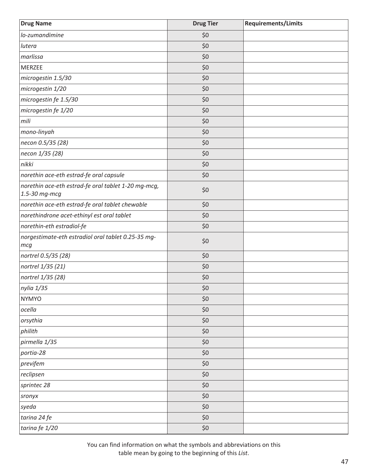| <b>Drug Name</b>                                                     | <b>Drug Tier</b> | <b>Requirements/Limits</b> |
|----------------------------------------------------------------------|------------------|----------------------------|
| lo-zumandimine                                                       | \$0              |                            |
| lutera                                                               | \$0              |                            |
| marlissa                                                             | \$0              |                            |
| <b>MERZEE</b>                                                        | \$0              |                            |
| microgestin 1.5/30                                                   | \$0              |                            |
| microgestin 1/20                                                     | \$0              |                            |
| microgestin fe 1.5/30                                                | \$0              |                            |
| microgestin fe 1/20                                                  | \$0              |                            |
| mili                                                                 | \$0              |                            |
| mono-linyah                                                          | \$0              |                            |
| necon 0.5/35 (28)                                                    | \$0              |                            |
| necon 1/35 (28)                                                      | \$0              |                            |
| nikki                                                                | \$0              |                            |
| norethin ace-eth estrad-fe oral capsule                              | \$0              |                            |
| norethin ace-eth estrad-fe oral tablet 1-20 mg-mcg,<br>1.5-30 mg-mcg | \$0              |                            |
| norethin ace-eth estrad-fe oral tablet chewable                      | \$0              |                            |
| norethindrone acet-ethinyl est oral tablet                           | \$0              |                            |
| norethin-eth estradiol-fe                                            | \$0              |                            |
| norgestimate-eth estradiol oral tablet 0.25-35 mg-<br>mcg            | \$0              |                            |
| nortrel 0.5/35 (28)                                                  | \$0              |                            |
| nortrel 1/35 (21)                                                    | \$0              |                            |
| nortrel 1/35 (28)                                                    | \$0              |                            |
| nylia 1/35                                                           | $$0$$            |                            |
| <b>NYMYO</b>                                                         | \$0              |                            |
| ocella                                                               | \$0              |                            |
| orsythia                                                             | \$0              |                            |
| philith                                                              | \$0              |                            |
| pirmella 1/35                                                        | \$0              |                            |
| portia-28                                                            | \$0              |                            |
| previfem                                                             | \$0              |                            |
| reclipsen                                                            | \$0              |                            |
| sprintec 28                                                          | \$0              |                            |
| sronyx                                                               | \$0              |                            |
| syeda                                                                | \$0              |                            |
| tarina 24 fe                                                         | \$0              |                            |
| tarina fe 1/20                                                       | \$0              |                            |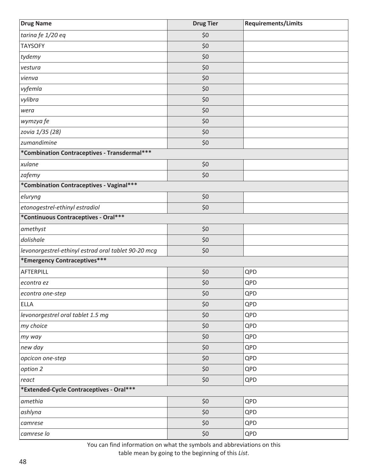| <b>Drug Name</b>                                    | <b>Drug Tier</b> | <b>Requirements/Limits</b> |
|-----------------------------------------------------|------------------|----------------------------|
| tarina fe 1/20 eq                                   | \$0              |                            |
| <b>TAYSOFY</b>                                      | \$0              |                            |
| tydemy                                              | \$0              |                            |
| vestura                                             | \$0              |                            |
| vienva                                              | \$0              |                            |
| vyfemla                                             | \$0              |                            |
| vylibra                                             | \$0              |                            |
| wera                                                | \$0              |                            |
| wymzya fe                                           | \$0              |                            |
| zovia 1/35 (28)                                     | \$0              |                            |
| zumandimine                                         | \$0              |                            |
| *Combination Contraceptives - Transdermal***        |                  |                            |
| xulane                                              | \$0              |                            |
| zafemy                                              | \$0              |                            |
| *Combination Contraceptives - Vaginal***            |                  |                            |
| eluryng                                             | \$0              |                            |
| etonogestrel-ethinyl estradiol                      | \$0              |                            |
| *Continuous Contraceptives - Oral***                |                  |                            |
| amethyst                                            | \$0              |                            |
| dolishale                                           | \$0              |                            |
| levonorgestrel-ethinyl estrad oral tablet 90-20 mcg | \$0              |                            |
| *Emergency Contraceptives***                        |                  |                            |
| AFTERPILL                                           | \$0              | QPD                        |
| econtra ez                                          | \$0              | QPD                        |
| econtra one-step                                    | \$0              | QPD                        |
| <b>ELLA</b>                                         | \$0              | QPD                        |
| levonorgestrel oral tablet 1.5 mg                   | \$0              | QPD                        |
| my choice                                           | \$0              | QPD                        |
| my way                                              | \$0              | QPD                        |
| new day                                             | \$0              | QPD                        |
| opcicon one-step                                    | \$0              | QPD                        |
| option 2                                            | \$0              | QPD                        |
| react                                               | \$0              | QPD                        |
| *Extended-Cycle Contraceptives - Oral***            |                  |                            |
| amethia                                             | \$0              | QPD                        |
| ashlyna                                             | \$0              | QPD                        |
| camrese                                             | \$0              | QPD                        |
| camrese lo                                          | \$0              | QPD                        |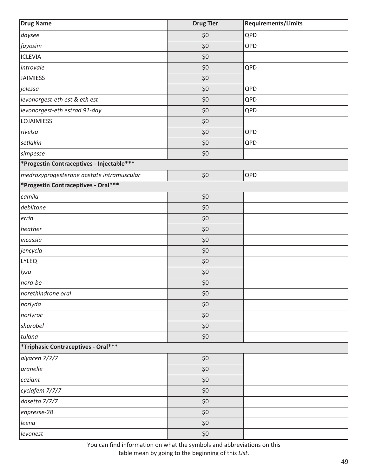| <b>Drug Name</b>                          | <b>Drug Tier</b> | <b>Requirements/Limits</b> |
|-------------------------------------------|------------------|----------------------------|
| daysee                                    | \$0              | QPD                        |
| fayosim                                   | \$0              | QPD                        |
| <b>ICLEVIA</b>                            | \$0              |                            |
| introvale                                 | \$0              | QPD                        |
| <b>JAIMIESS</b>                           | \$0              |                            |
| jolessa                                   | \$0              | QPD                        |
| levonorgest-eth est & eth est             | \$0              | QPD                        |
| levonorgest-eth estrad 91-day             | \$0              | QPD                        |
| <b>LOJAIMIESS</b>                         | \$0              |                            |
| rivelsa                                   | \$0              | QPD                        |
| setlakin                                  | \$0              | QPD                        |
| simpesse                                  | \$0              |                            |
| *Progestin Contraceptives - Injectable*** |                  |                            |
| medroxyprogesterone acetate intramuscular | \$0              | QPD                        |
| *Progestin Contraceptives - Oral***       |                  |                            |
| camila                                    | \$0              |                            |
| deblitane                                 | \$0              |                            |
| errin                                     | \$0              |                            |
| heather                                   | \$0              |                            |
| incassia                                  | \$0              |                            |
| jencycla                                  | \$0              |                            |
| <b>LYLEQ</b>                              | \$0              |                            |
| lyza                                      | $$0$$            |                            |
| nora-be                                   | $$0$$            |                            |
| norethindrone oral                        | \$0              |                            |
| norlyda                                   | \$0              |                            |
| norlyroc                                  | \$0              |                            |
| sharobel                                  | \$0              |                            |
| tulana                                    | $$0$$            |                            |
| *Triphasic Contraceptives - Oral***       |                  |                            |
| alyacen 7/7/7                             | $$0$$            |                            |
| aranelle                                  | \$0              |                            |
| caziant                                   | \$0              |                            |
| cyclafem 7/7/7                            | \$0              |                            |
| dasetta 7/7/7                             | \$0              |                            |
| enpresse-28                               | \$0              |                            |
| leena                                     | \$0              |                            |
| levonest                                  | \$0              |                            |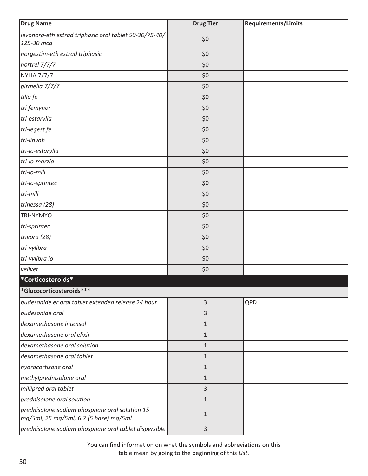| <b>Drug Name</b>                                                                         | <b>Drug Tier</b> | <b>Requirements/Limits</b> |
|------------------------------------------------------------------------------------------|------------------|----------------------------|
| levonorg-eth estrad triphasic oral tablet 50-30/75-40/<br>125-30 mcg                     | \$0              |                            |
| norgestim-eth estrad triphasic                                                           | \$0              |                            |
| nortrel 7/7/7                                                                            | \$0              |                            |
| <b>NYLIA 7/7/7</b>                                                                       | \$0              |                            |
| pirmella 7/7/7                                                                           | \$0              |                            |
| tilia fe                                                                                 | \$0              |                            |
| tri femynor                                                                              | \$0              |                            |
| tri-estarylla                                                                            | \$0              |                            |
| tri-legest fe                                                                            | \$0              |                            |
| tri-linyah                                                                               | \$0              |                            |
| tri-lo-estarylla                                                                         | \$0              |                            |
| tri-lo-marzia                                                                            | \$0              |                            |
| tri-lo-mili                                                                              | \$0              |                            |
| tri-lo-sprintec                                                                          | \$0              |                            |
| tri-mili                                                                                 | \$0              |                            |
| trinessa (28)                                                                            | \$0              |                            |
| TRI-NYMYO                                                                                | \$0              |                            |
| tri-sprintec                                                                             | \$0              |                            |
| trivora (28)                                                                             | \$0              |                            |
| tri-vylibra                                                                              | \$0              |                            |
| tri-vylibra lo                                                                           | \$0              |                            |
| velivet                                                                                  | \$0              |                            |
| *Corticosteroids*                                                                        |                  |                            |
| *Glucocorticosteroids***                                                                 |                  |                            |
| budesonide er oral tablet extended release 24 hour                                       | 3                | QPD                        |
| budesonide oral                                                                          | 3                |                            |
| dexamethasone intensol                                                                   | $\mathbf{1}$     |                            |
| dexamethasone oral elixir                                                                | $\mathbf{1}$     |                            |
| dexamethasone oral solution                                                              | $\mathbf{1}$     |                            |
| dexamethasone oral tablet                                                                | $\mathbf{1}$     |                            |
| hydrocortisone oral                                                                      | $\mathbf{1}$     |                            |
| methylprednisolone oral                                                                  | $\mathbf{1}$     |                            |
| millipred oral tablet                                                                    | 3                |                            |
| prednisolone oral solution                                                               | $1\,$            |                            |
| prednisolone sodium phosphate oral solution 15<br>mg/5ml, 25 mg/5ml, 6.7 (5 base) mg/5ml | $\mathbf{1}$     |                            |
| prednisolone sodium phosphate oral tablet dispersible                                    | $\overline{3}$   |                            |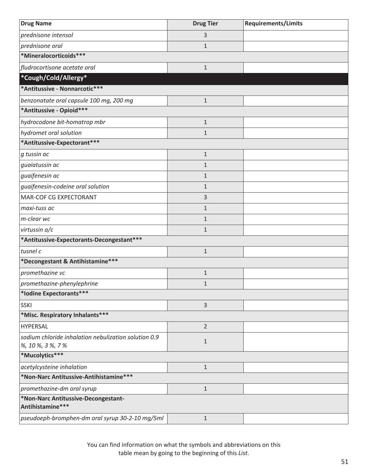| <b>Drug Name</b>                                                    | <b>Drug Tier</b> | <b>Requirements/Limits</b> |
|---------------------------------------------------------------------|------------------|----------------------------|
| prednisone intensol                                                 | 3                |                            |
| prednisone oral                                                     | $\mathbf{1}$     |                            |
| *Mineralocorticoids***                                              |                  |                            |
| fludrocortisone acetate oral                                        | $\mathbf{1}$     |                            |
| *Cough/Cold/Allergy*                                                |                  |                            |
| *Antitussive - Nonnarcotic***                                       |                  |                            |
| benzonatate oral capsule 100 mg, 200 mg                             | $\mathbf{1}$     |                            |
| *Antitussive - Opioid***                                            |                  |                            |
| hydrocodone bit-homatrop mbr                                        | $\mathbf 1$      |                            |
| hydromet oral solution                                              | $\mathbf 1$      |                            |
| *Antitussive-Expectorant***                                         |                  |                            |
| g tussin ac                                                         | $\mathbf 1$      |                            |
| guaiatussin ac                                                      | $\mathbf{1}$     |                            |
| guaifenesin ac                                                      | $\mathbf{1}$     |                            |
| guaifenesin-codeine oral solution                                   | $\mathbf{1}$     |                            |
| MAR-COF CG EXPECTORANT                                              | 3                |                            |
| maxi-tuss ac                                                        | $\mathbf 1$      |                            |
| m-clear wc                                                          | $\mathbf{1}$     |                            |
| virtussin a/c                                                       | $\mathbf{1}$     |                            |
| *Antitussive-Expectorants-Decongestant***                           |                  |                            |
| tusnel c                                                            | $\mathbf{1}$     |                            |
| *Decongestant & Antihistamine***                                    |                  |                            |
| promethazine vc                                                     | $\mathbf{1}$     |                            |
| promethazine-phenylephrine                                          | $\mathbf 1$      |                            |
| *Iodine Expectorants***                                             |                  |                            |
| <b>SSKI</b>                                                         | 3                |                            |
| *Misc. Respiratory Inhalants***                                     |                  |                            |
| <b>HYPERSAL</b>                                                     | $\overline{2}$   |                            |
| sodium chloride inhalation nebulization solution 0.9                | $\mathbf{1}$     |                            |
| %, 10 %, 3 %, 7 %                                                   |                  |                            |
| *Mucolytics***                                                      |                  |                            |
| acetylcysteine inhalation<br>*Non-Narc Antitussive-Antihistamine*** | $\mathbf 1$      |                            |
|                                                                     |                  |                            |
| promethazine-dm oral syrup                                          | $\mathbf{1}$     |                            |
| *Non-Narc Antitussive-Decongestant-<br>Antihistamine***             |                  |                            |
| pseudoeph-bromphen-dm oral syrup 30-2-10 mg/5ml                     | $\mathbf{1}$     |                            |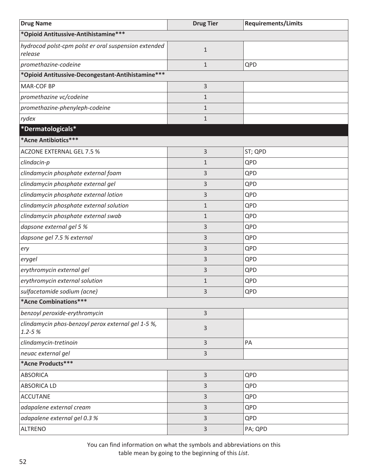| <b>Drug Name</b>                                                 | <b>Drug Tier</b> | <b>Requirements/Limits</b> |
|------------------------------------------------------------------|------------------|----------------------------|
| *Opioid Antitussive-Antihistamine***                             |                  |                            |
| hydrocod polst-cpm polst er oral suspension extended<br>release  | $1\,$            |                            |
| promethazine-codeine                                             | $\mathbf{1}$     | QPD                        |
| *Opioid Antitussive-Decongestant-Antihistamine***                |                  |                            |
| <b>MAR-COF BP</b>                                                | 3                |                            |
| promethazine vc/codeine                                          | $\mathbf{1}$     |                            |
| promethazine-phenyleph-codeine                                   | $\mathbf{1}$     |                            |
| rydex                                                            | $\mathbf 1$      |                            |
| *Dermatologicals*                                                |                  |                            |
| *Acne Antibiotics***                                             |                  |                            |
| ACZONE EXTERNAL GEL 7.5 %                                        | 3                | ST; QPD                    |
| clindacin-p                                                      | $\mathbf{1}$     | QPD                        |
| clindamycin phosphate external foam                              | 3                | QPD                        |
| clindamycin phosphate external gel                               | 3                | QPD                        |
| clindamycin phosphate external lotion                            | 3                | QPD                        |
| clindamycin phosphate external solution                          | $\mathbf{1}$     | QPD                        |
| clindamycin phosphate external swab                              | $\mathbf{1}$     | QPD                        |
| dapsone external gel 5 %                                         | 3                | QPD                        |
| dapsone gel 7.5 % external                                       | 3                | QPD                        |
| ery                                                              | 3                | QPD                        |
| erygel                                                           | 3                | QPD                        |
| erythromycin external gel                                        | 3                | QPD                        |
| erythromycin external solution                                   | $\mathbf{1}$     | QPD                        |
| sulfacetamide sodium (acne)                                      | 3                | QPD                        |
| *Acne Combinations***                                            |                  |                            |
| benzoyl peroxide-erythromycin                                    | $\overline{3}$   |                            |
| clindamycin phos-benzoyl perox external gel 1-5 %,<br>$1.2 - 5%$ | $\mathsf{3}$     |                            |
| clindamycin-tretinoin                                            | $\overline{3}$   | PA                         |
| neuac external gel                                               | 3                |                            |
| *Acne Products***                                                |                  |                            |
| <b>ABSORICA</b>                                                  | $\overline{3}$   | QPD                        |
| <b>ABSORICA LD</b>                                               | 3                | QPD                        |
| <b>ACCUTANE</b>                                                  | 3                | QPD                        |
| adapalene external cream                                         | 3                | QPD                        |
| adapalene external gel 0.3 %                                     | 3                | QPD                        |
| <b>ALTRENO</b>                                                   | 3                | PA; QPD                    |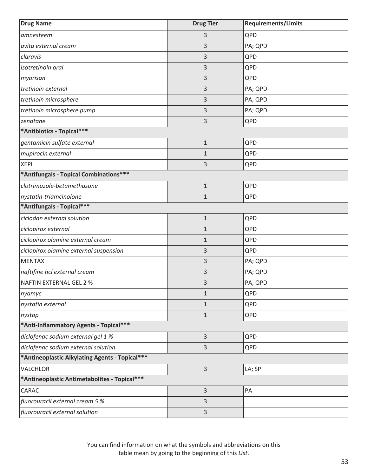| <b>Drug Name</b>                               | <b>Drug Tier</b> | <b>Requirements/Limits</b> |
|------------------------------------------------|------------------|----------------------------|
| amnesteem                                      | 3                | QPD                        |
| avita external cream                           | 3                | PA; QPD                    |
| claravis                                       | 3                | QPD                        |
| isotretinoin oral                              | 3                | QPD                        |
| myorisan                                       | 3                | QPD                        |
| tretinoin external                             | 3                | PA; QPD                    |
| tretinoin microsphere                          | 3                | PA; QPD                    |
| tretinoin microsphere pump                     | 3                | PA; QPD                    |
| zenatane                                       | 3                | QPD                        |
| *Antibiotics - Topical***                      |                  |                            |
| gentamicin sulfate external                    | $\mathbf{1}$     | QPD                        |
| mupirocin external                             | $\mathbf 1$      | QPD                        |
| <b>XEPI</b>                                    | 3                | QPD                        |
| *Antifungals - Topical Combinations***         |                  |                            |
| clotrimazole-betamethasone                     | $\mathbf{1}$     | QPD                        |
| nystatin-triamcinolone                         | 1                | QPD                        |
| *Antifungals - Topical***                      |                  |                            |
| ciclodan external solution                     | $\mathbf{1}$     | QPD                        |
| ciclopirox external                            | $\mathbf{1}$     | QPD                        |
| ciclopirox olamine external cream              | 1                | QPD                        |
| ciclopirox olamine external suspension         | 3                | QPD                        |
| <b>MENTAX</b>                                  | 3                | PA; QPD                    |
| naftifine hcl external cream                   | 3                | PA; QPD                    |
| <b>NAFTIN EXTERNAL GEL 2 %</b>                 | 3                | PA; QPD                    |
| nyamyc                                         | $\mathbf{1}$     | QPD                        |
| nystatin external                              | $\mathbf{1}$     | QPD                        |
| nystop                                         | $\mathbf{1}$     | QPD                        |
| *Anti-Inflammatory Agents - Topical***         |                  |                            |
| diclofenac sodium external gel 1 %             | 3                | QPD                        |
| diclofenac sodium external solution            | 3                | QPD                        |
| *Antineoplastic Alkylating Agents - Topical*** |                  |                            |
| VALCHLOR                                       | 3                | LA; SP                     |
| *Antineoplastic Antimetabolites - Topical***   |                  |                            |
| CARAC                                          | 3                | PA                         |
| fluorouracil external cream 5 %                | 3                |                            |
| fluorouracil external solution                 | 3                |                            |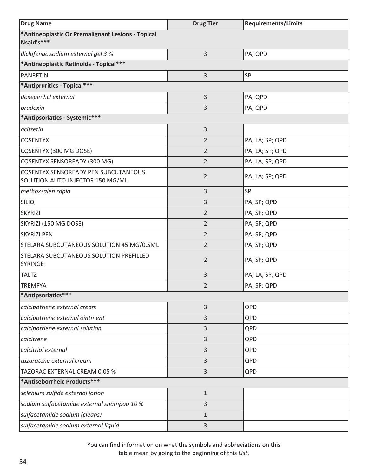| <b>Drug Name</b>                                                                | <b>Drug Tier</b> | <b>Requirements/Limits</b> |
|---------------------------------------------------------------------------------|------------------|----------------------------|
| *Antineoplastic Or Premalignant Lesions - Topical<br>Nsaid's***                 |                  |                            |
| diclofenac sodium external gel 3 %                                              | 3                | PA; QPD                    |
| *Antineoplastic Retinoids - Topical***                                          |                  |                            |
| <b>PANRETIN</b>                                                                 | 3                | SP                         |
| *Antipruritics - Topical***                                                     |                  |                            |
| doxepin hcl external                                                            | 3                | PA; QPD                    |
| prudoxin                                                                        | 3                | PA; QPD                    |
| *Antipsoriatics - Systemic***                                                   |                  |                            |
| acitretin                                                                       | 3                |                            |
| <b>COSENTYX</b>                                                                 | $\overline{2}$   | PA; LA; SP; QPD            |
| COSENTYX (300 MG DOSE)                                                          | $\overline{2}$   | PA; LA; SP; QPD            |
| <b>COSENTYX SENSOREADY (300 MG)</b>                                             | $\overline{2}$   | PA; LA; SP; QPD            |
| <b>COSENTYX SENSOREADY PEN SUBCUTANEOUS</b><br>SOLUTION AUTO-INJECTOR 150 MG/ML | $\overline{2}$   | PA; LA; SP; QPD            |
| methoxsalen rapid                                                               | 3                | SP                         |
| <b>SILIQ</b>                                                                    | 3                | PA; SP; QPD                |
| <b>SKYRIZI</b>                                                                  | $\overline{2}$   | PA; SP; QPD                |
| SKYRIZI (150 MG DOSE)                                                           | $\overline{2}$   | PA; SP; QPD                |
| <b>SKYRIZI PEN</b>                                                              | $\overline{2}$   | PA; SP; QPD                |
| STELARA SUBCUTANEOUS SOLUTION 45 MG/0.5ML                                       | $\overline{2}$   | PA; SP; QPD                |
| STELARA SUBCUTANEOUS SOLUTION PREFILLED<br>SYRINGE                              | $\overline{2}$   | PA; SP; QPD                |
| <b>TALTZ</b>                                                                    | 3                | PA; LA; SP; QPD            |
| <b>TREMFYA</b>                                                                  | $\overline{2}$   | PA; SP; QPD                |
| *Antipsoriatics***                                                              |                  |                            |
| calcipotriene external cream                                                    | 3                | QPD                        |
| calcipotriene external ointment                                                 | 3                | QPD                        |
| calcipotriene external solution                                                 | 3                | QPD                        |
| calcitrene                                                                      | 3                | QPD                        |
| calcitriol external                                                             | 3                | QPD                        |
| tazarotene external cream                                                       | 3                | QPD                        |
| TAZORAC EXTERNAL CREAM 0.05 %                                                   | 3                | QPD                        |
| *Antiseborrheic Products***                                                     |                  |                            |
| selenium sulfide external lotion                                                | $\mathbf{1}$     |                            |
| sodium sulfacetamide external shampoo 10 %                                      | 3                |                            |
| sulfacetamide sodium (cleans)                                                   | $\mathbf{1}$     |                            |
| sulfacetamide sodium external liquid                                            | 3                |                            |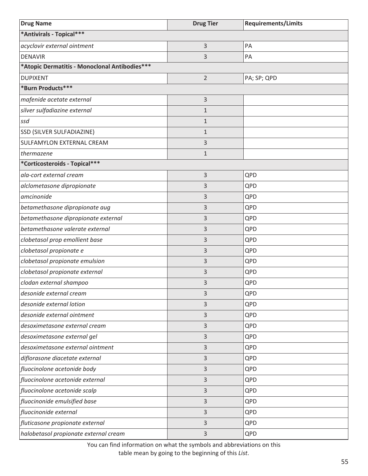| <b>Drug Name</b>                              | <b>Drug Tier</b> | <b>Requirements/Limits</b> |
|-----------------------------------------------|------------------|----------------------------|
| *Antivirals - Topical***                      |                  |                            |
| acyclovir external ointment                   | 3                | PA                         |
| <b>DENAVIR</b>                                | 3                | PA                         |
| *Atopic Dermatitis - Monoclonal Antibodies*** |                  |                            |
| <b>DUPIXENT</b>                               | $\overline{2}$   | PA; SP; QPD                |
| *Burn Products***                             |                  |                            |
| mafenide acetate external                     | 3                |                            |
| silver sulfadiazine external                  | 1                |                            |
| ssd                                           | $\mathbf{1}$     |                            |
| SSD (SILVER SULFADIAZINE)                     | $\mathbf{1}$     |                            |
| SULFAMYLON EXTERNAL CREAM                     | 3                |                            |
| thermazene                                    | $\mathbf{1}$     |                            |
| *Corticosteroids - Topical***                 |                  |                            |
| ala-cort external cream                       | 3                | QPD                        |
| alclometasone dipropionate                    | 3                | QPD                        |
| amcinonide                                    | 3                | QPD                        |
| betamethasone dipropionate aug                | 3                | QPD                        |
| betamethasone dipropionate external           | 3                | QPD                        |
| betamethasone valerate external               | 3                | QPD                        |
| clobetasol prop emollient base                | 3                | QPD                        |
| clobetasol propionate e                       | 3                | QPD                        |
| clobetasol propionate emulsion                | 3                | QPD                        |
| clobetasol propionate external                | 3                | QPD                        |
| clodan external shampoo                       | 3                | QPD                        |
| desonide external cream                       | 3                | QPD                        |
| desonide external lotion                      | 3                | QPD                        |
| desonide external ointment                    | 3                | QPD                        |
| desoximetasone external cream                 | 3                | QPD                        |
| desoximetasone external gel                   | 3                | QPD                        |
| desoximetasone external ointment              | 3                | QPD                        |
| diflorasone diacetate external                | 3                | QPD                        |
| fluocinolone acetonide body                   | 3                | QPD                        |
| fluocinolone acetonide external               | 3                | QPD                        |
| fluocinolone acetonide scalp                  | 3                | QPD                        |
| fluocinonide emulsified base                  | 3                | QPD                        |
| fluocinonide external                         | 3                | QPD                        |
| fluticasone propionate external               | 3                | QPD                        |
| halobetasol propionate external cream         | 3                | QPD                        |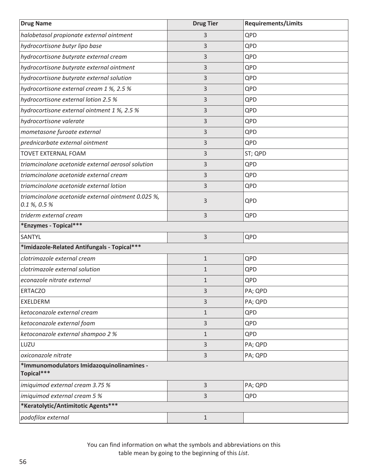| <b>Drug Name</b>                                                      | <b>Drug Tier</b> | <b>Requirements/Limits</b> |
|-----------------------------------------------------------------------|------------------|----------------------------|
| halobetasol propionate external ointment                              | 3                | QPD                        |
| hydrocortisone butyr lipo base                                        | 3                | QPD                        |
| hydrocortisone butyrate external cream                                | 3                | QPD                        |
| hydrocortisone butyrate external ointment                             | 3                | QPD                        |
| hydrocortisone butyrate external solution                             | 3                | QPD                        |
| hydrocortisone external cream 1 %, 2.5 %                              | 3                | QPD                        |
| hydrocortisone external lotion 2.5 %                                  | 3                | QPD                        |
| hydrocortisone external ointment 1 %, 2.5 %                           | 3                | QPD                        |
| hydrocortisone valerate                                               | 3                | QPD                        |
| mometasone furoate external                                           | 3                | QPD                        |
| prednicarbate external ointment                                       | 3                | QPD                        |
| <b>TOVET EXTERNAL FOAM</b>                                            | 3                | ST; QPD                    |
| triamcinolone acetonide external aerosol solution                     | 3                | QPD                        |
| triamcinolone acetonide external cream                                | 3                | QPD                        |
| triamcinolone acetonide external lotion                               | 3                | QPD                        |
| triamcinolone acetonide external ointment 0.025 %,<br>$0.1\%$ , 0.5 % | 3                | QPD                        |
| triderm external cream                                                | 3                | QPD                        |
| *Enzymes - Topical***                                                 |                  |                            |
| SANTYL                                                                | 3                | QPD                        |
| *Imidazole-Related Antifungals - Topical***                           |                  |                            |
| clotrimazole external cream                                           | $1\,$            | QPD                        |
| clotrimazole external solution                                        | $\mathbf{1}$     | QPD                        |
| econazole nitrate external                                            | $\mathbf{1}$     | QPD                        |
| <b>ERTACZO</b>                                                        | 3                | PA; QPD                    |
| <b>EXELDERM</b>                                                       | 3                | PA; QPD                    |
| ketoconazole external cream                                           | $\mathbf{1}$     | QPD                        |
| ketoconazole external foam                                            | 3                | QPD                        |
| ketoconazole external shampoo 2 %                                     | $1\,$            | QPD                        |
| LUZU                                                                  | $\mathsf{3}$     | PA; QPD                    |
| oxiconazole nitrate                                                   | $\mathsf{3}$     | PA; QPD                    |
| *Immunomodulators Imidazoquinolinamines -<br>Topical***               |                  |                            |
| imiquimod external cream 3.75 %                                       | 3                | PA; QPD                    |
| imiquimod external cream 5 %                                          | 3                | QPD                        |
| *Keratolytic/Antimitotic Agents***                                    |                  |                            |
| podofilox external                                                    | $1\,$            |                            |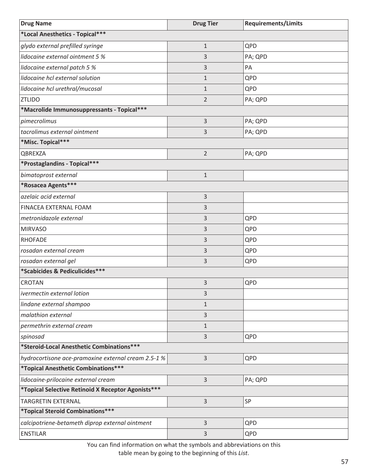| <b>Drug Name</b>                                    | <b>Drug Tier</b> | <b>Requirements/Limits</b> |
|-----------------------------------------------------|------------------|----------------------------|
| *Local Anesthetics - Topical***                     |                  |                            |
| glydo external prefilled syringe                    | $1\,$            | QPD                        |
| lidocaine external ointment 5 %                     | 3                | PA; QPD                    |
| lidocaine external patch 5 %                        | 3                | PA                         |
| lidocaine hcl external solution                     | $\mathbf{1}$     | QPD                        |
| lidocaine hcl urethral/mucosal                      | $\mathbf{1}$     | QPD                        |
| <b>ZTLIDO</b>                                       | $\overline{2}$   | PA; QPD                    |
| *Macrolide Immunosuppressants - Topical***          |                  |                            |
| pimecrolimus                                        | 3                | PA; QPD                    |
| tacrolimus external ointment                        | 3                | PA; QPD                    |
| *Misc. Topical***                                   |                  |                            |
| QBREXZA                                             | $\overline{2}$   | PA; QPD                    |
| *Prostaglandins - Topical***                        |                  |                            |
| bimatoprost external                                | $1\,$            |                            |
| *Rosacea Agents***                                  |                  |                            |
| azelaic acid external                               | 3                |                            |
| FINACEA EXTERNAL FOAM                               | 3                |                            |
| metronidazole external                              | 3                | QPD                        |
| <b>MIRVASO</b>                                      | 3                | QPD                        |
| <b>RHOFADE</b>                                      | 3                | QPD                        |
| rosadan external cream                              | 3                | QPD                        |
| rosadan external gel                                | 3                | QPD                        |
| *Scabicides & Pediculicides***                      |                  |                            |
| <b>CROTAN</b>                                       | 3                | QPD                        |
| ivermectin external lotion                          | 3                |                            |
| lindane external shampoo                            | $\mathbf{1}$     |                            |
| malathion external                                  | 3                |                            |
| permethrin external cream                           | $\mathbf{1}$     |                            |
| spinosad                                            | 3                | QPD                        |
| *Steroid-Local Anesthetic Combinations***           |                  |                            |
| hydrocortisone ace-pramoxine external cream 2.5-1 % | 3                | QPD                        |
| *Topical Anesthetic Combinations***                 |                  |                            |
| lidocaine-prilocaine external cream                 | 3                | PA; QPD                    |
| *Topical Selective Retinoid X Receptor Agonists***  |                  |                            |
| <b>TARGRETIN EXTERNAL</b>                           | 3                | SP                         |
| *Topical Steroid Combinations***                    |                  |                            |
| calcipotriene-betameth diprop external ointment     | 3                | QPD                        |
| <b>ENSTILAR</b>                                     | 3                | QPD                        |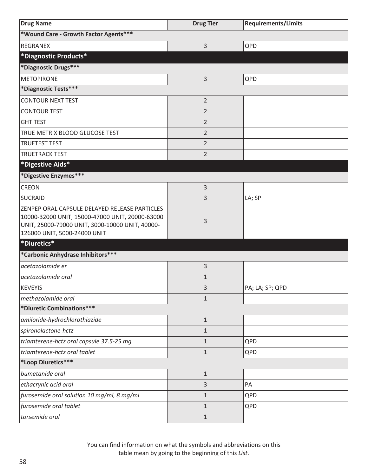| <b>Drug Name</b>                                                                                                                                                                    | <b>Drug Tier</b> | <b>Requirements/Limits</b> |
|-------------------------------------------------------------------------------------------------------------------------------------------------------------------------------------|------------------|----------------------------|
| *Wound Care - Growth Factor Agents***                                                                                                                                               |                  |                            |
| <b>REGRANEX</b>                                                                                                                                                                     | 3                | QPD                        |
| *Diagnostic Products*                                                                                                                                                               |                  |                            |
| *Diagnostic Drugs***                                                                                                                                                                |                  |                            |
| <b>METOPIRONE</b>                                                                                                                                                                   | 3                | QPD                        |
| *Diagnostic Tests***                                                                                                                                                                |                  |                            |
| <b>CONTOUR NEXT TEST</b>                                                                                                                                                            | $\overline{2}$   |                            |
| <b>CONTOUR TEST</b>                                                                                                                                                                 | 2                |                            |
| <b>GHT TEST</b>                                                                                                                                                                     | 2                |                            |
| TRUE METRIX BLOOD GLUCOSE TEST                                                                                                                                                      | $\overline{2}$   |                            |
| <b>TRUETEST TEST</b>                                                                                                                                                                | 2                |                            |
| <b>TRUETRACK TEST</b>                                                                                                                                                               | $\overline{2}$   |                            |
| *Digestive Aids*                                                                                                                                                                    |                  |                            |
| *Digestive Enzymes***                                                                                                                                                               |                  |                            |
| <b>CREON</b>                                                                                                                                                                        | 3                |                            |
| <b>SUCRAID</b>                                                                                                                                                                      | 3                | LA; SP                     |
| ZENPEP ORAL CAPSULE DELAYED RELEASE PARTICLES<br>10000-32000 UNIT, 15000-47000 UNIT, 20000-63000<br>UNIT, 25000-79000 UNIT, 3000-10000 UNIT, 40000-<br>126000 UNIT, 5000-24000 UNIT | 3                |                            |
| *Diuretics*                                                                                                                                                                         |                  |                            |
| *Carbonic Anhydrase Inhibitors ***                                                                                                                                                  |                  |                            |
| acetazolamide er                                                                                                                                                                    | 3                |                            |
| acetazolamide oral                                                                                                                                                                  | $\mathbf{1}$     |                            |
| <b>KEVEYIS</b>                                                                                                                                                                      | 3                | PA; LA; SP; QPD            |
| methazolamide oral                                                                                                                                                                  | $\mathbf 1$      |                            |
| *Diuretic Combinations ***                                                                                                                                                          |                  |                            |
| amiloride-hydrochlorothiazide                                                                                                                                                       | $\mathbf{1}$     |                            |
| spironolactone-hctz                                                                                                                                                                 | 1                |                            |
| triamterene-hctz oral capsule 37.5-25 mg                                                                                                                                            | $\mathbf{1}$     | QPD                        |
| triamterene-hctz oral tablet                                                                                                                                                        | $\mathbf{1}$     | QPD                        |
| *Loop Diuretics***                                                                                                                                                                  |                  |                            |
| bumetanide oral                                                                                                                                                                     | $\mathbf{1}$     |                            |
| ethacrynic acid oral                                                                                                                                                                | 3                | PA                         |
| furosemide oral solution 10 mg/ml, 8 mg/ml                                                                                                                                          | 1                | QPD                        |
| furosemide oral tablet                                                                                                                                                              | $\mathbf{1}$     | QPD                        |
| torsemide oral                                                                                                                                                                      | $\mathbf{1}$     |                            |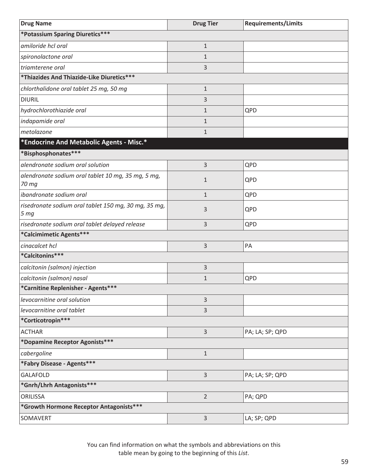| <b>Drug Name</b>                                                        | <b>Drug Tier</b> | <b>Requirements/Limits</b> |
|-------------------------------------------------------------------------|------------------|----------------------------|
| *Potassium Sparing Diuretics***                                         |                  |                            |
| amiloride hcl oral                                                      | $\mathbf 1$      |                            |
| spironolactone oral                                                     | 1                |                            |
| triamterene oral                                                        | 3                |                            |
| *Thiazides And Thiazide-Like Diuretics***                               |                  |                            |
| chlorthalidone oral tablet 25 mg, 50 mg                                 | $\mathbf{1}$     |                            |
| <b>DIURIL</b>                                                           | 3                |                            |
| hydrochlorothiazide oral                                                | 1                | QPD                        |
| indapamide oral                                                         | $\mathbf{1}$     |                            |
| metolazone                                                              | $\mathbf{1}$     |                            |
| *Endocrine And Metabolic Agents - Misc.*                                |                  |                            |
| *Bisphosphonates***                                                     |                  |                            |
| alendronate sodium oral solution                                        | 3                | QPD                        |
| alendronate sodium oral tablet 10 mg, 35 mg, 5 mg,<br>70 mg             | $\mathbf{1}$     | QPD                        |
| ibandronate sodium oral                                                 | $\mathbf{1}$     | QPD                        |
| risedronate sodium oral tablet 150 mg, 30 mg, 35 mg,<br>5 <sub>mg</sub> | 3                | QPD                        |
| risedronate sodium oral tablet delayed release                          | 3                | QPD                        |
| *Calcimimetic Agents***                                                 |                  |                            |
| cinacalcet hcl                                                          | 3                | PA                         |
| *Calcitonins***                                                         |                  |                            |
| calcitonin (salmon) injection                                           | 3                |                            |
| calcitonin (salmon) nasal                                               | $\mathbf{1}$     | QPD                        |
| *Carnitine Replenisher - Agents***                                      |                  |                            |
| levocarnitine oral solution                                             | 3                |                            |
| levocarnitine oral tablet                                               | 3                |                            |
| *Corticotropin***                                                       |                  |                            |
| <b>ACTHAR</b>                                                           | 3                | PA; LA; SP; QPD            |
| *Dopamine Receptor Agonists***                                          |                  |                            |
| cabergoline                                                             | $\mathbf{1}$     |                            |
| *Fabry Disease - Agents***                                              |                  |                            |
| <b>GALAFOLD</b>                                                         | 3                | PA; LA; SP; QPD            |
| *Gnrh/Lhrh Antagonists***                                               |                  |                            |
| ORILISSA                                                                | $\overline{2}$   | PA; QPD                    |
| *Growth Hormone Receptor Antagonists ***                                |                  |                            |
| SOMAVERT                                                                | 3                | LA; SP; QPD                |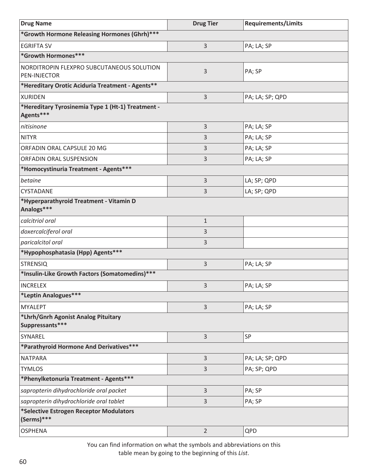| <b>Drug Name</b>                                               | <b>Drug Tier</b> | <b>Requirements/Limits</b> |
|----------------------------------------------------------------|------------------|----------------------------|
| *Growth Hormone Releasing Hormones (Ghrh)***                   |                  |                            |
| <b>EGRIFTA SV</b>                                              | 3                | PA; LA; SP                 |
| *Growth Hormones***                                            |                  |                            |
| NORDITROPIN FLEXPRO SUBCUTANEOUS SOLUTION<br>PEN-INJECTOR      | 3                | PA; SP                     |
| *Hereditary Orotic Aciduria Treatment - Agents**               |                  |                            |
| <b>XURIDEN</b>                                                 | 3                | PA; LA; SP; QPD            |
| *Hereditary Tyrosinemia Type 1 (Ht-1) Treatment -<br>Agents*** |                  |                            |
| nitisinone                                                     | 3                | PA; LA; SP                 |
| <b>NITYR</b>                                                   | 3                | PA; LA; SP                 |
| ORFADIN ORAL CAPSULE 20 MG                                     | 3                | PA; LA; SP                 |
| ORFADIN ORAL SUSPENSION                                        | 3                | PA; LA; SP                 |
| *Homocystinuria Treatment - Agents***                          |                  |                            |
| betaine                                                        | 3                | LA; SP; QPD                |
| CYSTADANE                                                      | 3                | LA; SP; QPD                |
| *Hyperparathyroid Treatment - Vitamin D<br>Analogs***          |                  |                            |
| calcitriol oral                                                | $\mathbf{1}$     |                            |
| doxercalciferol oral                                           | 3                |                            |
| paricalcitol oral                                              | 3                |                            |
| *Hypophosphatasia (Hpp) Agents***                              |                  |                            |
| <b>STRENSIQ</b>                                                | 3                | PA; LA; SP                 |
| *Insulin-Like Growth Factors (Somatomedins)***                 |                  |                            |
| <b>INCRELEX</b>                                                | 3                | PA; LA; SP                 |
| *Leptin Analogues***                                           |                  |                            |
| <b>MYALEPT</b>                                                 | 3                | PA; LA; SP                 |
| *Lhrh/Gnrh Agonist Analog Pituitary<br>Suppressants***         |                  |                            |
| SYNAREL                                                        | 3                | SP                         |
| *Parathyroid Hormone And Derivatives***                        |                  |                            |
| <b>NATPARA</b>                                                 | 3                | PA; LA; SP; QPD            |
| <b>TYMLOS</b>                                                  | 3                | PA; SP; QPD                |
| *Phenylketonuria Treatment - Agents***                         |                  |                            |
| sapropterin dihydrochloride oral packet                        | 3                | PA; SP                     |
| sapropterin dihydrochloride oral tablet                        | 3                | PA; SP                     |
| *Selective Estrogen Receptor Modulators<br>(Serms)***          |                  |                            |
| <b>OSPHENA</b>                                                 | $\overline{2}$   | QPD                        |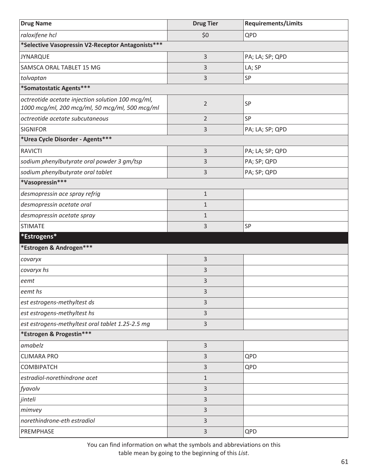| <b>Drug Name</b>                                                                                    | <b>Drug Tier</b> | <b>Requirements/Limits</b> |
|-----------------------------------------------------------------------------------------------------|------------------|----------------------------|
| raloxifene hcl                                                                                      | \$0              | QPD                        |
| *Selective Vasopressin V2-Receptor Antagonists***                                                   |                  |                            |
| <b>JYNARQUE</b>                                                                                     | 3                | PA; LA; SP; QPD            |
| SAMSCA ORAL TABLET 15 MG                                                                            | 3                | LA; SP                     |
| tolvaptan                                                                                           | 3                | SP                         |
| *Somatostatic Agents***                                                                             |                  |                            |
| octreotide acetate injection solution 100 mcg/ml,<br>1000 mcg/ml, 200 mcg/ml, 50 mcg/ml, 500 mcg/ml | $\overline{2}$   | SP                         |
| octreotide acetate subcutaneous                                                                     | $\overline{2}$   | SP                         |
| <b>SIGNIFOR</b>                                                                                     | 3                | PA; LA; SP; QPD            |
| *Urea Cycle Disorder - Agents***                                                                    |                  |                            |
| <b>RAVICTI</b>                                                                                      | $\mathsf{3}$     | PA; LA; SP; QPD            |
| sodium phenylbutyrate oral powder 3 gm/tsp                                                          | 3                | PA; SP; QPD                |
| sodium phenylbutyrate oral tablet                                                                   | 3                | PA; SP; QPD                |
| *Vasopressin***                                                                                     |                  |                            |
| desmopressin ace spray refrig                                                                       | $\mathbf{1}$     |                            |
| desmopressin acetate oral                                                                           | $\mathbf{1}$     |                            |
| desmopressin acetate spray                                                                          | $\mathbf{1}$     |                            |
| <b>STIMATE</b>                                                                                      | 3                | SP                         |
| *Estrogens*                                                                                         |                  |                            |
| *Estrogen & Androgen***                                                                             |                  |                            |
| covaryx                                                                                             | 3                |                            |
| covaryx hs                                                                                          | 3                |                            |
| eemt                                                                                                | 3                |                            |
| eemt hs                                                                                             | 3                |                            |
| est estrogens-methyltest ds                                                                         | 3                |                            |
| est estrogens-methyltest hs                                                                         | 3                |                            |
| est estrogens-methyltest oral tablet 1.25-2.5 mg                                                    | 3                |                            |
| *Estrogen & Progestin***                                                                            |                  |                            |
| amabelz                                                                                             | 3                |                            |
| <b>CLIMARA PRO</b>                                                                                  | 3                | QPD                        |
| <b>COMBIPATCH</b>                                                                                   | 3                | QPD                        |
| estradiol-norethindrone acet                                                                        | $\mathbf{1}$     |                            |
| fyavolv                                                                                             | 3                |                            |
| jinteli                                                                                             | 3                |                            |
| mimvey                                                                                              | 3                |                            |
| norethindrone-eth estradiol                                                                         | 3                |                            |
| PREMPHASE                                                                                           | 3                | QPD                        |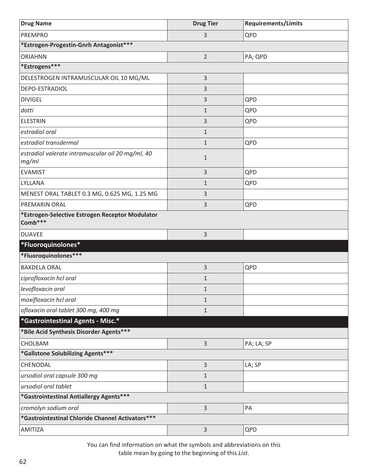| <b>Drug Name</b>                                           | <b>Drug Tier</b> | <b>Requirements/Limits</b> |
|------------------------------------------------------------|------------------|----------------------------|
| <b>PREMPRO</b>                                             | 3                | QPD                        |
| *Estrogen-Progestin-Gnrh Antagonist***                     |                  |                            |
| <b>ORIAHNN</b>                                             | $\overline{2}$   | PA; QPD                    |
| *Estrogens***                                              |                  |                            |
| DELESTROGEN INTRAMUSCULAR OIL 10 MG/ML                     | 3                |                            |
| DEPO-ESTRADIOL                                             | 3                |                            |
| <b>DIVIGEL</b>                                             | 3                | QPD                        |
| dotti                                                      | $\mathbf{1}$     | QPD                        |
| <b>ELESTRIN</b>                                            | 3                | QPD                        |
| estradiol oral                                             | $\mathbf{1}$     |                            |
| estradiol transdermal                                      | $\mathbf{1}$     | QPD                        |
| estradiol valerate intramuscular oil 20 mg/ml, 40<br>mg/ml | $\mathbf{1}$     |                            |
| <b>EVAMIST</b>                                             | 3                | QPD                        |
| LYLLANA                                                    | 1                | QPD                        |
| MENEST ORAL TABLET 0.3 MG, 0.625 MG, 1.25 MG               | 3                |                            |
| PREMARIN ORAL                                              | 3                | QPD                        |
| *Estrogen-Selective Estrogen Receptor Modulator<br>Comb*** |                  |                            |
| <b>DUAVEE</b>                                              | 3                |                            |
| *Fluoroquinolones*                                         |                  |                            |
| *Fluoroquinolones***                                       |                  |                            |
| <b>BAXDELA ORAL</b>                                        | 3                | QPD                        |
| ciprofloxacin hcl oral                                     | $\mathbf 1$      |                            |
| levofloxacin oral                                          | $\mathbf 1$      |                            |
| moxifloxacin hcl oral                                      | $\mathbf{1}$     |                            |
| ofloxacin oral tablet 300 mg, 400 mg                       | $\mathbf{1}$     |                            |
| *Gastrointestinal Agents - Misc.*                          |                  |                            |
| *Bile Acid Synthesis Disorder Agents***                    |                  |                            |
| CHOLBAM                                                    | 3                | PA; LA; SP                 |
| *Gallstone Solubilizing Agents***                          |                  |                            |
| CHENODAL                                                   | 3                | LA; SP                     |
| ursodiol oral capsule 300 mg                               | $\mathbf{1}$     |                            |
| ursodiol oral tablet                                       | $\mathbf{1}$     |                            |
| *Gastrointestinal Antiallergy Agents***                    |                  |                            |
| cromolyn sodium oral                                       | 3                | PA                         |
| *Gastrointestinal Chloride Channel Activators***           |                  |                            |
| AMITIZA                                                    | 3                | QPD                        |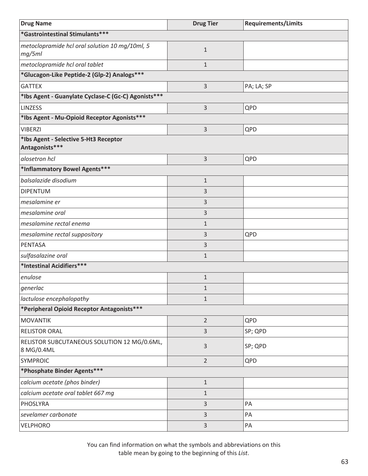| <b>Drug Name</b>                                          | <b>Drug Tier</b> | <b>Requirements/Limits</b> |
|-----------------------------------------------------------|------------------|----------------------------|
| *Gastrointestinal Stimulants***                           |                  |                            |
| metoclopramide hcl oral solution 10 mg/10ml, 5<br>mg/5ml  | $1\,$            |                            |
| metoclopramide hcl oral tablet                            | $\mathbf{1}$     |                            |
| *Glucagon-Like Peptide-2 (Glp-2) Analogs***               |                  |                            |
| <b>GATTEX</b>                                             | $\overline{3}$   | PA; LA; SP                 |
| *Ibs Agent - Guanylate Cyclase-C (Gc-C) Agonists ***      |                  |                            |
| <b>LINZESS</b>                                            | $\overline{3}$   | QPD                        |
| *Ibs Agent - Mu-Opioid Receptor Agonists***               |                  |                            |
| <b>VIBERZI</b>                                            | $\overline{3}$   | QPD                        |
| *Ibs Agent - Selective 5-Ht3 Receptor<br>Antagonists***   |                  |                            |
| alosetron hcl                                             | 3                | QPD                        |
| *Inflammatory Bowel Agents***                             |                  |                            |
| balsalazide disodium                                      | $1\,$            |                            |
| <b>DIPENTUM</b>                                           | 3                |                            |
| mesalamine er                                             | 3                |                            |
| mesalamine oral                                           | $\mathsf{3}$     |                            |
| mesalamine rectal enema                                   | $1\,$            |                            |
| mesalamine rectal suppository                             | 3                | QPD                        |
| <b>PENTASA</b>                                            | 3                |                            |
| sulfasalazine oral                                        | $1\,$            |                            |
| *Intestinal Acidifiers***                                 |                  |                            |
| enulose                                                   | $1\,$            |                            |
| generlac                                                  | 1                |                            |
| lactulose encephalopathy                                  | $1\,$            |                            |
| *Peripheral Opioid Receptor Antagonists***                |                  |                            |
| <b>MOVANTIK</b>                                           | $\overline{2}$   | QPD                        |
| <b>RELISTOR ORAL</b>                                      | 3                | SP; QPD                    |
| RELISTOR SUBCUTANEOUS SOLUTION 12 MG/0.6ML,<br>8 MG/0.4ML | $\mathsf{3}$     | SP; QPD                    |
| <b>SYMPROIC</b>                                           | $\overline{2}$   | QPD                        |
| *Phosphate Binder Agents***                               |                  |                            |
| calcium acetate (phos binder)                             | $1\,$            |                            |
| calcium acetate oral tablet 667 mg                        | $\mathbf{1}$     |                            |
| PHOSLYRA                                                  | 3                | PA                         |
| sevelamer carbonate                                       | $\mathsf{3}$     | PA                         |
| VELPHORO                                                  | 3                | PA                         |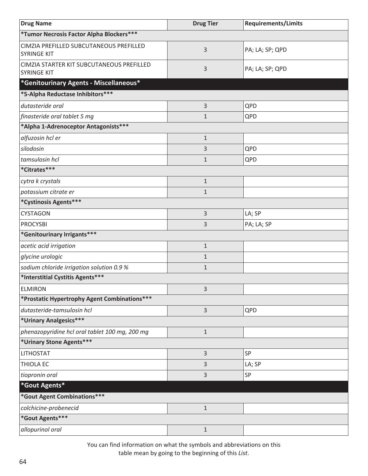| <b>Drug Name</b>                                                | <b>Drug Tier</b> | <b>Requirements/Limits</b> |
|-----------------------------------------------------------------|------------------|----------------------------|
| *Tumor Necrosis Factor Alpha Blockers***                        |                  |                            |
| CIMZIA PREFILLED SUBCUTANEOUS PREFILLED<br><b>SYRINGE KIT</b>   | 3                | PA; LA; SP; QPD            |
| CIMZIA STARTER KIT SUBCUTANEOUS PREFILLED<br><b>SYRINGE KIT</b> | 3                | PA; LA; SP; QPD            |
| *Genitourinary Agents - Miscellaneous*                          |                  |                            |
| *5-Alpha Reductase Inhibitors ***                               |                  |                            |
| dutasteride oral                                                | 3                | QPD                        |
| finasteride oral tablet 5 mg                                    | $\mathbf{1}$     | QPD                        |
| *Alpha 1-Adrenoceptor Antagonists***                            |                  |                            |
| alfuzosin hcl er                                                | $\mathbf{1}$     |                            |
| silodosin                                                       | 3                | QPD                        |
| tamsulosin hcl                                                  | $\mathbf 1$      | QPD                        |
| *Citrates***                                                    |                  |                            |
| cytra k crystals                                                | $\mathbf{1}$     |                            |
| potassium citrate er                                            | $\mathbf 1$      |                            |
| *Cystinosis Agents***                                           |                  |                            |
| <b>CYSTAGON</b>                                                 | 3                | LA; SP                     |
| <b>PROCYSBI</b>                                                 | 3                | PA; LA; SP                 |
| *Genitourinary Irrigants***                                     |                  |                            |
| acetic acid irrigation                                          | $\mathbf{1}$     |                            |
| glycine urologic                                                | $\mathbf 1$      |                            |
| sodium chloride irrigation solution 0.9 %                       | $\mathbf{1}$     |                            |
| *Interstitial Cystitis Agents***                                |                  |                            |
| <b>ELMIRON</b>                                                  | 3                |                            |
| *Prostatic Hypertrophy Agent Combinations ***                   |                  |                            |
| dutasteride-tamsulosin hcl                                      | 3                | QPD                        |
| *Urinary Analgesics***                                          |                  |                            |
| phenazopyridine hcl oral tablet 100 mg, 200 mg                  | $\mathbf 1$      |                            |
| *Urinary Stone Agents***                                        |                  |                            |
| <b>LITHOSTAT</b>                                                | 3                | SP                         |
| THIOLA EC                                                       | 3                | LA; SP                     |
| tiopronin oral                                                  | 3                | SP                         |
| *Gout Agents*                                                   |                  |                            |
| *Gout Agent Combinations***                                     |                  |                            |
| colchicine-probenecid                                           | $1\,$            |                            |
| *Gout Agents***                                                 |                  |                            |
| allopurinol oral                                                | $1\,$            |                            |

You can find information on what the symbols and abbreviations on this

table mean by going to the beginning of this *List*.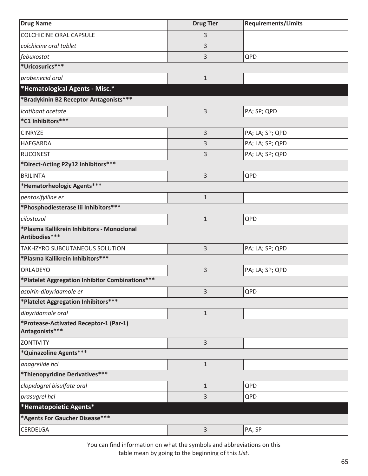| <b>Drug Name</b>                                            | <b>Drug Tier</b> | <b>Requirements/Limits</b> |
|-------------------------------------------------------------|------------------|----------------------------|
| <b>COLCHICINE ORAL CAPSULE</b>                              | 3                |                            |
| colchicine oral tablet                                      | 3                |                            |
| febuxostat                                                  | 3                | QPD                        |
| *Uricosurics***                                             |                  |                            |
| probenecid oral                                             | $\mathbf{1}$     |                            |
| *Hematological Agents - Misc.*                              |                  |                            |
| *Bradykinin B2 Receptor Antagonists***                      |                  |                            |
| icatibant acetate                                           | 3                | PA; SP; QPD                |
| *C1 Inhibitors***                                           |                  |                            |
| <b>CINRYZE</b>                                              | 3                | PA; LA; SP; QPD            |
| HAEGARDA                                                    | 3                | PA; LA; SP; QPD            |
| <b>RUCONEST</b>                                             | 3                | PA; LA; SP; QPD            |
| *Direct-Acting P2y12 Inhibitors ***                         |                  |                            |
| <b>BRILINTA</b>                                             | 3                | QPD                        |
| *Hematorheologic Agents***                                  |                  |                            |
| pentoxifylline er                                           | $\mathbf{1}$     |                            |
| *Phosphodiesterase lii Inhibitors***                        |                  |                            |
| cilostazol                                                  | $\mathbf{1}$     | QPD                        |
| *Plasma Kallikrein Inhibitors - Monoclonal<br>Antibodies*** |                  |                            |
| TAKHZYRO SUBCUTANEOUS SOLUTION                              | 3                | PA; LA; SP; QPD            |
| *Plasma Kallikrein Inhibitors***                            |                  |                            |
| ORLADEYO                                                    | 3                | PA; LA; SP; QPD            |
| *Platelet Aggregation Inhibitor Combinations***             |                  |                            |
| aspirin-dipyridamole er                                     | 3                | QPD                        |
| *Platelet Aggregation Inhibitors ***                        |                  |                            |
| dipyridamole oral                                           | $1\,$            |                            |
| *Protease-Activated Receptor-1 (Par-1)<br>Antagonists***    |                  |                            |
| ZONTIVITY                                                   | 3                |                            |
| *Quinazoline Agents***                                      |                  |                            |
| anagrelide hcl                                              | $\mathbf{1}$     |                            |
| *Thienopyridine Derivatives***                              |                  |                            |
| clopidogrel bisulfate oral                                  | $\mathbf{1}$     | QPD                        |
| prasugrel hcl                                               | 3                | QPD                        |
| *Hematopoietic Agents*                                      |                  |                            |
| *Agents For Gaucher Disease***                              |                  |                            |
| CERDELGA                                                    | 3                | PA; SP                     |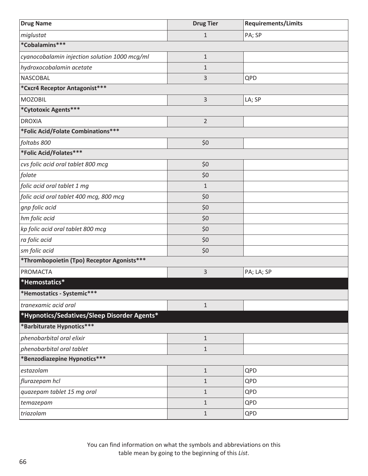| <b>Drug Name</b>                              | <b>Drug Tier</b> | <b>Requirements/Limits</b> |
|-----------------------------------------------|------------------|----------------------------|
| miglustat                                     | $\mathbf{1}$     | PA; SP                     |
| *Cobalamins***                                |                  |                            |
| cyanocobalamin injection solution 1000 mcg/ml | $\mathbf{1}$     |                            |
| hydroxocobalamin acetate                      | $\mathbf{1}$     |                            |
| <b>NASCOBAL</b>                               | 3                | QPD                        |
| *Cxcr4 Receptor Antagonist***                 |                  |                            |
| <b>MOZOBIL</b>                                | 3                | LA; SP                     |
| *Cytotoxic Agents***                          |                  |                            |
| <b>DROXIA</b>                                 | $\overline{2}$   |                            |
| *Folic Acid/Folate Combinations***            |                  |                            |
| foltabs 800                                   | \$0              |                            |
| *Folic Acid/Folates***                        |                  |                            |
| cvs folic acid oral tablet 800 mcg            | \$0              |                            |
| folate                                        | \$0              |                            |
| folic acid oral tablet 1 mg                   | $\mathbf{1}$     |                            |
| folic acid oral tablet 400 mcg, 800 mcg       | \$0              |                            |
| gnp folic acid                                | \$0              |                            |
| hm folic acid                                 | \$0              |                            |
| kp folic acid oral tablet 800 mcg             | \$0              |                            |
| ra folic acid                                 | \$0              |                            |
| sm folic acid                                 | \$0              |                            |
| *Thrombopoietin (Tpo) Receptor Agonists***    |                  |                            |
| PROMACTA                                      | 3                | PA; LA; SP                 |
| *Hemostatics*                                 |                  |                            |
| *Hemostatics - Systemic***                    |                  |                            |
| tranexamic acid oral                          | $\mathbf{1}$     |                            |
| *Hypnotics/Sedatives/Sleep Disorder Agents*   |                  |                            |
| *Barbiturate Hypnotics***                     |                  |                            |
| phenobarbital oral elixir                     | $\mathbf 1$      |                            |
| phenobarbital oral tablet                     | $\mathbf{1}$     |                            |
| *Benzodiazepine Hypnotics***                  |                  |                            |
| estazolam                                     | $\mathbf{1}$     | QPD                        |
| flurazepam hcl                                | $\mathbf{1}$     | QPD                        |
| quazepam tablet 15 mg oral                    | $\mathbf{1}$     | QPD                        |
| temazepam                                     | $\mathbf{1}$     | QPD                        |
| triazolam                                     | $\mathbf{1}$     | QPD                        |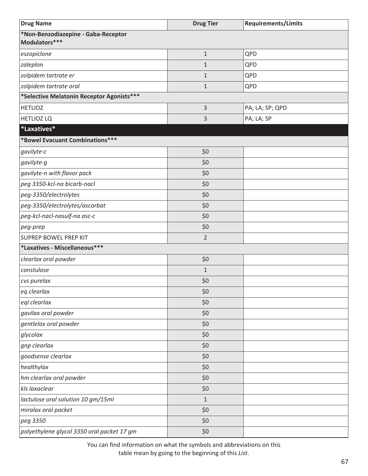| <b>Drug Name</b>                                     | <b>Drug Tier</b> | <b>Requirements/Limits</b> |
|------------------------------------------------------|------------------|----------------------------|
| *Non-Benzodiazepine - Gaba-Receptor<br>Modulators*** |                  |                            |
| eszopiclone                                          | $1\,$            | QPD                        |
| zaleplon                                             | $\mathbf{1}$     | QPD                        |
| zolpidem tartrate er                                 | $\mathbf{1}$     | QPD                        |
| zolpidem tartrate oral                               | $\mathbf{1}$     | QPD                        |
| *Selective Melatonin Receptor Agonists***            |                  |                            |
| <b>HETLIOZ</b>                                       | 3                | PA; LA; SP; QPD            |
| <b>HETLIOZ LQ</b>                                    | 3                | PA; LA; SP                 |
| *Laxatives*                                          |                  |                            |
| *Bowel Evacuant Combinations***                      |                  |                            |
| gavilyte-c                                           | \$0              |                            |
| gavilyte-g                                           | \$0              |                            |
| gavilyte-n with flavor pack                          | \$0              |                            |
| peg 3350-kcl-na bicarb-nacl                          | \$0              |                            |
| peg-3350/electrolytes                                | \$0              |                            |
| peg-3350/electrolytes/ascorbat                       | \$0              |                            |
| peg-kcl-nacl-nasulf-na asc-c                         | \$0              |                            |
| peg-prep                                             | \$0              |                            |
| <b>SUPREP BOWEL PREP KIT</b>                         | $\overline{2}$   |                            |
| *Laxatives - Miscellaneous***                        |                  |                            |
| clearlax oral powder                                 | \$0              |                            |
| constulose                                           | $1\,$            |                            |
| cvs purelax                                          | \$0              |                            |
| eq clearlax                                          | \$0\$            |                            |
| eql clearlax                                         | \$0              |                            |
| gavilax oral powder                                  | \$0              |                            |
| gentlelax oral powder                                | \$0              |                            |
| glycolax                                             | \$0              |                            |
| gnp clearlax                                         | \$0              |                            |
| goodsense clearlax                                   | \$0              |                            |
| healthylax                                           | \$0              |                            |
| hm clearlax oral powder                              | \$0              |                            |
| kls laxaclear                                        | \$0              |                            |
| lactulose oral solution 10 gm/15ml                   | $1\,$            |                            |
| miralax oral packet                                  | \$0              |                            |
| peg 3350                                             | \$0              |                            |
| polyethylene glycol 3350 oral packet 17 gm           | \$0              |                            |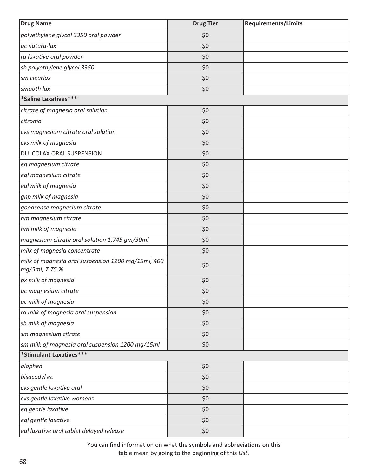| <b>Drug Name</b>                                                     | <b>Drug Tier</b> | <b>Requirements/Limits</b> |
|----------------------------------------------------------------------|------------------|----------------------------|
| polyethylene glycol 3350 oral powder                                 | \$0              |                            |
| qc natura-lax                                                        | \$0              |                            |
| ra laxative oral powder                                              | \$0              |                            |
| sb polyethylene glycol 3350                                          | \$0              |                            |
| sm clearlax                                                          | \$0              |                            |
| smooth lax                                                           | \$0              |                            |
| *Saline Laxatives***                                                 |                  |                            |
| citrate of magnesia oral solution                                    | \$0              |                            |
| citroma                                                              | \$0              |                            |
| cvs magnesium citrate oral solution                                  | \$0              |                            |
| cvs milk of magnesia                                                 | \$0              |                            |
| DULCOLAX ORAL SUSPENSION                                             | \$0              |                            |
| eq magnesium citrate                                                 | \$0              |                            |
| eql magnesium citrate                                                | \$0              |                            |
| eql milk of magnesia                                                 | \$0              |                            |
| gnp milk of magnesia                                                 | \$0              |                            |
| goodsense magnesium citrate                                          | \$0              |                            |
| hm magnesium citrate                                                 | \$0              |                            |
| hm milk of magnesia                                                  | \$0              |                            |
| magnesium citrate oral solution 1.745 gm/30ml                        | \$0              |                            |
| milk of magnesia concentrate                                         | \$0              |                            |
| milk of magnesia oral suspension 1200 mg/15ml, 400<br>mg/5ml, 7.75 % | \$0              |                            |
| px milk of magnesia                                                  | \$0              |                            |
| qc magnesium citrate                                                 | \$0              |                            |
| qc milk of magnesia                                                  | \$0              |                            |
| ra milk of magnesia oral suspension                                  | \$0              |                            |
| sb milk of magnesia                                                  | \$0              |                            |
| sm magnesium citrate                                                 | \$0              |                            |
| sm milk of magnesia oral suspension 1200 mg/15ml                     | \$0              |                            |
| *Stimulant Laxatives***                                              |                  |                            |
| alophen                                                              | \$0              |                            |
| bisacodyl ec                                                         | \$0              |                            |
| cvs gentle laxative oral                                             | \$0              |                            |
| cvs gentle laxative womens                                           | \$0              |                            |
| eq gentle laxative                                                   | \$0              |                            |
| eql gentle laxative                                                  | \$0              |                            |
| eql laxative oral tablet delayed release                             | \$0              |                            |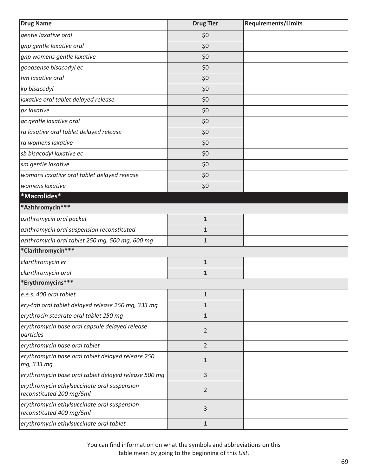| <b>Drug Name</b>                                                        | <b>Drug Tier</b> | <b>Requirements/Limits</b> |
|-------------------------------------------------------------------------|------------------|----------------------------|
| gentle laxative oral                                                    | \$0              |                            |
| gnp gentle laxative oral                                                | \$0              |                            |
| gnp womens gentle laxative                                              | \$0              |                            |
| goodsense bisacodyl ec                                                  | \$0              |                            |
| hm laxative oral                                                        | \$0              |                            |
| kp bisacodyl                                                            | \$0              |                            |
| laxative oral tablet delayed release                                    | \$0              |                            |
| px laxative                                                             | \$0              |                            |
| qc gentle laxative oral                                                 | \$0              |                            |
| ra laxative oral tablet delayed release                                 | \$0              |                            |
| ra womens laxative                                                      | \$0              |                            |
| sb bisacodyl laxative ec                                                | \$0              |                            |
| sm gentle laxative                                                      | \$0              |                            |
| womans laxative oral tablet delayed release                             | \$0              |                            |
| womens laxative                                                         | \$0              |                            |
| *Macrolides*                                                            |                  |                            |
| *Azithromycin***                                                        |                  |                            |
| azithromycin oral packet                                                | $\mathbf{1}$     |                            |
| azithromycin oral suspension reconstituted                              | $\mathbf{1}$     |                            |
| azithromycin oral tablet 250 mg, 500 mg, 600 mg                         | $\mathbf{1}$     |                            |
| *Clarithromycin***                                                      |                  |                            |
| clarithromycin er                                                       | $\mathbf{1}$     |                            |
| clarithromycin oral                                                     | $\mathbf{1}$     |                            |
| *Erythromycins***                                                       |                  |                            |
| e.e.s. 400 oral tablet                                                  | $\mathbf{1}$     |                            |
| ery-tab oral tablet delayed release 250 mg, 333 mg                      | $\mathbf{1}$     |                            |
| erythrocin stearate oral tablet 250 mg                                  | $\mathbf{1}$     |                            |
| erythromycin base oral capsule delayed release<br>particles             | 2                |                            |
| erythromycin base oral tablet                                           | $\overline{2}$   |                            |
| erythromycin base oral tablet delayed release 250<br>mg, 333 mg         | $\mathbf{1}$     |                            |
| erythromycin base oral tablet delayed release 500 mg                    | 3                |                            |
| erythromycin ethylsuccinate oral suspension<br>reconstituted 200 mg/5ml | $\overline{2}$   |                            |
| erythromycin ethylsuccinate oral suspension<br>reconstituted 400 mg/5ml | 3                |                            |
| erythromycin ethylsuccinate oral tablet                                 | $\mathbf{1}$     |                            |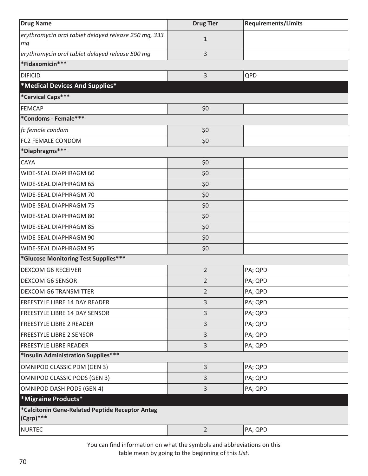| <b>Drug Name</b>                                                | <b>Drug Tier</b> | <b>Requirements/Limits</b> |
|-----------------------------------------------------------------|------------------|----------------------------|
| erythromycin oral tablet delayed release 250 mg, 333            | $\mathbf{1}$     |                            |
| mg                                                              |                  |                            |
| erythromycin oral tablet delayed release 500 mg                 | 3                |                            |
| *Fidaxomicin***                                                 |                  |                            |
| <b>DIFICID</b>                                                  | 3                | QPD                        |
| <b>*Medical Devices And Supplies*</b>                           |                  |                            |
| *Cervical Caps***                                               |                  |                            |
| <b>FEMCAP</b>                                                   | \$0              |                            |
| *Condoms - Female***                                            |                  |                            |
| fc female condom                                                | \$0              |                            |
| FC2 FEMALE CONDOM                                               | \$0              |                            |
| *Diaphragms***                                                  |                  |                            |
| CAYA                                                            | \$0              |                            |
| WIDE-SEAL DIAPHRAGM 60                                          | \$0              |                            |
| WIDE-SEAL DIAPHRAGM 65                                          | \$0              |                            |
| WIDE-SEAL DIAPHRAGM 70                                          | \$0              |                            |
| WIDE-SEAL DIAPHRAGM 75                                          | \$0              |                            |
| WIDE-SEAL DIAPHRAGM 80                                          | \$0              |                            |
| WIDE-SEAL DIAPHRAGM 85                                          | \$0              |                            |
| WIDE-SEAL DIAPHRAGM 90                                          | \$0              |                            |
| WIDE-SEAL DIAPHRAGM 95                                          | \$0              |                            |
| *Glucose Monitoring Test Supplies***                            |                  |                            |
| <b>DEXCOM G6 RECEIVER</b>                                       | $\overline{2}$   | PA; QPD                    |
| <b>DEXCOM G6 SENSOR</b>                                         | $\overline{2}$   | PA; QPD                    |
| <b>DEXCOM G6 TRANSMITTER</b>                                    | 2                | PA; QPD                    |
| <b>FREESTYLE LIBRE 14 DAY READER</b>                            | 3                | PA; QPD                    |
| <b>FREESTYLE LIBRE 14 DAY SENSOR</b>                            | 3                | PA; QPD                    |
| <b>FREESTYLE LIBRE 2 READER</b>                                 | 3                | PA; QPD                    |
| <b>FREESTYLE LIBRE 2 SENSOR</b>                                 | 3                | PA; QPD                    |
| <b>FREESTYLE LIBRE READER</b>                                   | 3                | PA; QPD                    |
| *Insulin Administration Supplies***                             |                  |                            |
| <b>OMNIPOD CLASSIC PDM (GEN 3)</b>                              | 3                | PA; QPD                    |
| <b>OMNIPOD CLASSIC PODS (GEN 3)</b>                             | 3                | PA; QPD                    |
| <b>OMNIPOD DASH PODS (GEN 4)</b>                                | 3                | PA; QPD                    |
| <b>*Migraine Products*</b>                                      |                  |                            |
| *Calcitonin Gene-Related Peptide Receptor Antag<br>$(Cgrp)$ *** |                  |                            |
| <b>NURTEC</b>                                                   | $\overline{2}$   | PA; QPD                    |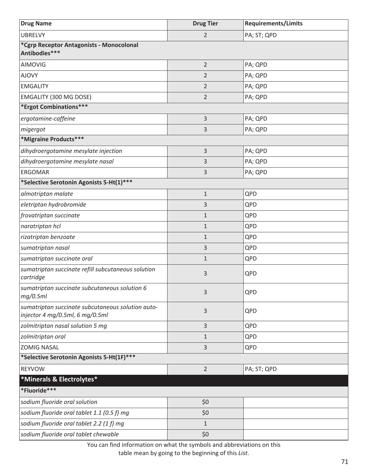| <b>Drug Name</b>                                                                     | <b>Drug Tier</b> | <b>Requirements/Limits</b> |  |
|--------------------------------------------------------------------------------------|------------------|----------------------------|--|
| <b>UBRELVY</b>                                                                       | $\overline{2}$   | PA; ST; QPD                |  |
| *Cgrp Receptor Antagonists - Monocolonal<br>Antibodies***                            |                  |                            |  |
| AIMOVIG                                                                              | $\overline{2}$   | PA; QPD                    |  |
| <b>AJOVY</b>                                                                         | $\overline{2}$   | PA; QPD                    |  |
| <b>EMGALITY</b>                                                                      | $\overline{2}$   | PA; QPD                    |  |
| <b>EMGALITY (300 MG DOSE)</b>                                                        | $\overline{2}$   | PA; QPD                    |  |
| *Ergot Combinations***                                                               |                  |                            |  |
| ergotamine-caffeine                                                                  | 3                | PA; QPD                    |  |
| migergot                                                                             | 3                | PA; QPD                    |  |
| *Migraine Products***                                                                |                  |                            |  |
| dihydroergotamine mesylate injection                                                 | 3                | PA; QPD                    |  |
| dihydroergotamine mesylate nasal                                                     | 3                | PA; QPD                    |  |
| <b>ERGOMAR</b>                                                                       | 3                | PA; QPD                    |  |
| *Selective Serotonin Agonists 5-Ht(1)***                                             |                  |                            |  |
| almotriptan malate                                                                   | $\mathbf 1$      | QPD                        |  |
| eletriptan hydrobromide                                                              | 3                | QPD                        |  |
| frovatriptan succinate                                                               | $\mathbf{1}$     | QPD                        |  |
| naratriptan hcl                                                                      | $\mathbf{1}$     | QPD                        |  |
| rizatriptan benzoate                                                                 | $\mathbf{1}$     | QPD                        |  |
| sumatriptan nasal                                                                    | 3                | QPD                        |  |
| sumatriptan succinate oral                                                           | $\mathbf{1}$     | QPD                        |  |
| sumatriptan succinate refill subcutaneous solution<br>cartridge                      | 3                | QPD                        |  |
| sumatriptan succinate subcutaneous solution 6<br>mg/0.5ml                            | 3                | QPD                        |  |
| sumatriptan succinate subcutaneous solution auto-<br>injector 4 mg/0.5ml, 6 mg/0.5ml | 3                | QPD                        |  |
| zolmitriptan nasal solution 5 mg                                                     | 3                | QPD                        |  |
| zolmitriptan oral                                                                    | $\mathbf{1}$     | QPD                        |  |
| <b>ZOMIG NASAL</b>                                                                   | 3                | QPD                        |  |
| *Selective Serotonin Agonists 5-Ht(1F)***                                            |                  |                            |  |
| <b>REYVOW</b>                                                                        | $\overline{2}$   | PA; ST; QPD                |  |
| *Minerals & Electrolytes*                                                            |                  |                            |  |
| *Fluoride***                                                                         |                  |                            |  |
| sodium fluoride oral solution                                                        | \$0              |                            |  |
| sodium fluoride oral tablet 1.1 (0.5 f) mg                                           | \$0              |                            |  |
| sodium fluoride oral tablet 2.2 (1 f) mg                                             | $\mathbf{1}$     |                            |  |
| sodium fluoride oral tablet chewable                                                 | \$0              |                            |  |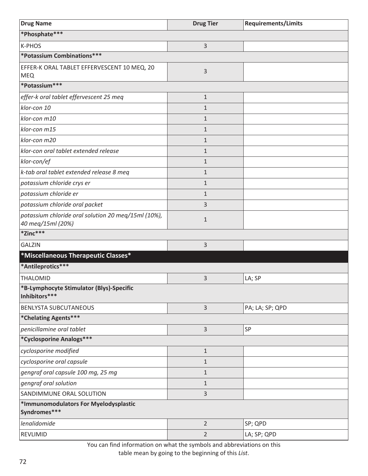| <b>Drug Name</b>                                                         | <b>Drug Tier</b> | <b>Requirements/Limits</b> |
|--------------------------------------------------------------------------|------------------|----------------------------|
| *Phosphate***                                                            |                  |                            |
| K-PHOS                                                                   | 3                |                            |
| *Potassium Combinations***                                               |                  |                            |
| EFFER-K ORAL TABLET EFFERVESCENT 10 MEQ, 20<br><b>MEQ</b>                | 3                |                            |
| *Potassium***                                                            |                  |                            |
| effer-k oral tablet effervescent 25 meg                                  | $\mathbf{1}$     |                            |
| klor-con 10                                                              | $\mathbf{1}$     |                            |
| klor-con m10                                                             | $\mathbf{1}$     |                            |
| klor-con m15                                                             | $\mathbf{1}$     |                            |
| klor-con m20                                                             | $\mathbf{1}$     |                            |
| klor-con oral tablet extended release                                    | $\mathbf{1}$     |                            |
| klor-con/ef                                                              | $\mathbf{1}$     |                            |
| k-tab oral tablet extended release 8 meq                                 | $\mathbf{1}$     |                            |
| potassium chloride crys er                                               | $\mathbf{1}$     |                            |
| potassium chloride er                                                    | $\mathbf{1}$     |                            |
| potassium chloride oral packet                                           | 3                |                            |
| potassium chloride oral solution 20 meq/15ml (10%),<br>40 meg/15ml (20%) | $\mathbf{1}$     |                            |
| *Zinc***                                                                 |                  |                            |
| <b>GALZIN</b>                                                            | 3                |                            |
| *Miscellaneous Therapeutic Classes*                                      |                  |                            |
| *Antileprotics***                                                        |                  |                            |
| THALOMID                                                                 | 3                | LA; SP                     |
| *B-Lymphocyte Stimulator (Blys)-Specific<br>Inhibitors***                |                  |                            |
| <b>BENLYSTA SUBCUTANEOUS</b>                                             | $\overline{3}$   | PA; LA; SP; QPD            |
| *Chelating Agents***                                                     |                  |                            |
| penicillamine oral tablet                                                | 3                | SP                         |
| *Cyclosporine Analogs***                                                 |                  |                            |
| cyclosporine modified                                                    | $1\,$            |                            |
| cyclosporine oral capsule                                                | $1\,$            |                            |
| gengraf oral capsule 100 mg, 25 mg                                       | $\mathbf{1}$     |                            |
| gengraf oral solution                                                    | $1\,$            |                            |
| SANDIMMUNE ORAL SOLUTION                                                 | 3                |                            |
| *Immunomodulators For Myelodysplastic<br>Syndromes***                    |                  |                            |
| lenalidomide                                                             | $\overline{2}$   | SP; QPD                    |
| REVLIMID                                                                 | $\overline{2}$   | LA; SP; QPD                |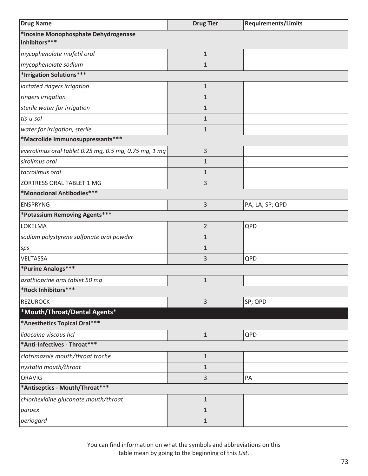| <b>Drug Name</b>                                      | <b>Drug Tier</b> | <b>Requirements/Limits</b> |
|-------------------------------------------------------|------------------|----------------------------|
| *Inosine Monophosphate Dehydrogenase<br>Inhibitors*** |                  |                            |
| mycophenolate mofetil oral                            | $\mathbf{1}$     |                            |
| mycophenolate sodium                                  | $\mathbf{1}$     |                            |
| *Irrigation Solutions***                              |                  |                            |
| lactated ringers irrigation                           | $\mathbf{1}$     |                            |
| ringers irrigation                                    | $\mathbf{1}$     |                            |
| sterile water for irrigation                          | $\mathbf{1}$     |                            |
| tis-u-sol                                             | $\mathbf{1}$     |                            |
| water for irrigation, sterile                         | $\mathbf{1}$     |                            |
| *Macrolide Immunosuppressants***                      |                  |                            |
| everolimus oral tablet 0.25 mg, 0.5 mg, 0.75 mg, 1 mg | 3                |                            |
| sirolimus oral                                        | $\mathbf{1}$     |                            |
| tacrolimus oral                                       | $\mathbf{1}$     |                            |
| ZORTRESS ORAL TABLET 1 MG                             | 3                |                            |
| *Monoclonal Antibodies***                             |                  |                            |
| <b>ENSPRYNG</b>                                       | 3                | PA; LA; SP; QPD            |
| *Potassium Removing Agents***                         |                  |                            |
| <b>LOKELMA</b>                                        | $\overline{2}$   | QPD                        |
| sodium polystyrene sulfonate oral powder              | $\mathbf{1}$     |                            |
| sps                                                   | $\mathbf{1}$     |                            |
| VELTASSA                                              | 3                | QPD                        |
| *Purine Analogs***                                    |                  |                            |
| azathioprine oral tablet 50 mg                        | $\mathbf{1}$     |                            |
| *Rock Inhibitors***                                   |                  |                            |
| <b>REZUROCK</b>                                       | 3                | SP; QPD                    |
| *Mouth/Throat/Dental Agents*                          |                  |                            |
| *Anesthetics Topical Oral ***                         |                  |                            |
| lidocaine viscous hcl                                 | $\mathbf{1}$     | QPD                        |
| *Anti-Infectives - Throat***                          |                  |                            |
| clotrimazole mouth/throat troche                      | $\mathbf{1}$     |                            |
| nystatin mouth/throat                                 | $\mathbf{1}$     |                            |
| <b>ORAVIG</b>                                         | 3                | PA                         |
| *Antiseptics - Mouth/Throat***                        |                  |                            |
| chlorhexidine gluconate mouth/throat                  | $\mathbf{1}$     |                            |
| paroex                                                | $\mathbf{1}$     |                            |
| periogard                                             | $\mathbf{1}$     |                            |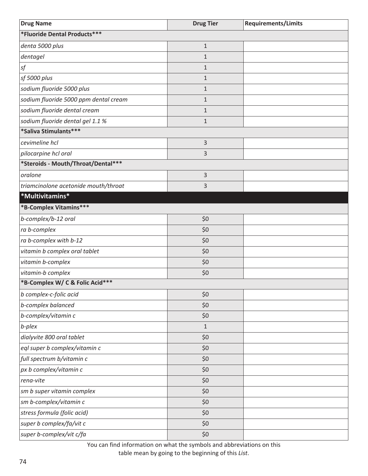| <b>Drug Name</b>                      | <b>Drug Tier</b> | <b>Requirements/Limits</b> |
|---------------------------------------|------------------|----------------------------|
| *Fluoride Dental Products***          |                  |                            |
| denta 5000 plus                       | $\mathbf{1}$     |                            |
| dentagel                              | $\mathbf{1}$     |                            |
| sf                                    | $\mathbf{1}$     |                            |
| sf 5000 plus                          | $\mathbf{1}$     |                            |
| sodium fluoride 5000 plus             | $\mathbf{1}$     |                            |
| sodium fluoride 5000 ppm dental cream | $\mathbf{1}$     |                            |
| sodium fluoride dental cream          | $\mathbf{1}$     |                            |
| sodium fluoride dental gel 1.1 %      | $\mathbf{1}$     |                            |
| *Saliva Stimulants***                 |                  |                            |
| cevimeline hcl                        | 3                |                            |
| pilocarpine hcl oral                  | 3                |                            |
| *Steroids - Mouth/Throat/Dental***    |                  |                            |
| oralone                               | 3                |                            |
| triamcinolone acetonide mouth/throat  | 3                |                            |
| *Multivitamins*                       |                  |                            |
| *B-Complex Vitamins***                |                  |                            |
| b-complex/b-12 oral                   | \$0              |                            |
| ra b-complex                          | \$0              |                            |
| ra b-complex with b-12                | \$0              |                            |
| vitamin b complex oral tablet         | \$0              |                            |
| vitamin b-complex                     | \$0              |                            |
| vitamin-b complex                     | \$0              |                            |
| *B-Complex W/ C & Folic Acid***       |                  |                            |
| b complex-c-folic acid                | \$0              |                            |
| b-complex balanced                    | \$0              |                            |
| b-complex/vitamin c                   | \$0              |                            |
| b-plex                                | $\mathbf 1$      |                            |
| dialyvite 800 oral tablet             | \$0              |                            |
| eql super b complex/vitamin c         | \$0              |                            |
| full spectrum b/vitamin c             | \$0              |                            |
| px b complex/vitamin c                | \$0              |                            |
| rena-vite                             | \$0              |                            |
| sm b super vitamin complex            | \$0              |                            |
| sm b-complex/vitamin c                | \$0              |                            |
| stress formula (folic acid)           | \$0              |                            |
| super b complex/fa/vit c              | \$0              |                            |
| super b-complex/vit c/fa              | \$0              |                            |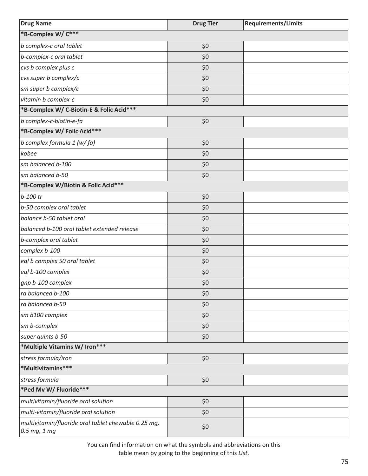| <b>Drug Name</b>                                                    | <b>Drug Tier</b> | <b>Requirements/Limits</b> |
|---------------------------------------------------------------------|------------------|----------------------------|
| *B-Complex W/ C***                                                  |                  |                            |
| b complex-c oral tablet                                             | \$0              |                            |
| b-complex-c oral tablet                                             | \$0              |                            |
| cvs b complex plus c                                                | \$0              |                            |
| cvs super b complex/c                                               | \$0              |                            |
| sm super b complex/c                                                | \$0              |                            |
| vitamin b complex-c                                                 | \$0              |                            |
| *B-Complex W/ C-Biotin-E & Folic Acid***                            |                  |                            |
| b complex-c-biotin-e-fa                                             | \$0              |                            |
| *B-Complex W/ Folic Acid***                                         |                  |                            |
| b complex formula 1 (w/fa)                                          | \$0              |                            |
| kobee                                                               | \$0              |                            |
| sm balanced b-100                                                   | \$0              |                            |
| sm balanced b-50                                                    | \$0              |                            |
| *B-Complex W/Biotin & Folic Acid***                                 |                  |                            |
| b-100 tr                                                            | \$0              |                            |
| b-50 complex oral tablet                                            | \$0              |                            |
| balance b-50 tablet oral                                            | \$0              |                            |
| balanced b-100 oral tablet extended release                         | \$0              |                            |
| b-complex oral tablet                                               | \$0              |                            |
| complex b-100                                                       | \$0              |                            |
| eql b complex 50 oral tablet                                        | \$0              |                            |
| eql b-100 complex                                                   | \$0              |                            |
| gnp b-100 complex                                                   | \$0              |                            |
| ra balanced b-100                                                   | \$0              |                            |
| ra balanced b-50                                                    | \$0              |                            |
| sm b100 complex                                                     | \$0              |                            |
| sm b-complex                                                        | \$0              |                            |
| super quints b-50                                                   | \$0              |                            |
| *Multiple Vitamins W/ Iron***                                       |                  |                            |
| stress formula/iron                                                 | \$0              |                            |
| *Multivitamins***                                                   |                  |                            |
| stress formula                                                      | \$0              |                            |
| *Ped Mv W/ Fluoride***                                              |                  |                            |
| multivitamin/fluoride oral solution                                 | \$0              |                            |
| multi-vitamin/fluoride oral solution                                | \$0              |                            |
| multivitamin/fluoride oral tablet chewable 0.25 mg,<br>0.5 mg, 1 mg | \$0              |                            |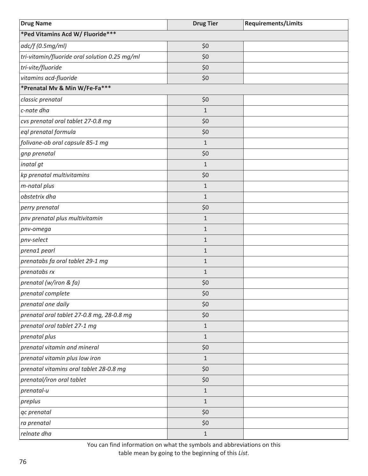| <b>Drug Name</b>                              | <b>Drug Tier</b> | <b>Requirements/Limits</b> |
|-----------------------------------------------|------------------|----------------------------|
| *Ped Vitamins Acd W/ Fluoride***              |                  |                            |
| adc/f(0.5mg/ml)                               | \$0              |                            |
| tri-vitamin/fluoride oral solution 0.25 mg/ml | \$0              |                            |
| tri-vite/fluoride                             | \$0              |                            |
| vitamins acd-fluoride                         | \$0              |                            |
| *Prenatal Mv & Min W/Fe-Fa***                 |                  |                            |
| classic prenatal                              | \$0              |                            |
| c-nate dha                                    | 1                |                            |
| cvs prenatal oral tablet 27-0.8 mg            | \$0              |                            |
| eql prenatal formula                          | \$0              |                            |
| folivane-ob oral capsule 85-1 mg              | $1\,$            |                            |
| gnp prenatal                                  | \$0              |                            |
| inatal gt                                     | $\mathbf{1}$     |                            |
| kp prenatal multivitamins                     | \$0              |                            |
| m-natal plus                                  | $1\,$            |                            |
| obstetrix dha                                 | $\mathbf{1}$     |                            |
| perry prenatal                                | \$0              |                            |
| pnv prenatal plus multivitamin                | $\mathbf{1}$     |                            |
| pnv-omega                                     | $\mathbf{1}$     |                            |
| pnv-select                                    | $\mathbf{1}$     |                            |
| prena1 pearl                                  | $\mathbf{1}$     |                            |
| prenatabs fa oral tablet 29-1 mg              | $\mathbf{1}$     |                            |
| prenatabs rx                                  | $\mathbf{1}$     |                            |
| prenatal (w/iron & fa)                        | \$0              |                            |
| prenatal complete                             | \$0              |                            |
| prenatal one daily                            | \$0              |                            |
| prenatal oral tablet 27-0.8 mg, 28-0.8 mg     | \$0              |                            |
| prenatal oral tablet 27-1 mg                  | $\mathbf{1}$     |                            |
| prenatal plus                                 | $\mathbf{1}$     |                            |
| prenatal vitamin and mineral                  | \$0              |                            |
| prenatal vitamin plus low iron                | $\mathbf{1}$     |                            |
| prenatal vitamins oral tablet 28-0.8 mg       | \$0              |                            |
| prenatal/iron oral tablet                     | \$0              |                            |
| prenatal-u                                    | $\mathbf{1}$     |                            |
| preplus                                       | $\mathbf{1}$     |                            |
| qc prenatal                                   | \$0              |                            |
| ra prenatal                                   | \$0              |                            |
| relnate dha                                   | $\mathbf{1}$     |                            |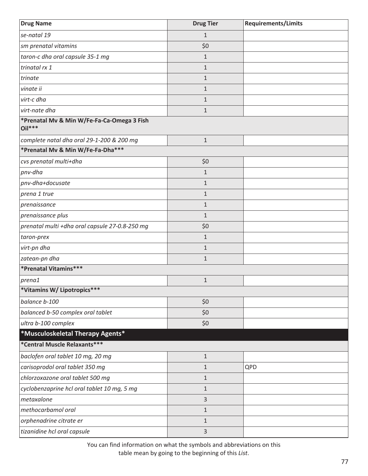| <b>Drug Name</b>                                       | <b>Drug Tier</b> | <b>Requirements/Limits</b> |
|--------------------------------------------------------|------------------|----------------------------|
| se-natal 19                                            | $\mathbf{1}$     |                            |
| sm prenatal vitamins                                   | \$0              |                            |
| taron-c dha oral capsule 35-1 mg                       | $\mathbf 1$      |                            |
| trinatal rx 1                                          | $\mathbf{1}$     |                            |
| trinate                                                | $\mathbf 1$      |                            |
| vinate ii                                              | $\mathbf{1}$     |                            |
| virt-c dha                                             | $\mathbf 1$      |                            |
| virt-nate dha                                          | $\mathbf 1$      |                            |
| *Prenatal Mv & Min W/Fe-Fa-Ca-Omega 3 Fish<br>$Oil***$ |                  |                            |
| complete natal dha oral 29-1-200 & 200 mg              | $\mathbf{1}$     |                            |
| *Prenatal Mv & Min W/Fe-Fa-Dha***                      |                  |                            |
| cvs prenatal multi+dha                                 | \$0              |                            |
| pnv-dha                                                | $\mathbf{1}$     |                            |
| pnv-dha+docusate                                       | $\mathbf{1}$     |                            |
| prena 1 true                                           | $\mathbf{1}$     |                            |
| prenaissance                                           | $\mathbf{1}$     |                            |
| prenaissance plus                                      | $\mathbf{1}$     |                            |
| prenatal multi +dha oral capsule 27-0.8-250 mg         | \$0              |                            |
| taron-prex                                             | $\mathbf{1}$     |                            |
| virt-pn dha                                            | $\mathbf{1}$     |                            |
| zatean-pn dha                                          | $\mathbf{1}$     |                            |
| *Prenatal Vitamins***                                  |                  |                            |
| prena1                                                 | $\mathbf 1$      |                            |
| *Vitamins W/ Lipotropics***                            |                  |                            |
| balance b-100                                          | \$0              |                            |
| balanced b-50 complex oral tablet                      | \$0              |                            |
| ultra b-100 complex                                    | \$0              |                            |
| *Musculoskeletal Therapy Agents*                       |                  |                            |
| *Central Muscle Relaxants***                           |                  |                            |
| baclofen oral tablet 10 mg, 20 mg                      | $\mathbf{1}$     |                            |
| carisoprodol oral tablet 350 mg                        | $\mathbf{1}$     | QPD                        |
| chlorzoxazone oral tablet 500 mg                       | $\mathbf{1}$     |                            |
| cyclobenzaprine hcl oral tablet 10 mg, 5 mg            | $\mathbf{1}$     |                            |
| metaxalone                                             | 3                |                            |
| methocarbamol oral                                     | $\mathbf{1}$     |                            |
| orphenadrine citrate er                                | $\mathbf{1}$     |                            |
| tizanidine hcl oral capsule                            | 3                |                            |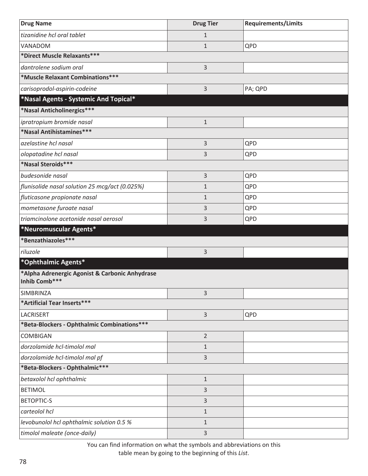| <b>Drug Name</b>                                                | <b>Drug Tier</b> | <b>Requirements/Limits</b> |
|-----------------------------------------------------------------|------------------|----------------------------|
| tizanidine hcl oral tablet                                      | $\mathbf{1}$     |                            |
| VANADOM                                                         | $\mathbf{1}$     | QPD                        |
| *Direct Muscle Relaxants***                                     |                  |                            |
| dantrolene sodium oral                                          | $\overline{3}$   |                            |
| *Muscle Relaxant Combinations***                                |                  |                            |
| carisoprodol-aspirin-codeine                                    | $\overline{3}$   | PA; QPD                    |
| *Nasal Agents - Systemic And Topical*                           |                  |                            |
| *Nasal Anticholinergics***                                      |                  |                            |
| ipratropium bromide nasal                                       | $1\,$            |                            |
| *Nasal Antihistamines***                                        |                  |                            |
| azelastine hcl nasal                                            | $\overline{3}$   | QPD                        |
| olopatadine hcl nasal                                           | 3                | QPD                        |
| *Nasal Steroids***                                              |                  |                            |
| budesonide nasal                                                | $\mathsf{3}$     | QPD                        |
| flunisolide nasal solution 25 mcg/act (0.025%)                  | $1\,$            | QPD                        |
| fluticasone propionate nasal                                    | $\mathbf{1}$     | QPD                        |
| mometasone furoate nasal                                        | 3                | QPD                        |
| triamcinolone acetonide nasal aerosol                           | 3                | QPD                        |
| *Neuromuscular Agents*                                          |                  |                            |
| *Benzathiazoles***                                              |                  |                            |
| riluzole                                                        | 3                |                            |
| *Ophthalmic Agents*                                             |                  |                            |
| *Alpha Adrenergic Agonist & Carbonic Anhydrase<br>Inhib Comb*** |                  |                            |
| SIMBRINZA                                                       | $\overline{3}$   |                            |
| *Artificial Tear Inserts***                                     |                  |                            |
| LACRISERT                                                       | $\overline{3}$   | QPD                        |
| *Beta-Blockers - Ophthalmic Combinations***                     |                  |                            |
| <b>COMBIGAN</b>                                                 | $\overline{2}$   |                            |
| dorzolamide hcl-timolol mal                                     | $1\,$            |                            |
| dorzolamide hcl-timolol mal pf                                  | $\overline{3}$   |                            |
| *Beta-Blockers - Ophthalmic***                                  |                  |                            |
| betaxolol hcl ophthalmic                                        | $1\,$            |                            |
| <b>BETIMOL</b>                                                  | $\overline{3}$   |                            |
| <b>BETOPTIC-S</b>                                               | 3                |                            |
| carteolol hcl                                                   | $\mathbf{1}$     |                            |
| levobunolol hcl ophthalmic solution 0.5 %                       | $\mathbf{1}$     |                            |
| timolol maleate (once-daily)                                    | 3                |                            |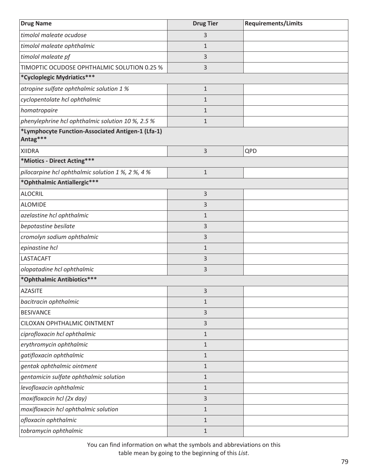| <b>Drug Name</b>                                              | <b>Drug Tier</b> | <b>Requirements/Limits</b> |
|---------------------------------------------------------------|------------------|----------------------------|
| timolol maleate ocudose                                       | 3                |                            |
| timolol maleate ophthalmic                                    | $\mathbf 1$      |                            |
| timolol maleate pf                                            | 3                |                            |
| TIMOPTIC OCUDOSE OPHTHALMIC SOLUTION 0.25 %                   | 3                |                            |
| *Cycloplegic Mydriatics***                                    |                  |                            |
| atropine sulfate ophthalmic solution 1 %                      | $1\,$            |                            |
| cyclopentolate hcl ophthalmic                                 | $\mathbf 1$      |                            |
| homatropaire                                                  | $\mathbf 1$      |                            |
| phenylephrine hcl ophthalmic solution 10 %, 2.5 %             | $\mathbf{1}$     |                            |
| *Lymphocyte Function-Associated Antigen-1 (Lfa-1)<br>Antag*** |                  |                            |
| <b>XIIDRA</b>                                                 | 3                | QPD                        |
| *Miotics - Direct Acting***                                   |                  |                            |
| pilocarpine hcl ophthalmic solution 1 %, 2 %, 4 %             | $\mathbf{1}$     |                            |
| *Ophthalmic Antiallergic***                                   |                  |                            |
| <b>ALOCRIL</b>                                                | 3                |                            |
| <b>ALOMIDE</b>                                                | 3                |                            |
| azelastine hcl ophthalmic                                     | $\mathbf 1$      |                            |
| bepotastine besilate                                          | 3                |                            |
| cromolyn sodium ophthalmic                                    | 3                |                            |
| epinastine hcl                                                | $\mathbf 1$      |                            |
| LASTACAFT                                                     | 3                |                            |
| olopatadine hcl ophthalmic                                    | 3                |                            |
| *Ophthalmic Antibiotics***                                    |                  |                            |
| <b>AZASITE</b>                                                | 3                |                            |
| bacitracin ophthalmic                                         | $\mathbf{1}$     |                            |
| <b>BESIVANCE</b>                                              | 3                |                            |
| CILOXAN OPHTHALMIC OINTMENT                                   | 3                |                            |
| ciprofloxacin hcl ophthalmic                                  | $\mathbf{1}$     |                            |
| erythromycin ophthalmic                                       | 1                |                            |
| gatifloxacin ophthalmic                                       | $\mathbf{1}$     |                            |
| gentak ophthalmic ointment                                    | 1                |                            |
| gentamicin sulfate ophthalmic solution                        | $1\,$            |                            |
| levofloxacin ophthalmic                                       | $\mathbf{1}$     |                            |
| moxifloxacin hcl (2x day)                                     | 3                |                            |
| moxifloxacin hcl ophthalmic solution                          | $\mathbf{1}$     |                            |
| ofloxacin ophthalmic                                          | $1\,$            |                            |
| tobramycin ophthalmic                                         | $1\,$            |                            |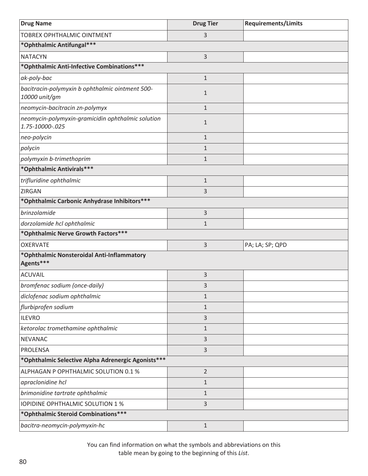| <b>Drug Name</b>                                                     | <b>Drug Tier</b> | <b>Requirements/Limits</b> |
|----------------------------------------------------------------------|------------------|----------------------------|
| TOBREX OPHTHALMIC OINTMENT                                           | 3                |                            |
| *Ophthalmic Antifungal***                                            |                  |                            |
| <b>NATACYN</b>                                                       | 3                |                            |
| *Ophthalmic Anti-Infective Combinations ***                          |                  |                            |
| ak-poly-bac                                                          | $\mathbf{1}$     |                            |
| bacitracin-polymyxin b ophthalmic ointment 500-<br>10000 unit/gm     | $\mathbf{1}$     |                            |
| neomycin-bacitracin zn-polymyx                                       | $\mathbf{1}$     |                            |
| neomycin-polymyxin-gramicidin ophthalmic solution<br>1.75-10000-.025 | $\mathbf{1}$     |                            |
| neo-polycin                                                          | $\mathbf{1}$     |                            |
| polycin                                                              | $\mathbf{1}$     |                            |
| polymyxin b-trimethoprim                                             | $\mathbf{1}$     |                            |
| *Ophthalmic Antivirals***                                            |                  |                            |
| trifluridine ophthalmic                                              | $\mathbf 1$      |                            |
| ZIRGAN                                                               | 3                |                            |
| *Ophthalmic Carbonic Anhydrase Inhibitors ***                        |                  |                            |
| brinzolamide                                                         | 3                |                            |
| dorzolamide hcl ophthalmic                                           | $\mathbf{1}$     |                            |
| *Ophthalmic Nerve Growth Factors***                                  |                  |                            |
| <b>OXERVATE</b>                                                      | 3                | PA; LA; SP; QPD            |
| *Ophthalmic Nonsteroidal Anti-Inflammatory<br>Agents***              |                  |                            |
| <b>ACUVAIL</b>                                                       | 3                |                            |
| bromfenac sodium (once-daily)                                        | 3                |                            |
| diclofenac sodium ophthalmic                                         | $\mathbf{1}$     |                            |
| flurbiprofen sodium                                                  | $\mathbf 1$      |                            |
| <b>ILEVRO</b>                                                        | 3                |                            |
| ketorolac tromethamine ophthalmic                                    | $\mathbf{1}$     |                            |
| <b>NEVANAC</b>                                                       | 3                |                            |
| <b>PROLENSA</b>                                                      | 3                |                            |
| *Ophthalmic Selective Alpha Adrenergic Agonists***                   |                  |                            |
| ALPHAGAN P OPHTHALMIC SOLUTION 0.1 %                                 | $\overline{2}$   |                            |
| apraclonidine hcl                                                    | $\mathbf{1}$     |                            |
| brimonidine tartrate ophthalmic                                      | $\mathbf{1}$     |                            |
| <b>IOPIDINE OPHTHALMIC SOLUTION 1 %</b>                              | 3                |                            |
| *Ophthalmic Steroid Combinations***                                  |                  |                            |
| bacitra-neomycin-polymyxin-hc                                        | $\mathbf{1}$     |                            |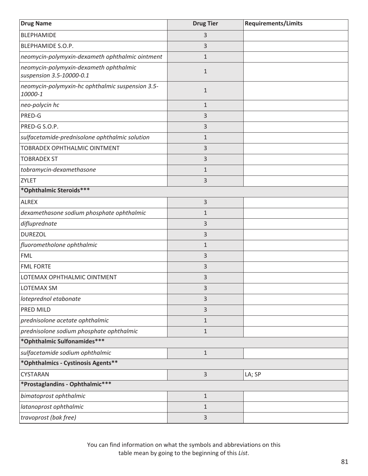| <b>Drug Name</b>                                                   | <b>Drug Tier</b> | <b>Requirements/Limits</b> |
|--------------------------------------------------------------------|------------------|----------------------------|
| <b>BLEPHAMIDE</b>                                                  | 3                |                            |
| BLEPHAMIDE S.O.P.                                                  | 3                |                            |
| neomycin-polymyxin-dexameth ophthalmic ointment                    | $\mathbf{1}$     |                            |
| neomycin-polymyxin-dexameth ophthalmic<br>suspension 3.5-10000-0.1 | $\mathbf{1}$     |                            |
| neomycin-polymyxin-hc ophthalmic suspension 3.5-<br>10000-1        | $\mathbf{1}$     |                            |
| neo-polycin hc                                                     | $\mathbf 1$      |                            |
| PRED-G                                                             | 3                |                            |
| PRED-G S.O.P.                                                      | 3                |                            |
| sulfacetamide-prednisolone ophthalmic solution                     | $\mathbf{1}$     |                            |
| TOBRADEX OPHTHALMIC OINTMENT                                       | 3                |                            |
| <b>TOBRADEX ST</b>                                                 | 3                |                            |
| tobramycin-dexamethasone                                           | $\mathbf{1}$     |                            |
| ZYLET                                                              | 3                |                            |
| *Ophthalmic Steroids***                                            |                  |                            |
| <b>ALREX</b>                                                       | 3                |                            |
| dexamethasone sodium phosphate ophthalmic                          | $\mathbf{1}$     |                            |
| difluprednate                                                      | 3                |                            |
| <b>DUREZOL</b>                                                     | 3                |                            |
| fluorometholone ophthalmic                                         | $\mathbf{1}$     |                            |
| <b>FML</b>                                                         | 3                |                            |
| <b>FML FORTE</b>                                                   | 3                |                            |
| LOTEMAX OPHTHALMIC OINTMENT                                        | 3                |                            |
| LOTEMAX SM                                                         | 3                |                            |
| loteprednol etabonate                                              | 3                |                            |
| PRED MILD                                                          | 3                |                            |
| prednisolone acetate ophthalmic                                    | $\mathbf{1}$     |                            |
| prednisolone sodium phosphate ophthalmic                           | $1\,$            |                            |
| *Ophthalmic Sulfonamides***                                        |                  |                            |
| sulfacetamide sodium ophthalmic                                    | $\mathbf 1$      |                            |
| *Ophthalmics - Cystinosis Agents**                                 |                  |                            |
| CYSTARAN                                                           | 3                | LA; SP                     |
| *Prostaglandins - Ophthalmic***                                    |                  |                            |
| bimatoprost ophthalmic                                             | $1\,$            |                            |
| latanoprost ophthalmic                                             | $\mathbf{1}$     |                            |
| travoprost (bak free)                                              | 3                |                            |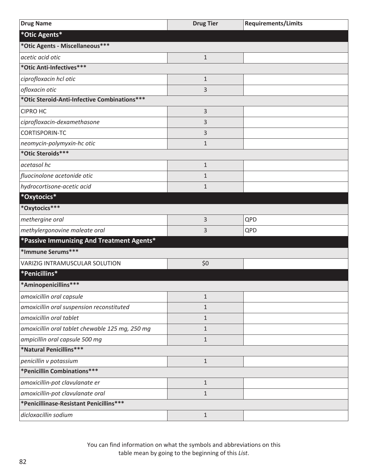| <b>Drug Name</b>                                | <b>Drug Tier</b> | <b>Requirements/Limits</b> |
|-------------------------------------------------|------------------|----------------------------|
| *Otic Agents*                                   |                  |                            |
| *Otic Agents - Miscellaneous***                 |                  |                            |
| acetic acid otic                                | $\mathbf{1}$     |                            |
| *Otic Anti-Infectives***                        |                  |                            |
| ciprofloxacin hcl otic                          | $\mathbf{1}$     |                            |
| ofloxacin otic                                  | 3                |                            |
| *Otic Steroid-Anti-Infective Combinations***    |                  |                            |
| <b>CIPRO HC</b>                                 | 3                |                            |
| ciprofloxacin-dexamethasone                     | 3                |                            |
| CORTISPORIN-TC                                  | 3                |                            |
| neomycin-polymyxin-hc otic                      | $\mathbf{1}$     |                            |
| *Otic Steroids***                               |                  |                            |
| acetasol hc                                     | $\mathbf{1}$     |                            |
| fluocinolone acetonide otic                     | $\mathbf{1}$     |                            |
| hydrocortisone-acetic acid                      | $\mathbf{1}$     |                            |
| *Oxytocics*                                     |                  |                            |
| *Oxytocics***                                   |                  |                            |
| methergine oral                                 | 3                | QPD                        |
| methylergonovine maleate oral                   | 3                | QPD                        |
| *Passive Immunizing And Treatment Agents*       |                  |                            |
| *Immune Serums***                               |                  |                            |
| VARIZIG INTRAMUSCULAR SOLUTION                  | \$0              |                            |
| *Penicillins*                                   |                  |                            |
| *Aminopenicillins***                            |                  |                            |
| amoxicillin oral capsule                        | $\mathbf{1}$     |                            |
| amoxicillin oral suspension reconstituted       | $\mathbf{1}$     |                            |
| amoxicillin oral tablet                         | $\mathbf{1}$     |                            |
| amoxicillin oral tablet chewable 125 mg, 250 mg | 1                |                            |
| ampicillin oral capsule 500 mg                  | $\mathbf{1}$     |                            |
| *Natural Penicillins***                         |                  |                            |
| penicillin v potassium                          | $\mathbf 1$      |                            |
| *Penicillin Combinations***                     |                  |                            |
| amoxicillin-pot clavulanate er                  | $\mathbf{1}$     |                            |
| amoxicillin-pot clavulanate oral                | $\mathbf{1}$     |                            |
| *Penicillinase-Resistant Penicillins***         |                  |                            |
| dicloxacillin sodium                            | $\mathbf{1}$     |                            |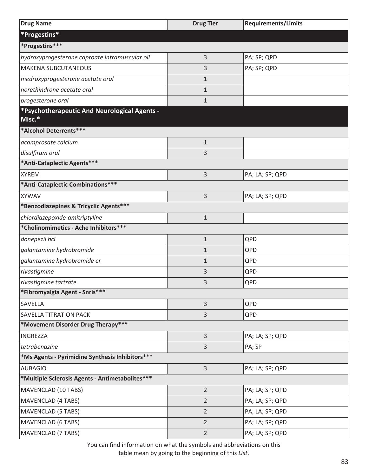| <b>Drug Name</b>                                       | <b>Drug Tier</b> | <b>Requirements/Limits</b> |
|--------------------------------------------------------|------------------|----------------------------|
| *Progestins*                                           |                  |                            |
| *Progestins***                                         |                  |                            |
| hydroxyprogesterone caproate intramuscular oil         | 3                | PA; SP; QPD                |
| <b>MAKENA SUBCUTANEOUS</b>                             | 3                | PA; SP; QPD                |
| medroxyprogesterone acetate oral                       | $\mathbf{1}$     |                            |
| norethindrone acetate oral                             | $\mathbf{1}$     |                            |
| progesterone oral                                      | $\mathbf{1}$     |                            |
| *Psychotherapeutic And Neurological Agents -<br>Misc.* |                  |                            |
| *Alcohol Deterrents***                                 |                  |                            |
| acamprosate calcium                                    | $\mathbf 1$      |                            |
| disulfiram oral                                        | 3                |                            |
| *Anti-Cataplectic Agents***                            |                  |                            |
| <b>XYREM</b>                                           | 3                | PA; LA; SP; QPD            |
| *Anti-Cataplectic Combinations***                      |                  |                            |
| <b>XYWAV</b>                                           | 3                | PA; LA; SP; QPD            |
| *Benzodiazepines & Tricyclic Agents***                 |                  |                            |
| chlordiazepoxide-amitriptyline                         | $\mathbf{1}$     |                            |
| *Cholinomimetics - Ache Inhibitors***                  |                  |                            |
| donepezil hcl                                          | $\mathbf{1}$     | QPD                        |
| galantamine hydrobromide                               | $\mathbf 1$      | QPD                        |
| galantamine hydrobromide er                            | $\mathbf{1}$     | QPD                        |
| rivastigmine                                           | 3                | QPD                        |
| rivastigmine tartrate                                  | 3                | QPD                        |
| *Fibromyalgia Agent - Snris***                         |                  |                            |
| SAVELLA                                                | 3                | QPD                        |
| <b>SAVELLA TITRATION PACK</b>                          | 3                | QPD                        |
| *Movement Disorder Drug Therapy***                     |                  |                            |
| <b>INGREZZA</b>                                        | $\overline{3}$   | PA; LA; SP; QPD            |
| tetrabenazine                                          | 3                | PA; SP                     |
| *Ms Agents - Pyrimidine Synthesis Inhibitors***        |                  |                            |
| <b>AUBAGIO</b>                                         | $\overline{3}$   | PA; LA; SP; QPD            |
| *Multiple Sclerosis Agents - Antimetabolites***        |                  |                            |
| MAVENCLAD (10 TABS)                                    | $\overline{2}$   | PA; LA; SP; QPD            |
| <b>MAVENCLAD (4 TABS)</b>                              | $\overline{2}$   | PA; LA; SP; QPD            |
| <b>MAVENCLAD (5 TABS)</b>                              | $\overline{2}$   | PA; LA; SP; QPD            |
| <b>MAVENCLAD (6 TABS)</b>                              | $\overline{2}$   | PA; LA; SP; QPD            |
| <b>MAVENCLAD (7 TABS)</b>                              | $\overline{2}$   | PA; LA; SP; QPD            |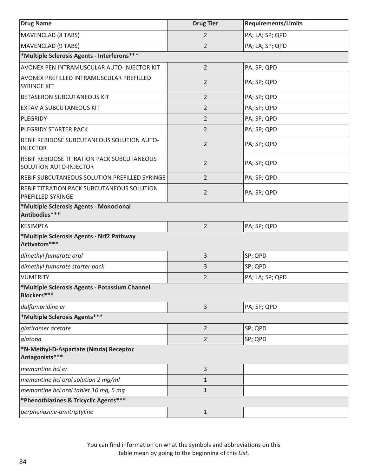| <b>Drug Name</b>                                                            | <b>Drug Tier</b> | <b>Requirements/Limits</b> |
|-----------------------------------------------------------------------------|------------------|----------------------------|
| MAVENCLAD (8 TABS)                                                          | $\overline{2}$   | PA; LA; SP; QPD            |
| <b>MAVENCLAD (9 TABS)</b>                                                   | $\overline{2}$   | PA; LA; SP; QPD            |
| *Multiple Sclerosis Agents - Interferons***                                 |                  |                            |
| AVONEX PEN INTRAMUSCULAR AUTO-INJECTOR KIT                                  | $\overline{2}$   | PA; SP; QPD                |
| AVONEX PREFILLED INTRAMUSCULAR PREFILLED<br><b>SYRINGE KIT</b>              | 2                | PA; SP; QPD                |
| <b>BETASERON SUBCUTANEOUS KIT</b>                                           | $\overline{2}$   | PA; SP; QPD                |
| <b>EXTAVIA SUBCUTANEOUS KIT</b>                                             | $\overline{2}$   | PA; SP; QPD                |
| PLEGRIDY                                                                    | 2                | PA; SP; QPD                |
| <b>PLEGRIDY STARTER PACK</b>                                                | 2                | PA; SP; QPD                |
| REBIF REBIDOSE SUBCUTANEOUS SOLUTION AUTO-<br><b>INJECTOR</b>               | $\overline{2}$   | PA; SP; QPD                |
| REBIF REBIDOSE TITRATION PACK SUBCUTANEOUS<br><b>SOLUTION AUTO-INJECTOR</b> | $\overline{2}$   | PA; SP; QPD                |
| REBIF SUBCUTANEOUS SOLUTION PREFILLED SYRINGE                               | $\overline{2}$   | PA; SP; QPD                |
| REBIF TITRATION PACK SUBCUTANEOUS SOLUTION<br><b>PREFILLED SYRINGE</b>      | $\overline{2}$   | PA; SP; QPD                |
| *Multiple Sclerosis Agents - Monoclonal<br>Antibodies***                    |                  |                            |
| <b>KESIMPTA</b>                                                             | $\overline{2}$   | PA; SP; QPD                |
| *Multiple Sclerosis Agents - Nrf2 Pathway<br>Activators***                  |                  |                            |
| dimethyl fumarate oral                                                      | 3                | SP; QPD                    |
| dimethyl fumarate starter pack                                              | 3                | SP; QPD                    |
| <b>VUMERITY</b>                                                             | 2                | PA; LA; SP; QPD            |
| *Multiple Sclerosis Agents - Potassium Channel<br>Blockers***               |                  |                            |
| dalfampridine er                                                            | 3                | PA; SP; QPD                |
| *Multiple Sclerosis Agents***                                               |                  |                            |
| glatiramer acetate                                                          | $\overline{2}$   | SP; QPD                    |
| glatopa                                                                     | $\overline{2}$   | SP; QPD                    |
| *N-Methyl-D-Aspartate (Nmda) Receptor<br>Antagonists***                     |                  |                            |
| memantine hcl er                                                            | 3                |                            |
| memantine hcl oral solution 2 mg/ml                                         | $\mathbf{1}$     |                            |
| memantine hcl oral tablet 10 mg, 5 mg                                       | $\mathbf{1}$     |                            |
| *Phenothiazines & Tricyclic Agents***                                       |                  |                            |
| perphenazine-amitriptyline                                                  | $\mathbf{1}$     |                            |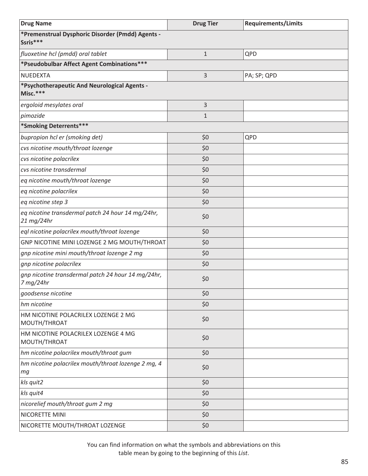| <b>Drug Name</b>                                                | <b>Drug Tier</b> | <b>Requirements/Limits</b> |
|-----------------------------------------------------------------|------------------|----------------------------|
| *Premenstrual Dysphoric Disorder (Pmdd) Agents -<br>Ssris***    |                  |                            |
| fluoxetine hcl (pmdd) oral tablet                               | $\mathbf{1}$     | QPD                        |
| *Pseudobulbar Affect Agent Combinations***                      |                  |                            |
| <b>NUEDEXTA</b>                                                 | 3                | PA; SP; QPD                |
| *Psychotherapeutic And Neurological Agents -<br>Misc.***        |                  |                            |
| ergoloid mesylates oral                                         | 3                |                            |
| pimozide                                                        | $\mathbf{1}$     |                            |
| *Smoking Deterrents***                                          |                  |                            |
| bupropion hcl er (smoking det)                                  | \$0              | QPD                        |
| cvs nicotine mouth/throat lozenge                               | \$0              |                            |
| cvs nicotine polacrilex                                         | \$0              |                            |
| cvs nicotine transdermal                                        | \$0              |                            |
| eq nicotine mouth/throat lozenge                                | \$0              |                            |
| eq nicotine polacrilex                                          | \$0              |                            |
| eq nicotine step 3                                              | \$0              |                            |
| eq nicotine transdermal patch 24 hour 14 mg/24hr,<br>21 mg/24hr | \$0              |                            |
| eql nicotine polacrilex mouth/throat lozenge                    | \$0              |                            |
| GNP NICOTINE MINI LOZENGE 2 MG MOUTH/THROAT                     | \$0              |                            |
| gnp nicotine mini mouth/throat lozenge 2 mg                     | \$0              |                            |
| gnp nicotine polacrilex                                         | \$0              |                            |
| gnp nicotine transdermal patch 24 hour 14 mg/24hr,<br>7 mg/24hr | \$0              |                            |
| goodsense nicotine                                              | \$0              |                            |
| hm nicotine                                                     | \$0              |                            |
| HM NICOTINE POLACRILEX LOZENGE 2 MG<br>MOUTH/THROAT             | \$0              |                            |
| HM NICOTINE POLACRILEX LOZENGE 4 MG<br>MOUTH/THROAT             | \$0              |                            |
| hm nicotine polacrilex mouth/throat gum                         | \$0              |                            |
| hm nicotine polacrilex mouth/throat lozenge 2 mg, 4<br>тg       | \$0              |                            |
| kls quit2                                                       | \$0              |                            |
| kls quit4                                                       | \$0              |                            |
| nicorelief mouth/throat gum 2 mg                                | \$0              |                            |
| NICORETTE MINI                                                  | \$0              |                            |
| NICORETTE MOUTH/THROAT LOZENGE                                  | \$0              |                            |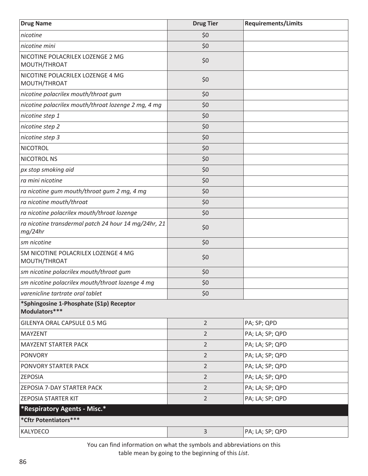| <b>Drug Name</b>                                                | <b>Drug Tier</b> | <b>Requirements/Limits</b> |
|-----------------------------------------------------------------|------------------|----------------------------|
| nicotine                                                        | \$0              |                            |
| nicotine mini                                                   | \$0              |                            |
| NICOTINE POLACRILEX LOZENGE 2 MG<br>MOUTH/THROAT                | \$0              |                            |
| NICOTINE POLACRILEX LOZENGE 4 MG<br>MOUTH/THROAT                | \$0              |                            |
| nicotine polacrilex mouth/throat gum                            | \$0              |                            |
| nicotine polacrilex mouth/throat lozenge 2 mg, 4 mg             | \$0              |                            |
| nicotine step 1                                                 | \$0              |                            |
| nicotine step 2                                                 | \$0              |                            |
| nicotine step 3                                                 | \$0              |                            |
| <b>NICOTROL</b>                                                 | \$0              |                            |
| NICOTROL NS                                                     | \$0              |                            |
| px stop smoking aid                                             | \$0              |                            |
| ra mini nicotine                                                | \$0              |                            |
| ra nicotine gum mouth/throat gum 2 mg, 4 mg                     | \$0              |                            |
| ra nicotine mouth/throat                                        | \$0              |                            |
| ra nicotine polacrilex mouth/throat lozenge                     | \$0              |                            |
| ra nicotine transdermal patch 24 hour 14 mg/24hr, 21<br>mg/24hr | \$0              |                            |
| sm nicotine                                                     | \$0              |                            |
| SM NICOTINE POLACRILEX LOZENGE 4 MG<br>MOUTH/THROAT             | \$0              |                            |
| sm nicotine polacrilex mouth/throat gum                         | \$0              |                            |
| sm nicotine polacrilex mouth/throat lozenge 4 mg                | \$0              |                            |
| varenicline tartrate oral tablet                                | \$0              |                            |
| *Sphingosine 1-Phosphate (S1p) Receptor<br>Modulators***        |                  |                            |
| GILENYA ORAL CAPSULE 0.5 MG                                     | $\overline{2}$   | PA; SP; QPD                |
| <b>MAYZENT</b>                                                  | $\overline{2}$   | PA; LA; SP; QPD            |
| <b>MAYZENT STARTER PACK</b>                                     | $\overline{2}$   | PA; LA; SP; QPD            |
| <b>PONVORY</b>                                                  | $\overline{2}$   | PA; LA; SP; QPD            |
| PONVORY STARTER PACK                                            | $\overline{2}$   | PA; LA; SP; QPD            |
| <b>ZEPOSIA</b>                                                  | $\overline{2}$   | PA; LA; SP; QPD            |
| ZEPOSIA 7-DAY STARTER PACK                                      | $\overline{2}$   | PA; LA; SP; QPD            |
| <b>ZEPOSIA STARTER KIT</b>                                      | $\overline{2}$   | PA; LA; SP; QPD            |
| *Respiratory Agents - Misc.*                                    |                  |                            |
| *Cftr Potentiators***                                           |                  |                            |
| KALYDECO                                                        | $\overline{3}$   | PA; LA; SP; QPD            |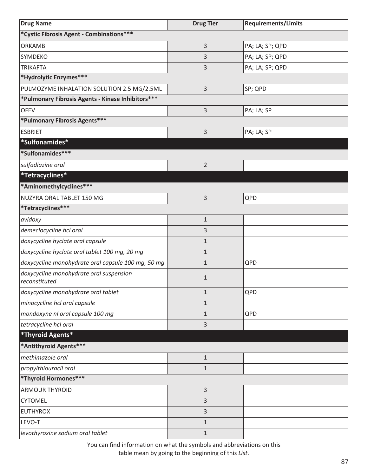| <b>Drug Name</b>                                         | <b>Drug Tier</b> | <b>Requirements/Limits</b> |
|----------------------------------------------------------|------------------|----------------------------|
| *Cystic Fibrosis Agent - Combinations***                 |                  |                            |
| <b>ORKAMBI</b>                                           | 3                | PA; LA; SP; QPD            |
| <b>SYMDEKO</b>                                           | 3                | PA; LA; SP; QPD            |
| <b>TRIKAFTA</b>                                          | 3                | PA; LA; SP; QPD            |
| *Hydrolytic Enzymes***                                   |                  |                            |
| PULMOZYME INHALATION SOLUTION 2.5 MG/2.5ML               | 3                | SP; QPD                    |
| *Pulmonary Fibrosis Agents - Kinase Inhibitors***        |                  |                            |
| <b>OFEV</b>                                              | 3                | PA; LA; SP                 |
| *Pulmonary Fibrosis Agents***                            |                  |                            |
| <b>ESBRIET</b>                                           | 3                | PA; LA; SP                 |
| *Sulfonamides*                                           |                  |                            |
| *Sulfonamides***                                         |                  |                            |
| sulfadiazine oral                                        | $\overline{2}$   |                            |
| *Tetracyclines*                                          |                  |                            |
| *Aminomethylcyclines***                                  |                  |                            |
| NUZYRA ORAL TABLET 150 MG                                | 3                | QPD                        |
| *Tetracyclines***                                        |                  |                            |
| avidoxy                                                  | $\mathbf{1}$     |                            |
| demeclocycline hcl oral                                  | 3                |                            |
| doxycycline hyclate oral capsule                         | $\mathbf{1}$     |                            |
| doxycycline hyclate oral tablet 100 mg, 20 mg            | $\mathbf{1}$     |                            |
| doxycycline monohydrate oral capsule 100 mg, 50 mg       | $\mathbf{1}$     | QPD                        |
| doxycycline monohydrate oral suspension<br>reconstituted | $\mathbf{1}$     |                            |
| doxycycline monohydrate oral tablet                      | $\mathbf{1}$     | QPD                        |
| minocycline hcl oral capsule                             | 1                |                            |
| mondoxyne nl oral capsule 100 mg                         | 1                | QPD                        |
| tetracycline hcl oral                                    | 3                |                            |
| *Thyroid Agents*                                         |                  |                            |
| *Antithyroid Agents***                                   |                  |                            |
| methimazole oral                                         | $\mathbf{1}$     |                            |
| propylthiouracil oral                                    | $\mathbf{1}$     |                            |
| *Thyroid Hormones***                                     |                  |                            |
| <b>ARMOUR THYROID</b>                                    | 3                |                            |
| <b>CYTOMEL</b>                                           | 3                |                            |
| <b>EUTHYROX</b>                                          | 3                |                            |
| LEVO-T                                                   | $\mathbf{1}$     |                            |
| levothyroxine sodium oral tablet                         | $\mathbf{1}$     |                            |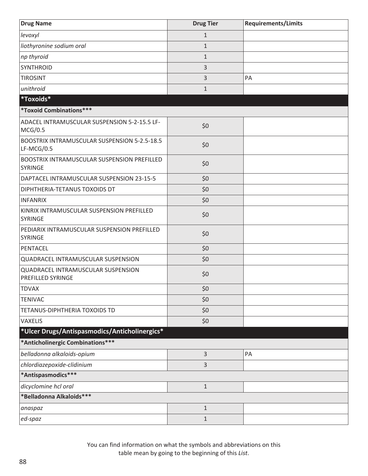| <b>Drug Name</b>                                                     | <b>Drug Tier</b> | <b>Requirements/Limits</b> |
|----------------------------------------------------------------------|------------------|----------------------------|
| levoxyl                                                              | $\mathbf{1}$     |                            |
| liothyronine sodium oral                                             | $\mathbf{1}$     |                            |
| np thyroid                                                           | $\mathbf{1}$     |                            |
| <b>SYNTHROID</b>                                                     | 3                |                            |
| <b>TIROSINT</b>                                                      | 3                | PA                         |
| unithroid                                                            | $\mathbf{1}$     |                            |
| *Toxoids*                                                            |                  |                            |
| *Toxoid Combinations***                                              |                  |                            |
| ADACEL INTRAMUSCULAR SUSPENSION 5-2-15.5 LF-<br>MCG/0.5              | \$0              |                            |
| <b>BOOSTRIX INTRAMUSCULAR SUSPENSION 5-2.5-18.5</b><br>LF-MCG/0.5    | \$0              |                            |
| <b>BOOSTRIX INTRAMUSCULAR SUSPENSION PREFILLED</b><br><b>SYRINGE</b> | \$0              |                            |
| DAPTACEL INTRAMUSCULAR SUSPENSION 23-15-5                            | \$0              |                            |
| DIPHTHERIA-TETANUS TOXOIDS DT                                        | \$0              |                            |
| <b>INFANRIX</b>                                                      | \$0              |                            |
| KINRIX INTRAMUSCULAR SUSPENSION PREFILLED<br>SYRINGE                 | \$0              |                            |
| PEDIARIX INTRAMUSCULAR SUSPENSION PREFILLED<br><b>SYRINGE</b>        | \$0              |                            |
| PENTACEL                                                             | \$0              |                            |
| QUADRACEL INTRAMUSCULAR SUSPENSION                                   | \$0              |                            |
| QUADRACEL INTRAMUSCULAR SUSPENSION<br><b>PREFILLED SYRINGE</b>       | \$0              |                            |
| <b>TDVAX</b>                                                         | \$0              |                            |
| <b>TENIVAC</b>                                                       | \$0              |                            |
| TETANUS-DIPHTHERIA TOXOIDS TD                                        | \$0              |                            |
| <b>VAXELIS</b>                                                       | \$0              |                            |
| *Ulcer Drugs/Antispasmodics/Anticholinergics*                        |                  |                            |
| *Anticholinergic Combinations***                                     |                  |                            |
| belladonna alkaloids-opium                                           | 3                | PA                         |
| chlordiazepoxide-clidinium                                           | 3                |                            |
| *Antispasmodics***                                                   |                  |                            |
| dicyclomine hcl oral                                                 | $\mathbf 1$      |                            |
| *Belladonna Alkaloids***                                             |                  |                            |
| anaspaz                                                              | $\mathbf{1}$     |                            |
| ed-spaz                                                              | $\mathbf{1}$     |                            |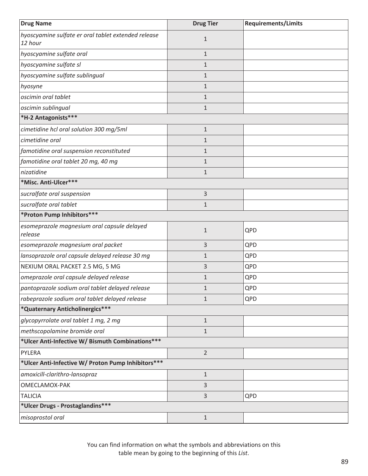| <b>Drug Name</b>                                               | <b>Drug Tier</b> | <b>Requirements/Limits</b> |
|----------------------------------------------------------------|------------------|----------------------------|
| hyoscyamine sulfate er oral tablet extended release<br>12 hour | $\mathbf 1$      |                            |
| hyoscyamine sulfate oral                                       | $\mathbf{1}$     |                            |
| hyoscyamine sulfate sl                                         | $\mathbf{1}$     |                            |
| hyoscyamine sulfate sublingual                                 | $\mathbf{1}$     |                            |
| hyosyne                                                        | $\mathbf{1}$     |                            |
| oscimin oral tablet                                            | $\mathbf{1}$     |                            |
| oscimin sublingual                                             | $\mathbf{1}$     |                            |
| *H-2 Antagonists***                                            |                  |                            |
| cimetidine hcl oral solution 300 mg/5ml                        | $\mathbf 1$      |                            |
| cimetidine oral                                                | $\mathbf{1}$     |                            |
| famotidine oral suspension reconstituted                       | $\mathbf{1}$     |                            |
| famotidine oral tablet 20 mg, 40 mg                            | $\mathbf{1}$     |                            |
| nizatidine                                                     | $\mathbf{1}$     |                            |
| *Misc. Anti-Ulcer***                                           |                  |                            |
| sucralfate oral suspension                                     | 3                |                            |
| sucralfate oral tablet                                         | $\mathbf{1}$     |                            |
| *Proton Pump Inhibitors***                                     |                  |                            |
| esomeprazole magnesium oral capsule delayed<br>release         | $\mathbf{1}$     | QPD                        |
| esomeprazole magnesium oral packet                             | 3                | QPD                        |
| lansoprazole oral capsule delayed release 30 mg                | $\mathbf{1}$     | QPD                        |
| NEXIUM ORAL PACKET 2.5 MG, 5 MG                                | 3                | QPD                        |
| omeprazole oral capsule delayed release                        | $\mathbf{1}$     | QPD                        |
| pantoprazole sodium oral tablet delayed release                | 1                | QPD                        |
| rabeprazole sodium oral tablet delayed release                 | $\mathbf{1}$     | QPD                        |
| *Quaternary Anticholinergics***                                |                  |                            |
| glycopyrrolate oral tablet 1 mg, 2 mg                          | $\mathbf{1}$     |                            |
| methscopolamine bromide oral                                   | $\mathbf{1}$     |                            |
| *Ulcer Anti-Infective W/ Bismuth Combinations***               |                  |                            |
| PYLERA                                                         | $\overline{2}$   |                            |
| *Ulcer Anti-Infective W/ Proton Pump Inhibitors ***            |                  |                            |
| amoxicill-clarithro-lansopraz                                  | $1\,$            |                            |
| OMECLAMOX-PAK                                                  | 3                |                            |
| <b>TALICIA</b>                                                 | 3                | QPD                        |
| *Ulcer Drugs - Prostaglandins***                               |                  |                            |
| misoprostol oral                                               | $\mathbf{1}$     |                            |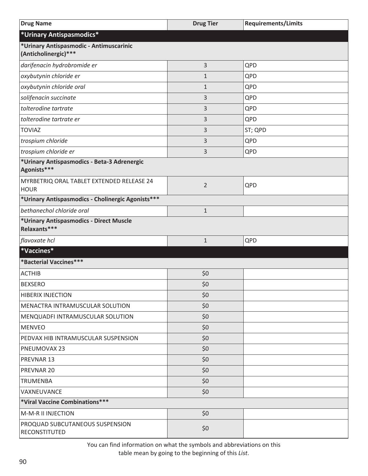| <b>Drug Name</b>                                                | <b>Drug Tier</b> | <b>Requirements/Limits</b> |
|-----------------------------------------------------------------|------------------|----------------------------|
| *Urinary Antispasmodics*                                        |                  |                            |
| *Urinary Antispasmodic - Antimuscarinic<br>(Anticholinergic)*** |                  |                            |
| darifenacin hydrobromide er                                     | 3                | QPD                        |
| oxybutynin chloride er                                          | $\mathbf{1}$     | QPD                        |
| oxybutynin chloride oral                                        | $\mathbf{1}$     | QPD                        |
| solifenacin succinate                                           | 3                | QPD                        |
| tolterodine tartrate                                            | 3                | QPD                        |
| tolterodine tartrate er                                         | 3                | QPD                        |
| <b>TOVIAZ</b>                                                   | 3                | ST; QPD                    |
| trospium chloride                                               | 3                | QPD                        |
| trospium chloride er                                            | 3                | QPD                        |
| *Urinary Antispasmodics - Beta-3 Adrenergic<br>Agonists***      |                  |                            |
| MYRBETRIQ ORAL TABLET EXTENDED RELEASE 24<br><b>HOUR</b>        | $\overline{2}$   | QPD                        |
| *Urinary Antispasmodics - Cholinergic Agonists***               |                  |                            |
| bethanechol chloride oral                                       | $\mathbf{1}$     |                            |
| *Urinary Antispasmodics - Direct Muscle<br>Relaxants***         |                  |                            |
| flavoxate hcl                                                   | $\mathbf{1}$     | QPD                        |
| *Vaccines*                                                      |                  |                            |
| *Bacterial Vaccines***                                          |                  |                            |
| <b>ACTHIB</b>                                                   | \$0              |                            |
| <b>BEXSERO</b>                                                  | \$0              |                            |
| <b>HIBERIX INJECTION</b>                                        | \$0              |                            |
| MENACTRA INTRAMUSCULAR SOLUTION                                 | \$0              |                            |
| MENQUADFI INTRAMUSCULAR SOLUTION                                | \$0              |                            |
| <b>MENVEO</b>                                                   | \$0              |                            |
| PEDVAX HIB INTRAMUSCULAR SUSPENSION                             | \$0              |                            |
| PNEUMOVAX 23                                                    | \$0              |                            |
| PREVNAR 13                                                      | \$0              |                            |
| PREVNAR 20                                                      | \$0              |                            |
| <b>TRUMENBA</b>                                                 | \$0              |                            |
| VAXNEUVANCE                                                     | \$0              |                            |
| *Viral Vaccine Combinations***                                  |                  |                            |
| M-M-R II INJECTION                                              | \$0              |                            |
| PROQUAD SUBCUTANEOUS SUSPENSION<br>RECONSTITUTED                | \$0              |                            |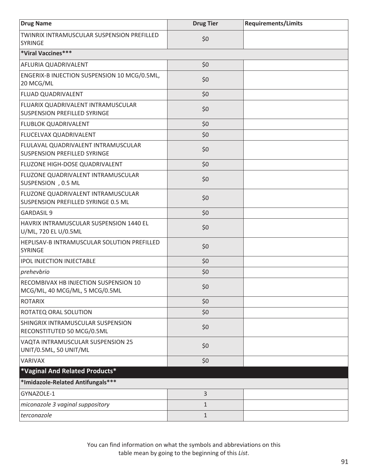| <b>Drug Name</b>                                                           | <b>Drug Tier</b> | <b>Requirements/Limits</b> |
|----------------------------------------------------------------------------|------------------|----------------------------|
| TWINRIX INTRAMUSCULAR SUSPENSION PREFILLED<br><b>SYRINGE</b>               | \$0              |                            |
| *Viral Vaccines***                                                         |                  |                            |
| AFLURIA QUADRIVALENT                                                       | \$0              |                            |
| ENGERIX-B INJECTION SUSPENSION 10 MCG/0.5ML,<br>20 MCG/ML                  | \$0              |                            |
| <b>FLUAD QUADRIVALENT</b>                                                  | \$0              |                            |
| FLUARIX QUADRIVALENT INTRAMUSCULAR<br><b>SUSPENSION PREFILLED SYRINGE</b>  | \$0              |                            |
| <b>FLUBLOK QUADRIVALENT</b>                                                | \$0              |                            |
| FLUCELVAX QUADRIVALENT                                                     | \$0              |                            |
| FLULAVAL QUADRIVALENT INTRAMUSCULAR<br><b>SUSPENSION PREFILLED SYRINGE</b> | \$0              |                            |
| FLUZONE HIGH-DOSE QUADRIVALENT                                             | \$0              |                            |
| FLUZONE QUADRIVALENT INTRAMUSCULAR<br>SUSPENSION , 0.5 ML                  | \$0              |                            |
| FLUZONE QUADRIVALENT INTRAMUSCULAR<br>SUSPENSION PREFILLED SYRINGE 0.5 ML  | \$0              |                            |
| <b>GARDASIL 9</b>                                                          | \$0              |                            |
| HAVRIX INTRAMUSCULAR SUSPENSION 1440 EL<br>U/ML, 720 EL U/0.5ML            | \$0              |                            |
| HEPLISAV-B INTRAMUSCULAR SOLUTION PREFILLED<br><b>SYRINGE</b>              | \$0              |                            |
| <b>IPOL INJECTION INJECTABLE</b>                                           | \$0              |                            |
| prehevbrio                                                                 | \$0              |                            |
| RECOMBIVAX HB INJECTION SUSPENSION 10<br>MCG/ML, 40 MCG/ML, 5 MCG/0.5ML    | \$0              |                            |
| ROTARIX                                                                    | \$0              |                            |
| <b>ROTATEQ ORAL SOLUTION</b>                                               | \$0              |                            |
| SHINGRIX INTRAMUSCULAR SUSPENSION<br>RECONSTITUTED 50 MCG/0.5ML            | \$0              |                            |
| VAQTA INTRAMUSCULAR SUSPENSION 25<br>UNIT/0.5ML, 50 UNIT/ML                | \$0              |                            |
| VARIVAX                                                                    | \$0              |                            |
| *Vaginal And Related Products*                                             |                  |                            |
| *Imidazole-Related Antifungals***                                          |                  |                            |
| GYNAZOLE-1                                                                 | $\overline{3}$   |                            |
| miconazole 3 vaginal suppository                                           | $\mathbf 1$      |                            |
| terconazole                                                                | $\mathbf{1}$     |                            |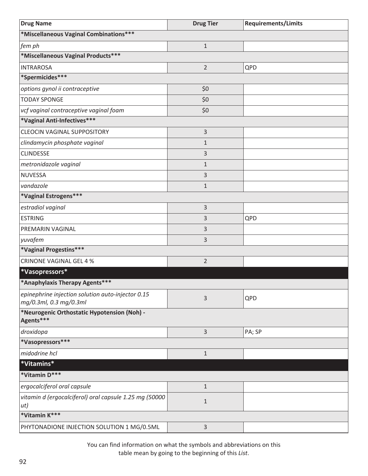| <b>Drug Name</b>                                                            | <b>Drug Tier</b> | <b>Requirements/Limits</b> |
|-----------------------------------------------------------------------------|------------------|----------------------------|
| *Miscellaneous Vaginal Combinations***                                      |                  |                            |
| fem ph                                                                      | $\mathbf{1}$     |                            |
| *Miscellaneous Vaginal Products***                                          |                  |                            |
| <b>INTRAROSA</b>                                                            | $\overline{2}$   | QPD                        |
| *Spermicides***                                                             |                  |                            |
| options gynol ii contraceptive                                              | \$0              |                            |
| <b>TODAY SPONGE</b>                                                         | \$0              |                            |
| vcf vaginal contraceptive vaginal foam                                      | \$0              |                            |
| *Vaginal Anti-Infectives ***                                                |                  |                            |
| <b>CLEOCIN VAGINAL SUPPOSITORY</b>                                          | 3                |                            |
| clindamycin phosphate vaginal                                               | $\mathbf 1$      |                            |
| <b>CLINDESSE</b>                                                            | 3                |                            |
| metronidazole vaginal                                                       | $\mathbf{1}$     |                            |
| <b>NUVESSA</b>                                                              | 3                |                            |
| vandazole                                                                   | $\mathbf{1}$     |                            |
| *Vaginal Estrogens***                                                       |                  |                            |
| estradiol vaginal                                                           | 3                |                            |
| <b>ESTRING</b>                                                              | 3                | QPD                        |
| <b>PREMARIN VAGINAL</b>                                                     | 3                |                            |
| yuvafem                                                                     | 3                |                            |
| *Vaginal Progestins***                                                      |                  |                            |
| <b>CRINONE VAGINAL GEL 4 %</b>                                              | $\overline{2}$   |                            |
| *Vasopressors*                                                              |                  |                            |
| *Anaphylaxis Therapy Agents***                                              |                  |                            |
| epinephrine injection solution auto-injector 0.15<br>mg/0.3ml, 0.3 mg/0.3ml | 3                | QPD                        |
| *Neurogenic Orthostatic Hypotension (Noh) -<br>Agents***                    |                  |                            |
| droxidopa                                                                   | 3                | PA; SP                     |
| *Vasopressors***                                                            |                  |                            |
| midodrine hcl                                                               | $\mathbf{1}$     |                            |
| *Vitamins*                                                                  |                  |                            |
| *Vitamin D***                                                               |                  |                            |
| ergocalciferol oral capsule                                                 | $\mathbf{1}$     |                            |
| vitamin d (ergocalciferol) oral capsule 1.25 mg (50000<br>ut)               | $\mathbf{1}$     |                            |
| *Vitamin K***                                                               |                  |                            |
| PHYTONADIONE INJECTION SOLUTION 1 MG/0.5ML                                  | 3                |                            |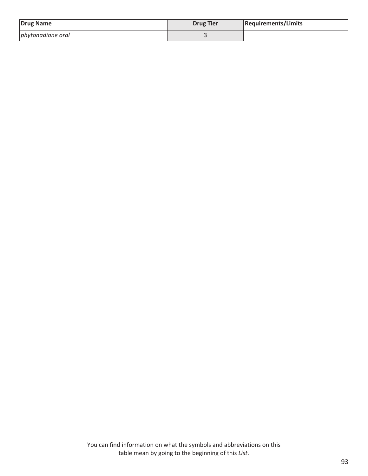| Drug Name         | <b>Drug Tier</b> | Requirements/Limits |
|-------------------|------------------|---------------------|
| phytonadione oral |                  |                     |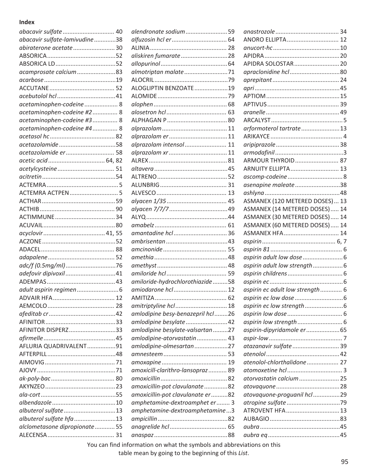## **Index**

| abacavir sulfate  40          |  |
|-------------------------------|--|
| abacavir sulfate-lamivudine38 |  |
| abiraterone acetate  30       |  |
|                               |  |
|                               |  |
| acamprosate calcium83         |  |
|                               |  |
|                               |  |
|                               |  |
| acetaminophen-codeine 8       |  |
| acetaminophen-codeine #2  8   |  |
| acetaminophen-codeine #3  8   |  |
| acetaminophen-codeine #4  8   |  |
|                               |  |
| acetazolamide58               |  |
| acetazolamide er 58           |  |
|                               |  |
|                               |  |
|                               |  |
|                               |  |
|                               |  |
|                               |  |
|                               |  |
|                               |  |
|                               |  |
|                               |  |
|                               |  |
|                               |  |
|                               |  |
|                               |  |
| adefovir dipivoxil41          |  |
|                               |  |
|                               |  |
| ADVAIR HFA 17                 |  |
|                               |  |
|                               |  |
|                               |  |
| AFINITOR DISPERZ33            |  |
|                               |  |
| AFLURIA QUADRIVALENT91        |  |
|                               |  |
|                               |  |
|                               |  |
|                               |  |
|                               |  |
|                               |  |
|                               |  |
|                               |  |
| albuterol sulfate 13          |  |
| albuterol sulfate hfa 13      |  |
| alclometasone dipropionate 55 |  |
|                               |  |

| alendronate sodium 59             |  |
|-----------------------------------|--|
|                                   |  |
|                                   |  |
| aliskiren fumarate 28             |  |
|                                   |  |
|                                   |  |
|                                   |  |
| ALOGLIPTIN BENZOATE19             |  |
|                                   |  |
|                                   |  |
|                                   |  |
|                                   |  |
|                                   |  |
|                                   |  |
|                                   |  |
| alprazolam intensol  11           |  |
|                                   |  |
|                                   |  |
|                                   |  |
|                                   |  |
|                                   |  |
|                                   |  |
|                                   |  |
|                                   |  |
|                                   |  |
|                                   |  |
| amantadine hcl  36                |  |
|                                   |  |
|                                   |  |
|                                   |  |
|                                   |  |
|                                   |  |
| amiloride-hydrochlorothiazide 58  |  |
| amiodarone hcl  12                |  |
|                                   |  |
|                                   |  |
| amitriptyline hcl  18             |  |
| amlodipine besy-benazepril hcl26  |  |
| amlodipine besylate 42            |  |
| amlodipine besylate-valsartan27   |  |
| amlodipine-atorvastatin  43       |  |
| amlodipine-olmesartan27           |  |
|                                   |  |
|                                   |  |
| amoxicill-clarithro-lansopraz  89 |  |
|                                   |  |
| amoxicillin-pot clavulanate 82    |  |
| amoxicillin-pot clavulanate er 82 |  |
| amphetamine-dextroamphet er 3     |  |
| amphetamine-dextroamphetamine3    |  |
|                                   |  |
|                                   |  |
|                                   |  |
|                                   |  |

| ANORO ELLIPTA 12                |  |
|---------------------------------|--|
|                                 |  |
|                                 |  |
| APIDRA SOLOSTAR 20              |  |
|                                 |  |
|                                 |  |
|                                 |  |
|                                 |  |
|                                 |  |
|                                 |  |
|                                 |  |
| arformoterol tartrate13         |  |
|                                 |  |
|                                 |  |
|                                 |  |
| ARMOUR THYROID 87               |  |
|                                 |  |
| ARNUITY ELLIPTA 13              |  |
|                                 |  |
| asenapine maleate 38            |  |
|                                 |  |
| ASMANEX (120 METERED DOSES) 13  |  |
| ASMANEX (14 METERED DOSES) 14   |  |
| ASMANEX (30 METERED DOSES) 14   |  |
| ASMANEX (60 METERED DOSES) 14   |  |
| ASMANEX HFA 14                  |  |
|                                 |  |
|                                 |  |
|                                 |  |
|                                 |  |
| aspirin adult low strength 6    |  |
|                                 |  |
|                                 |  |
| aspirin ec adult low strength 6 |  |
|                                 |  |
|                                 |  |
|                                 |  |
|                                 |  |
|                                 |  |
| aspirin-dipyridamole er 65      |  |
|                                 |  |
| atazanavir sulfate  39          |  |
|                                 |  |
| atenolol-chlorthalidone 27      |  |
|                                 |  |
| atorvastatin calcium  25        |  |
|                                 |  |
| atovaquone-proguanil hcl 29     |  |
|                                 |  |
| ATROVENT HFA 13                 |  |
|                                 |  |
|                                 |  |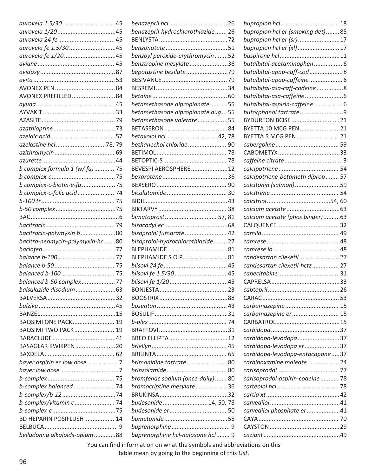| aurovela fe 1.5/3045                               |  |
|----------------------------------------------------|--|
|                                                    |  |
|                                                    |  |
|                                                    |  |
|                                                    |  |
|                                                    |  |
| AVONEX PREFILLED84                                 |  |
|                                                    |  |
|                                                    |  |
|                                                    |  |
|                                                    |  |
|                                                    |  |
|                                                    |  |
|                                                    |  |
|                                                    |  |
| b complex formula $1 (w / fa)$ 75                  |  |
|                                                    |  |
| b complex-c-biotin-e-fa 75                         |  |
| b complex-c-folic acid  74                         |  |
|                                                    |  |
|                                                    |  |
|                                                    |  |
|                                                    |  |
| bacitracin-polymyxin b80                           |  |
|                                                    |  |
|                                                    |  |
| bacitra-neomycin-polymyxin-hc80                    |  |
|                                                    |  |
|                                                    |  |
|                                                    |  |
|                                                    |  |
| balanced b-50 complex77<br>balsalazide disodium 63 |  |
|                                                    |  |
|                                                    |  |
|                                                    |  |
|                                                    |  |
| BAQSIMI ONE PACK 19                                |  |
| BAQSIMI TWO PACK 19                                |  |
|                                                    |  |
| BASAGLAR KWIKPEN20                                 |  |
|                                                    |  |
| bayer aspirin ec low dose 7                        |  |
|                                                    |  |
|                                                    |  |
| b-complex balanced74                               |  |
|                                                    |  |
| b-complex/vitamin c  74                            |  |
|                                                    |  |
| BD HEPARIN POSIFLUSH 14                            |  |
| belladonna alkaloids-opium88                       |  |

| benazepril-hydrochlorothiazide 26 |  |
|-----------------------------------|--|
|                                   |  |
|                                   |  |
| benzoyl peroxide-erythromycin52   |  |
| benztropine mesylate36            |  |
|                                   |  |
|                                   |  |
|                                   |  |
|                                   |  |
| betamethasone dipropionate  55    |  |
| betamethasone dipropionate aug 55 |  |
| betamethasone valerate55          |  |
|                                   |  |
| betaxolol hcl42, 78               |  |
| bethanechol chloride 90           |  |
|                                   |  |
|                                   |  |
| BEVESPI AEROSPHERE12              |  |
|                                   |  |
|                                   |  |
|                                   |  |
|                                   |  |
|                                   |  |
| bimatoprost 57, 81                |  |
|                                   |  |
| bisoprolol fumarate  42           |  |
| bisoprolol-hydrochlorothiazide 27 |  |
|                                   |  |
| BLEPHAMIDE S.O.P.  81             |  |
|                                   |  |
|                                   |  |
|                                   |  |
|                                   |  |
|                                   |  |
|                                   |  |
|                                   |  |
|                                   |  |
|                                   |  |
|                                   |  |
|                                   |  |
|                                   |  |
| brimonidine tartrate  80          |  |
|                                   |  |
| bromfenac sodium (once-daily) 80  |  |
| bromocriptine mesylate36          |  |
|                                   |  |
| budesonide14, 50, 78              |  |
|                                   |  |
|                                   |  |
|                                   |  |
| buprenorphine hcl-naloxone hcl 9  |  |
|                                   |  |

| bupropion hcl er (smoking det)85  |  |
|-----------------------------------|--|
| bupropion hcl er (sr)17           |  |
| bupropion hcl er (xl) 17          |  |
|                                   |  |
| butalbital-acetaminophen 6        |  |
| butalbital-apap-caff-cod 8        |  |
| butalbital-apap-caffeine 6        |  |
| butalbital-asa-caff-codeine8      |  |
|                                   |  |
| butalbital-aspirin-caffeine 6     |  |
| butorphanol tartrate9             |  |
| BYDUREON BCISE21                  |  |
| BYETTA 10 MCG PEN21               |  |
| BYETTA 5 MCG PEN21                |  |
|                                   |  |
|                                   |  |
|                                   |  |
|                                   |  |
| calcipotriene-betameth diprop  57 |  |
| calcitonin (salmon)59             |  |
|                                   |  |
|                                   |  |
|                                   |  |
|                                   |  |
| calcium acetate (phos binder)63   |  |
|                                   |  |
|                                   |  |
|                                   |  |
|                                   |  |
| candesartan cilexetil 27          |  |
| candesartan cilexetil-hctz 27     |  |
|                                   |  |
|                                   |  |
|                                   |  |
|                                   |  |
| carbamazepine 15                  |  |
| carbamazepine er 15               |  |
|                                   |  |
|                                   |  |
| carbidopa-levodopa37              |  |
| carbidopa-levodopa er37           |  |
| carbidopa-levodopa-entacapone37   |  |
| carbinoxamine maleate 24          |  |
|                                   |  |
| carisoprodol-aspirin-codeine  78  |  |
|                                   |  |
|                                   |  |
|                                   |  |
|                                   |  |
| carvedilol phosphate er41         |  |
|                                   |  |
|                                   |  |
|                                   |  |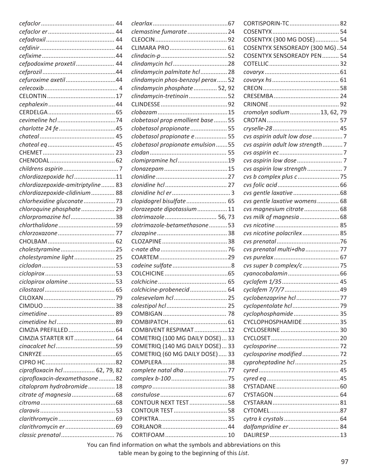|                                   |                                    | CORTISPORIN-TC82                  |  |
|-----------------------------------|------------------------------------|-----------------------------------|--|
|                                   | clemastine fumarate 24             |                                   |  |
|                                   |                                    | COSENTYX (300 MG DOSE) 54         |  |
|                                   |                                    | COSENTYX SENSOREADY (300 MG)54    |  |
|                                   |                                    | <b>COSENTYX SENSOREADY PEN 54</b> |  |
| cefpodoxime proxetil 44           |                                    |                                   |  |
|                                   | clindamycin palmitate hcl  28      |                                   |  |
| cefuroxime axetil44               | clindamycin phos-benzoyl perox 52  |                                   |  |
|                                   | clindamycin phosphate  52, 92      |                                   |  |
|                                   | clindamycin-tretinoin52            |                                   |  |
|                                   |                                    |                                   |  |
|                                   |                                    | cromolyn sodium 13, 62, 79        |  |
|                                   | clobetasol prop emollient base  55 |                                   |  |
|                                   | clobetasol propionate 55           |                                   |  |
|                                   | clobetasol propionate e  55        | cvs aspirin adult low dose  7     |  |
|                                   | clobetasol propionate emulsion55   | cvs aspirin adult low strength7   |  |
|                                   |                                    |                                   |  |
|                                   | clomipramine hcl 19                |                                   |  |
|                                   |                                    |                                   |  |
| chlordiazepoxide hcl 11           |                                    |                                   |  |
| chlordiazepoxide-amitriptyline 83 |                                    |                                   |  |
| chlordiazepoxide-clidinium 88     |                                    |                                   |  |
| chlorhexidine gluconate 73        | clopidogrel bisulfate 65           | cvs gentle laxative womens 68     |  |
| chloroquine phosphate 29          | clorazepate dipotassium 11         | cvs magnesium citrate 68          |  |
| chlorpromazine hcl38              | clotrimazole  56, 73               |                                   |  |
|                                   | clotrimazole-betamethasone53       |                                   |  |
|                                   |                                    | cvs nicotine polacrilex 85        |  |
|                                   |                                    |                                   |  |
| cholestyramine25                  |                                    | cvs prenatal multi+dha  77        |  |
| cholestyramine light 25           |                                    |                                   |  |
|                                   |                                    | cvs super b complex/c  75         |  |
|                                   |                                    |                                   |  |
| ciclopirox olamine53              |                                    |                                   |  |
|                                   | colchicine-probenecid 64           |                                   |  |
|                                   |                                    | cyclobenzaprine hcl 77            |  |
|                                   |                                    |                                   |  |
|                                   |                                    |                                   |  |
|                                   |                                    | cyclophosphamide 35               |  |
|                                   | COMBIVENT RESPIMAT12               | CYCLOPHOSPHAMIDE 35               |  |
|                                   |                                    |                                   |  |
| CIMZIA STARTER KIT 64             | COMETRIQ (100 MG DAILY DOSE) 33    |                                   |  |
|                                   | COMETRIQ (140 MG DAILY DOSE) 33    |                                   |  |
|                                   | COMETRIQ (60 MG DAILY DOSE) 33     | cyclosporine modified 72          |  |
|                                   |                                    | cyproheptadine hcl25              |  |
| ciprofloxacin hcl  62, 79, 82     | complete natal dha 77              |                                   |  |
| ciprofloxacin-dexamethasone82     |                                    |                                   |  |
| citalopram hydrobromide 18        |                                    |                                   |  |
|                                   |                                    |                                   |  |
|                                   | CONTOUR NEXT TEST58                |                                   |  |
|                                   |                                    |                                   |  |
|                                   |                                    |                                   |  |
|                                   |                                    |                                   |  |
|                                   |                                    |                                   |  |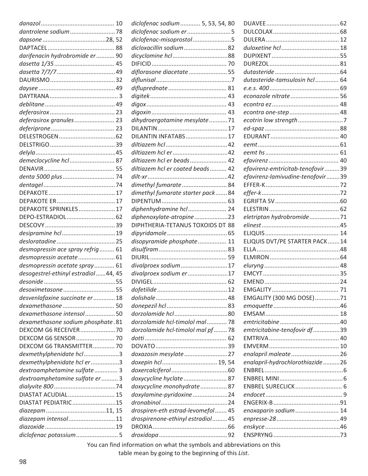|                                     |    | diclofenac sodium  5, 53, 54, 80                                                                               |       |                                  |    |
|-------------------------------------|----|----------------------------------------------------------------------------------------------------------------|-------|----------------------------------|----|
|                                     |    | diclofenac sodium er5                                                                                          |       |                                  |    |
|                                     |    | diclofenac-misoprostol5                                                                                        |       |                                  |    |
|                                     |    | dicloxacillin sodium82                                                                                         |       |                                  |    |
| darifenacin hydrobromide er  90     |    |                                                                                                                |       |                                  |    |
|                                     |    |                                                                                                                |       |                                  |    |
|                                     |    | diflorasone diacetate  55                                                                                      |       |                                  |    |
|                                     |    |                                                                                                                |       | dutasteride-tamsulosin hcl  64   |    |
|                                     |    |                                                                                                                |       |                                  |    |
|                                     |    |                                                                                                                |       | econazole nitrate  56            |    |
|                                     |    |                                                                                                                |       |                                  |    |
|                                     |    |                                                                                                                |       |                                  |    |
| deferasirox granules 23             |    | dihydroergotamine mesylate 71                                                                                  |       | ecotrin low strength7            |    |
|                                     |    |                                                                                                                |       |                                  |    |
|                                     |    | DILANTIN INFATABS 17                                                                                           |       |                                  |    |
|                                     |    |                                                                                                                |       |                                  |    |
|                                     |    |                                                                                                                |       |                                  |    |
| demeclocycline hcl  87              |    | diltiazem hcl er beads 42                                                                                      |       |                                  |    |
|                                     |    | diltiazem hcl er coated beads 42                                                                               |       | efavirenz-emtricitab-tenofovir39 |    |
|                                     |    |                                                                                                                |       | efavirenz-lamivudine-tenofovir39 |    |
|                                     |    | dimethyl fumarate 84                                                                                           |       |                                  |    |
|                                     |    | dimethyl fumarate starter pack84                                                                               |       |                                  |    |
|                                     |    |                                                                                                                |       |                                  |    |
| DEPAKOTE SPRINKLES 17               |    | diphenhydramine hcl 24                                                                                         |       |                                  |    |
|                                     |    |                                                                                                                |       |                                  |    |
|                                     |    | diphenoxylate-atropine23                                                                                       |       | eletriptan hydrobromide71        |    |
|                                     |    | DIPHTHERIA-TETANUS TOXOIDS DT 88                                                                               |       |                                  |    |
|                                     |    |                                                                                                                |       |                                  |    |
|                                     |    | disopyramide phosphate 11                                                                                      |       | ELIQUIS DVT/PE STARTER PACK14    |    |
| desmopressin ace spray refrig 61    |    |                                                                                                                |       |                                  |    |
| desmopressin acetate 61             |    |                                                                                                                |       |                                  |    |
| desmopressin acetate spray 61       |    | divalproex sodium 17                                                                                           |       |                                  |    |
| desogestrel-ethinyl estradiol44, 45 |    | divalproex sodium er17                                                                                         |       |                                  |    |
|                                     |    |                                                                                                                |       |                                  |    |
| desoximetasone                      | 55 |                                                                                                                | $-12$ | EMGALITY                         | 71 |
| desvenlafaxine succinate er  18     |    |                                                                                                                |       | EMGALITY (300 MG DOSE)71         |    |
|                                     |    |                                                                                                                |       |                                  |    |
| dexamethasone intensol50            |    |                                                                                                                |       |                                  |    |
| dexamethasone sodium phosphate.81   |    | dorzolamide hcl-timolol mal 78                                                                                 |       |                                  |    |
| DEXCOM G6 RECEIVER70                |    | dorzolamide hcl-timolol mal pf 78                                                                              |       | emtricitabine-tenofovir df39     |    |
|                                     |    |                                                                                                                |       |                                  |    |
| DEXCOM G6 TRANSMITTER 70            |    |                                                                                                                |       |                                  |    |
| dexmethylphenidate hcl 3            |    | doxazosin mesylate27                                                                                           |       |                                  |    |
| dexmethylphenidate hcl er3          |    |                                                                                                                |       | enalapril-hydrochlorothiazide26  |    |
| dextroamphetamine sulfate 3         |    |                                                                                                                |       |                                  |    |
| dextroamphetamine sulfate er  3     |    | doxycycline hyclate  87                                                                                        |       |                                  |    |
|                                     |    | doxycycline monohydrate 87                                                                                     |       |                                  |    |
| DIASTAT ACUDIAL 15                  |    | doxylamine-pyridoxine24                                                                                        |       |                                  |    |
| DIASTAT PEDIATRIC15                 |    |                                                                                                                |       |                                  |    |
|                                     |    | drospiren-eth estrad-levomefol 45                                                                              |       | enoxaparin sodium 14             |    |
| diazepam intensol11                 |    | drospirenone-ethinyl estradiol 45                                                                              |       |                                  |    |
|                                     |    |                                                                                                                |       |                                  |    |
| diclofenac potassium 5              |    |                                                                                                                |       |                                  |    |
|                                     |    | the problem of the contract of the contract of the contract of the contract of the contract of the contract of |       |                                  |    |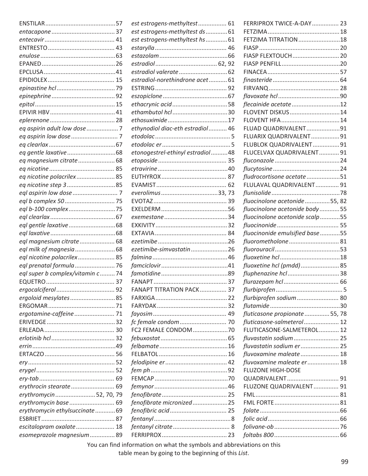|                                   | est estrogens-methyltest 61      | FERRIPROX TWICE-A-DAY 23        |  |
|-----------------------------------|----------------------------------|---------------------------------|--|
|                                   | est estrogens-methyltest ds  61  |                                 |  |
|                                   | est estrogens-methyltest hs 61   | <b>FETZIMA TITRATION</b> 18     |  |
|                                   |                                  |                                 |  |
|                                   |                                  | FIASP FLEXTOUCH  20             |  |
|                                   |                                  |                                 |  |
|                                   |                                  |                                 |  |
|                                   | estradiol-norethindrone acet 61  |                                 |  |
|                                   |                                  |                                 |  |
|                                   |                                  |                                 |  |
|                                   | ethacrynic acid58                | flecainide acetate12            |  |
|                                   |                                  | FLOVENT DISKUS14                |  |
|                                   |                                  |                                 |  |
|                                   | ethynodiol diac-eth estradiol 46 | FLUAD QUADRIVALENT91            |  |
|                                   |                                  | FLUARIX QUADRIVALENT 91         |  |
|                                   |                                  | FLUBLOK QUADRIVALENT 91         |  |
|                                   | etonogestrel-ethinyl estradiol48 | FLUCELVAX QUADRIVALENT 91       |  |
| eq magnesium citrate 68           |                                  |                                 |  |
|                                   |                                  |                                 |  |
| eq nicotine polacrilex 85         |                                  | fludrocortisone acetate51       |  |
| eq nicotine step 385              |                                  | FLULAVAL QUADRIVALENT 91        |  |
|                                   |                                  |                                 |  |
|                                   |                                  | fluocinolone acetonide55, 82    |  |
|                                   |                                  | fluocinolone acetonide body55   |  |
|                                   |                                  | fluocinolone acetonide scalp 55 |  |
|                                   |                                  |                                 |  |
|                                   |                                  | fluocinonide emulsified base55  |  |
| eql magnesium citrate 68          |                                  | fluorometholone 81              |  |
|                                   | ezetimibe-simvastatin26          |                                 |  |
| eql nicotine polacrilex 85        |                                  |                                 |  |
| eql prenatal formula  76          |                                  | fluoxetine hcl (pmdd) 85        |  |
| eql super b complex/vitamin c  74 |                                  | fluphenazine hcl38              |  |
|                                   |                                  |                                 |  |
|                                   | FANAPT TITRATION PACK 37         |                                 |  |
| ergoloid mesylates85              |                                  | flurbiprofen sodium 80          |  |
|                                   |                                  |                                 |  |
| ergotamine-caffeine 71            |                                  | fluticasone propionate  55, 78  |  |
|                                   |                                  | fluticasone-salmeterol 12       |  |
|                                   | FC2 FEMALE CONDOM 70             | FLUTICASONE-SALMETEROL 12       |  |
|                                   |                                  | fluvastatin sodium 25           |  |
|                                   |                                  | fluvastatin sodium er 25        |  |
|                                   |                                  | fluvoxamine maleate 18          |  |
|                                   |                                  | fluvoxamine maleate er 18       |  |
|                                   |                                  | <b>FLUZONE HIGH-DOSE</b>        |  |
|                                   |                                  |                                 |  |
|                                   |                                  | FLUZONE QUADRIVALENT 91         |  |
|                                   |                                  |                                 |  |
| erythromycin52, 70, 79            |                                  |                                 |  |
| erythromycin base 69              | fenofibrate micronized25         |                                 |  |
| erythromycin ethylsuccinate 69    |                                  |                                 |  |
|                                   |                                  |                                 |  |
| escitalopram oxalate 18           |                                  |                                 |  |
| esomeprazole magnesium  89        |                                  |                                 |  |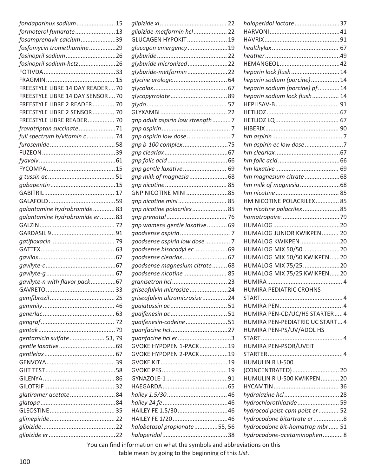| glipizide-metformin hcl  22<br>formoterol fumarate13<br>fosamprenavir calcium39<br>GLUCAGEN HYPOKIT 19<br>fosfomycin tromethamine29<br>glucagon emergency19<br>fosinopril sodium26<br>glyburide micronized22<br>fosinopril sodium-hctz26<br>heparin lock flush  14<br>glyburide-metformin22<br>heparin sodium (porcine) 14<br>FREESTYLE LIBRE 14 DAY READER70<br>heparin sodium (porcine) pf14<br>FREESTYLE LIBRE 14 DAY SENSOR70<br>heparin sodium lock flush  14<br>FREESTYLE LIBRE 2 READER 70<br>FREESTYLE LIBRE 2 SENSOR  70<br>gnp adult aspirin low strength 7<br>FREESTYLE LIBRE READER 70<br>frovatriptan succinate71<br>full spectrum b/vitamin c74<br>hm aspirin ec low dose 7<br>gnp b-100 complex75<br>gnp gentle laxative 69<br>HM NICOTINE POLACRILEX 85<br>gnp nicotine mini 85<br>galantamine hydrobromide 83<br>hm nicotine polacrilex85<br>gnp nicotine polacrilex85<br>galantamine hydrobromide er 83<br>gnp womens gentle laxative  69<br>HUMALOG JUNIOR KWIKPEN  20<br>HUMALOG KWIKPEN20<br>goodsense aspirin low dose  7<br>HUMALOG MIX 50/5020<br>goodsense bisacodyl ec69<br>HUMALOG MIX 50/50 KWIKPEN 20<br>goodsense magnesium citrate 68<br>HUMALOG MIX 75/25 20<br>goodsense nicotine 85<br>HUMALOG MIX 75/25 KWIKPEN 20<br>gavilyte-n with flavor pack67<br>griseofulvin microsize 24<br>HUMIRA PEDIATRIC CROHNS<br>griseofulvin ultramicrosize24<br>HUMIRA PEN-CD/UC/HS STARTER 4<br>guaifenesin-codeine51<br>HUMIRA PEN-PEDIATRIC UC START 4<br>HUMIRA PEN-PS/UV/ADOL HS<br>guanfacine hcl er3<br>gentamicin sulfate  53, 79<br>HUMIRA PEN-PSOR/UVEIT<br>GVOKE HYPOPEN 1-PACK19<br>GVOKE HYPOPEN 2-PACK19<br>HUMULIN R U-500<br>(CONCENTRATED) 20<br>HUMULIN R U-500 KWIKPEN 20<br>glatiramer acetate 84<br>hydrochlorothiazide 59<br>HAILEY FE 1.5/3046<br>hydrocod polst-cpm polst er  52<br>hydrocodone bitartrate er 8<br>halobetasol propionate 55, 56<br>hydrocodone bit-homatrop mbr  51<br>hydrocodone-acetaminophen8<br>Now you find information on what the complete also and abbreviations on this | fondaparinux sodium 15 |  | haloperidol lactate 37 |  |
|-----------------------------------------------------------------------------------------------------------------------------------------------------------------------------------------------------------------------------------------------------------------------------------------------------------------------------------------------------------------------------------------------------------------------------------------------------------------------------------------------------------------------------------------------------------------------------------------------------------------------------------------------------------------------------------------------------------------------------------------------------------------------------------------------------------------------------------------------------------------------------------------------------------------------------------------------------------------------------------------------------------------------------------------------------------------------------------------------------------------------------------------------------------------------------------------------------------------------------------------------------------------------------------------------------------------------------------------------------------------------------------------------------------------------------------------------------------------------------------------------------------------------------------------------------------------------------------------------------------------------------------------------------------------------------------------------------------------------------------------------------------------------------------------------------------------------------------------------------------------------------------------------------------------------------------------------------------------------------------------------------------------------------------------------|------------------------|--|------------------------|--|
|                                                                                                                                                                                                                                                                                                                                                                                                                                                                                                                                                                                                                                                                                                                                                                                                                                                                                                                                                                                                                                                                                                                                                                                                                                                                                                                                                                                                                                                                                                                                                                                                                                                                                                                                                                                                                                                                                                                                                                                                                                               |                        |  |                        |  |
|                                                                                                                                                                                                                                                                                                                                                                                                                                                                                                                                                                                                                                                                                                                                                                                                                                                                                                                                                                                                                                                                                                                                                                                                                                                                                                                                                                                                                                                                                                                                                                                                                                                                                                                                                                                                                                                                                                                                                                                                                                               |                        |  |                        |  |
|                                                                                                                                                                                                                                                                                                                                                                                                                                                                                                                                                                                                                                                                                                                                                                                                                                                                                                                                                                                                                                                                                                                                                                                                                                                                                                                                                                                                                                                                                                                                                                                                                                                                                                                                                                                                                                                                                                                                                                                                                                               |                        |  |                        |  |
|                                                                                                                                                                                                                                                                                                                                                                                                                                                                                                                                                                                                                                                                                                                                                                                                                                                                                                                                                                                                                                                                                                                                                                                                                                                                                                                                                                                                                                                                                                                                                                                                                                                                                                                                                                                                                                                                                                                                                                                                                                               |                        |  |                        |  |
|                                                                                                                                                                                                                                                                                                                                                                                                                                                                                                                                                                                                                                                                                                                                                                                                                                                                                                                                                                                                                                                                                                                                                                                                                                                                                                                                                                                                                                                                                                                                                                                                                                                                                                                                                                                                                                                                                                                                                                                                                                               |                        |  |                        |  |
|                                                                                                                                                                                                                                                                                                                                                                                                                                                                                                                                                                                                                                                                                                                                                                                                                                                                                                                                                                                                                                                                                                                                                                                                                                                                                                                                                                                                                                                                                                                                                                                                                                                                                                                                                                                                                                                                                                                                                                                                                                               |                        |  |                        |  |
|                                                                                                                                                                                                                                                                                                                                                                                                                                                                                                                                                                                                                                                                                                                                                                                                                                                                                                                                                                                                                                                                                                                                                                                                                                                                                                                                                                                                                                                                                                                                                                                                                                                                                                                                                                                                                                                                                                                                                                                                                                               |                        |  |                        |  |
|                                                                                                                                                                                                                                                                                                                                                                                                                                                                                                                                                                                                                                                                                                                                                                                                                                                                                                                                                                                                                                                                                                                                                                                                                                                                                                                                                                                                                                                                                                                                                                                                                                                                                                                                                                                                                                                                                                                                                                                                                                               |                        |  |                        |  |
|                                                                                                                                                                                                                                                                                                                                                                                                                                                                                                                                                                                                                                                                                                                                                                                                                                                                                                                                                                                                                                                                                                                                                                                                                                                                                                                                                                                                                                                                                                                                                                                                                                                                                                                                                                                                                                                                                                                                                                                                                                               |                        |  |                        |  |
|                                                                                                                                                                                                                                                                                                                                                                                                                                                                                                                                                                                                                                                                                                                                                                                                                                                                                                                                                                                                                                                                                                                                                                                                                                                                                                                                                                                                                                                                                                                                                                                                                                                                                                                                                                                                                                                                                                                                                                                                                                               |                        |  |                        |  |
|                                                                                                                                                                                                                                                                                                                                                                                                                                                                                                                                                                                                                                                                                                                                                                                                                                                                                                                                                                                                                                                                                                                                                                                                                                                                                                                                                                                                                                                                                                                                                                                                                                                                                                                                                                                                                                                                                                                                                                                                                                               |                        |  |                        |  |
|                                                                                                                                                                                                                                                                                                                                                                                                                                                                                                                                                                                                                                                                                                                                                                                                                                                                                                                                                                                                                                                                                                                                                                                                                                                                                                                                                                                                                                                                                                                                                                                                                                                                                                                                                                                                                                                                                                                                                                                                                                               |                        |  |                        |  |
|                                                                                                                                                                                                                                                                                                                                                                                                                                                                                                                                                                                                                                                                                                                                                                                                                                                                                                                                                                                                                                                                                                                                                                                                                                                                                                                                                                                                                                                                                                                                                                                                                                                                                                                                                                                                                                                                                                                                                                                                                                               |                        |  |                        |  |
|                                                                                                                                                                                                                                                                                                                                                                                                                                                                                                                                                                                                                                                                                                                                                                                                                                                                                                                                                                                                                                                                                                                                                                                                                                                                                                                                                                                                                                                                                                                                                                                                                                                                                                                                                                                                                                                                                                                                                                                                                                               |                        |  |                        |  |
|                                                                                                                                                                                                                                                                                                                                                                                                                                                                                                                                                                                                                                                                                                                                                                                                                                                                                                                                                                                                                                                                                                                                                                                                                                                                                                                                                                                                                                                                                                                                                                                                                                                                                                                                                                                                                                                                                                                                                                                                                                               |                        |  |                        |  |
|                                                                                                                                                                                                                                                                                                                                                                                                                                                                                                                                                                                                                                                                                                                                                                                                                                                                                                                                                                                                                                                                                                                                                                                                                                                                                                                                                                                                                                                                                                                                                                                                                                                                                                                                                                                                                                                                                                                                                                                                                                               |                        |  |                        |  |
|                                                                                                                                                                                                                                                                                                                                                                                                                                                                                                                                                                                                                                                                                                                                                                                                                                                                                                                                                                                                                                                                                                                                                                                                                                                                                                                                                                                                                                                                                                                                                                                                                                                                                                                                                                                                                                                                                                                                                                                                                                               |                        |  |                        |  |
|                                                                                                                                                                                                                                                                                                                                                                                                                                                                                                                                                                                                                                                                                                                                                                                                                                                                                                                                                                                                                                                                                                                                                                                                                                                                                                                                                                                                                                                                                                                                                                                                                                                                                                                                                                                                                                                                                                                                                                                                                                               |                        |  |                        |  |
|                                                                                                                                                                                                                                                                                                                                                                                                                                                                                                                                                                                                                                                                                                                                                                                                                                                                                                                                                                                                                                                                                                                                                                                                                                                                                                                                                                                                                                                                                                                                                                                                                                                                                                                                                                                                                                                                                                                                                                                                                                               |                        |  |                        |  |
|                                                                                                                                                                                                                                                                                                                                                                                                                                                                                                                                                                                                                                                                                                                                                                                                                                                                                                                                                                                                                                                                                                                                                                                                                                                                                                                                                                                                                                                                                                                                                                                                                                                                                                                                                                                                                                                                                                                                                                                                                                               |                        |  |                        |  |
|                                                                                                                                                                                                                                                                                                                                                                                                                                                                                                                                                                                                                                                                                                                                                                                                                                                                                                                                                                                                                                                                                                                                                                                                                                                                                                                                                                                                                                                                                                                                                                                                                                                                                                                                                                                                                                                                                                                                                                                                                                               |                        |  |                        |  |
|                                                                                                                                                                                                                                                                                                                                                                                                                                                                                                                                                                                                                                                                                                                                                                                                                                                                                                                                                                                                                                                                                                                                                                                                                                                                                                                                                                                                                                                                                                                                                                                                                                                                                                                                                                                                                                                                                                                                                                                                                                               |                        |  |                        |  |
|                                                                                                                                                                                                                                                                                                                                                                                                                                                                                                                                                                                                                                                                                                                                                                                                                                                                                                                                                                                                                                                                                                                                                                                                                                                                                                                                                                                                                                                                                                                                                                                                                                                                                                                                                                                                                                                                                                                                                                                                                                               |                        |  |                        |  |
|                                                                                                                                                                                                                                                                                                                                                                                                                                                                                                                                                                                                                                                                                                                                                                                                                                                                                                                                                                                                                                                                                                                                                                                                                                                                                                                                                                                                                                                                                                                                                                                                                                                                                                                                                                                                                                                                                                                                                                                                                                               |                        |  |                        |  |
|                                                                                                                                                                                                                                                                                                                                                                                                                                                                                                                                                                                                                                                                                                                                                                                                                                                                                                                                                                                                                                                                                                                                                                                                                                                                                                                                                                                                                                                                                                                                                                                                                                                                                                                                                                                                                                                                                                                                                                                                                                               |                        |  |                        |  |
|                                                                                                                                                                                                                                                                                                                                                                                                                                                                                                                                                                                                                                                                                                                                                                                                                                                                                                                                                                                                                                                                                                                                                                                                                                                                                                                                                                                                                                                                                                                                                                                                                                                                                                                                                                                                                                                                                                                                                                                                                                               |                        |  |                        |  |
|                                                                                                                                                                                                                                                                                                                                                                                                                                                                                                                                                                                                                                                                                                                                                                                                                                                                                                                                                                                                                                                                                                                                                                                                                                                                                                                                                                                                                                                                                                                                                                                                                                                                                                                                                                                                                                                                                                                                                                                                                                               |                        |  |                        |  |
|                                                                                                                                                                                                                                                                                                                                                                                                                                                                                                                                                                                                                                                                                                                                                                                                                                                                                                                                                                                                                                                                                                                                                                                                                                                                                                                                                                                                                                                                                                                                                                                                                                                                                                                                                                                                                                                                                                                                                                                                                                               |                        |  |                        |  |
|                                                                                                                                                                                                                                                                                                                                                                                                                                                                                                                                                                                                                                                                                                                                                                                                                                                                                                                                                                                                                                                                                                                                                                                                                                                                                                                                                                                                                                                                                                                                                                                                                                                                                                                                                                                                                                                                                                                                                                                                                                               |                        |  |                        |  |
|                                                                                                                                                                                                                                                                                                                                                                                                                                                                                                                                                                                                                                                                                                                                                                                                                                                                                                                                                                                                                                                                                                                                                                                                                                                                                                                                                                                                                                                                                                                                                                                                                                                                                                                                                                                                                                                                                                                                                                                                                                               |                        |  |                        |  |
|                                                                                                                                                                                                                                                                                                                                                                                                                                                                                                                                                                                                                                                                                                                                                                                                                                                                                                                                                                                                                                                                                                                                                                                                                                                                                                                                                                                                                                                                                                                                                                                                                                                                                                                                                                                                                                                                                                                                                                                                                                               |                        |  |                        |  |
|                                                                                                                                                                                                                                                                                                                                                                                                                                                                                                                                                                                                                                                                                                                                                                                                                                                                                                                                                                                                                                                                                                                                                                                                                                                                                                                                                                                                                                                                                                                                                                                                                                                                                                                                                                                                                                                                                                                                                                                                                                               |                        |  |                        |  |
|                                                                                                                                                                                                                                                                                                                                                                                                                                                                                                                                                                                                                                                                                                                                                                                                                                                                                                                                                                                                                                                                                                                                                                                                                                                                                                                                                                                                                                                                                                                                                                                                                                                                                                                                                                                                                                                                                                                                                                                                                                               |                        |  |                        |  |
|                                                                                                                                                                                                                                                                                                                                                                                                                                                                                                                                                                                                                                                                                                                                                                                                                                                                                                                                                                                                                                                                                                                                                                                                                                                                                                                                                                                                                                                                                                                                                                                                                                                                                                                                                                                                                                                                                                                                                                                                                                               |                        |  |                        |  |
|                                                                                                                                                                                                                                                                                                                                                                                                                                                                                                                                                                                                                                                                                                                                                                                                                                                                                                                                                                                                                                                                                                                                                                                                                                                                                                                                                                                                                                                                                                                                                                                                                                                                                                                                                                                                                                                                                                                                                                                                                                               |                        |  |                        |  |
|                                                                                                                                                                                                                                                                                                                                                                                                                                                                                                                                                                                                                                                                                                                                                                                                                                                                                                                                                                                                                                                                                                                                                                                                                                                                                                                                                                                                                                                                                                                                                                                                                                                                                                                                                                                                                                                                                                                                                                                                                                               |                        |  |                        |  |
|                                                                                                                                                                                                                                                                                                                                                                                                                                                                                                                                                                                                                                                                                                                                                                                                                                                                                                                                                                                                                                                                                                                                                                                                                                                                                                                                                                                                                                                                                                                                                                                                                                                                                                                                                                                                                                                                                                                                                                                                                                               |                        |  |                        |  |
|                                                                                                                                                                                                                                                                                                                                                                                                                                                                                                                                                                                                                                                                                                                                                                                                                                                                                                                                                                                                                                                                                                                                                                                                                                                                                                                                                                                                                                                                                                                                                                                                                                                                                                                                                                                                                                                                                                                                                                                                                                               |                        |  |                        |  |
|                                                                                                                                                                                                                                                                                                                                                                                                                                                                                                                                                                                                                                                                                                                                                                                                                                                                                                                                                                                                                                                                                                                                                                                                                                                                                                                                                                                                                                                                                                                                                                                                                                                                                                                                                                                                                                                                                                                                                                                                                                               |                        |  |                        |  |
|                                                                                                                                                                                                                                                                                                                                                                                                                                                                                                                                                                                                                                                                                                                                                                                                                                                                                                                                                                                                                                                                                                                                                                                                                                                                                                                                                                                                                                                                                                                                                                                                                                                                                                                                                                                                                                                                                                                                                                                                                                               |                        |  |                        |  |
|                                                                                                                                                                                                                                                                                                                                                                                                                                                                                                                                                                                                                                                                                                                                                                                                                                                                                                                                                                                                                                                                                                                                                                                                                                                                                                                                                                                                                                                                                                                                                                                                                                                                                                                                                                                                                                                                                                                                                                                                                                               |                        |  |                        |  |
|                                                                                                                                                                                                                                                                                                                                                                                                                                                                                                                                                                                                                                                                                                                                                                                                                                                                                                                                                                                                                                                                                                                                                                                                                                                                                                                                                                                                                                                                                                                                                                                                                                                                                                                                                                                                                                                                                                                                                                                                                                               |                        |  |                        |  |
|                                                                                                                                                                                                                                                                                                                                                                                                                                                                                                                                                                                                                                                                                                                                                                                                                                                                                                                                                                                                                                                                                                                                                                                                                                                                                                                                                                                                                                                                                                                                                                                                                                                                                                                                                                                                                                                                                                                                                                                                                                               |                        |  |                        |  |
|                                                                                                                                                                                                                                                                                                                                                                                                                                                                                                                                                                                                                                                                                                                                                                                                                                                                                                                                                                                                                                                                                                                                                                                                                                                                                                                                                                                                                                                                                                                                                                                                                                                                                                                                                                                                                                                                                                                                                                                                                                               |                        |  |                        |  |
|                                                                                                                                                                                                                                                                                                                                                                                                                                                                                                                                                                                                                                                                                                                                                                                                                                                                                                                                                                                                                                                                                                                                                                                                                                                                                                                                                                                                                                                                                                                                                                                                                                                                                                                                                                                                                                                                                                                                                                                                                                               |                        |  |                        |  |
|                                                                                                                                                                                                                                                                                                                                                                                                                                                                                                                                                                                                                                                                                                                                                                                                                                                                                                                                                                                                                                                                                                                                                                                                                                                                                                                                                                                                                                                                                                                                                                                                                                                                                                                                                                                                                                                                                                                                                                                                                                               |                        |  |                        |  |
|                                                                                                                                                                                                                                                                                                                                                                                                                                                                                                                                                                                                                                                                                                                                                                                                                                                                                                                                                                                                                                                                                                                                                                                                                                                                                                                                                                                                                                                                                                                                                                                                                                                                                                                                                                                                                                                                                                                                                                                                                                               |                        |  |                        |  |
|                                                                                                                                                                                                                                                                                                                                                                                                                                                                                                                                                                                                                                                                                                                                                                                                                                                                                                                                                                                                                                                                                                                                                                                                                                                                                                                                                                                                                                                                                                                                                                                                                                                                                                                                                                                                                                                                                                                                                                                                                                               |                        |  |                        |  |
|                                                                                                                                                                                                                                                                                                                                                                                                                                                                                                                                                                                                                                                                                                                                                                                                                                                                                                                                                                                                                                                                                                                                                                                                                                                                                                                                                                                                                                                                                                                                                                                                                                                                                                                                                                                                                                                                                                                                                                                                                                               |                        |  |                        |  |
|                                                                                                                                                                                                                                                                                                                                                                                                                                                                                                                                                                                                                                                                                                                                                                                                                                                                                                                                                                                                                                                                                                                                                                                                                                                                                                                                                                                                                                                                                                                                                                                                                                                                                                                                                                                                                                                                                                                                                                                                                                               |                        |  |                        |  |
|                                                                                                                                                                                                                                                                                                                                                                                                                                                                                                                                                                                                                                                                                                                                                                                                                                                                                                                                                                                                                                                                                                                                                                                                                                                                                                                                                                                                                                                                                                                                                                                                                                                                                                                                                                                                                                                                                                                                                                                                                                               |                        |  |                        |  |
|                                                                                                                                                                                                                                                                                                                                                                                                                                                                                                                                                                                                                                                                                                                                                                                                                                                                                                                                                                                                                                                                                                                                                                                                                                                                                                                                                                                                                                                                                                                                                                                                                                                                                                                                                                                                                                                                                                                                                                                                                                               |                        |  |                        |  |
|                                                                                                                                                                                                                                                                                                                                                                                                                                                                                                                                                                                                                                                                                                                                                                                                                                                                                                                                                                                                                                                                                                                                                                                                                                                                                                                                                                                                                                                                                                                                                                                                                                                                                                                                                                                                                                                                                                                                                                                                                                               |                        |  |                        |  |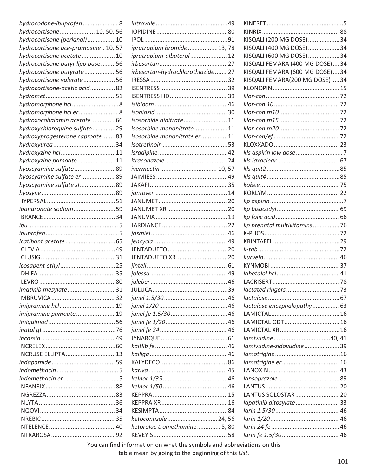| hydrocodone-ibuprofen 8              |                                   |     |                                 |  |
|--------------------------------------|-----------------------------------|-----|---------------------------------|--|
| hydrocortisone  10, 50, 56           |                                   |     |                                 |  |
| hydrocortisone (perianal)10          |                                   |     | KISQALI (200 MG DOSE)34         |  |
| hydrocortisone ace-pramoxine  10, 57 | ipratropium bromide13, 78         |     | KISQALI (400 MG DOSE) 34        |  |
| hydrocortisone acetate 10            | ipratropium-albuterol 12          |     | KISQALI (600 MG DOSE)34         |  |
| hydrocortisone butyr lipo base  56   |                                   | .27 | KISQALI FEMARA (400 MG DOSE)34  |  |
| hydrocortisone butyrate 56           | irbesartan-hydrochlorothiazide 27 |     | KISQALI FEMARA (600 MG DOSE) 34 |  |
| hydrocortisone valerate56            |                                   |     | KISQALI FEMARA(200 MG DOSE)34   |  |
| hydrocortisone-acetic acid82         |                                   |     |                                 |  |
|                                      |                                   |     |                                 |  |
| hydromorphone hcl8                   |                                   |     |                                 |  |
| hydromorphone hcl er8                |                                   |     |                                 |  |
| hydroxocobalamin acetate 66          | isosorbide dinitrate 11           |     |                                 |  |
| hydroxychloroquine sulfate29         | isosorbide mononitrate11          |     |                                 |  |
| hydroxyprogesterone caproate83       | isosorbide mononitrate er 11      |     |                                 |  |
|                                      |                                   |     |                                 |  |
| hydroxyzine hcl 11                   |                                   |     |                                 |  |
| hydroxyzine pamoate11                |                                   |     |                                 |  |
| hyoscyamine sulfate 89               | ivermectin 10, 57                 |     |                                 |  |
| hyoscyamine sulfate er 89            |                                   |     |                                 |  |
| hyoscyamine sulfate sl 89            |                                   |     |                                 |  |
|                                      |                                   |     |                                 |  |
|                                      |                                   |     |                                 |  |
| ibandronate sodium59                 |                                   |     |                                 |  |
|                                      |                                   |     |                                 |  |
|                                      |                                   |     | kp prenatal multivitamins76     |  |
|                                      |                                   |     |                                 |  |
|                                      |                                   |     |                                 |  |
|                                      |                                   |     |                                 |  |
| 31                                   | JENTADUETO XR20                   |     |                                 |  |
|                                      |                                   |     |                                 |  |
|                                      |                                   |     |                                 |  |
|                                      |                                   |     |                                 |  |
| imatinib mesylate 31                 |                                   |     |                                 |  |
|                                      |                                   |     |                                 |  |
|                                      |                                   |     | lactulose encephalopathy  63    |  |
| imipramine pamoate 19                |                                   |     |                                 |  |
|                                      |                                   |     | LAMICTAL ODT 16                 |  |
|                                      |                                   |     |                                 |  |
|                                      |                                   |     |                                 |  |
|                                      |                                   |     | lamivudine-zidovudine39         |  |
| INCRUSE ELLIPTA13                    |                                   |     |                                 |  |
|                                      |                                   |     |                                 |  |
|                                      |                                   |     |                                 |  |
|                                      |                                   |     |                                 |  |
|                                      |                                   |     |                                 |  |
|                                      |                                   |     | LANTUS SOLOSTAR 20              |  |
|                                      |                                   |     | lapatinib ditosylate 33         |  |
|                                      |                                   |     |                                 |  |
|                                      | ketoconazole  24, 56              |     |                                 |  |
|                                      | ketorolac tromethamine 5, 80      |     |                                 |  |
|                                      |                                   |     |                                 |  |
|                                      |                                   |     |                                 |  |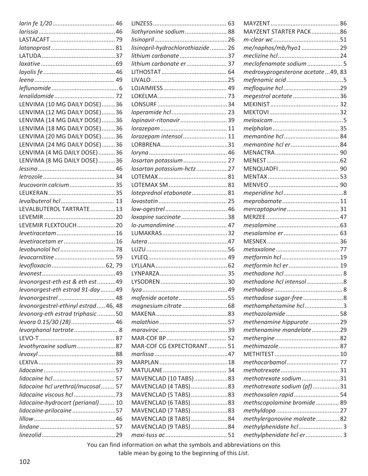|                                      | liothyronine sodium 88             | MAYZENT STARTER PACK86            |  |
|--------------------------------------|------------------------------------|-----------------------------------|--|
|                                      |                                    |                                   |  |
|                                      | lisinopril-hydrochlorothiazide  26 | me/naphos/mb/hyo129               |  |
|                                      | lithium carbonate37                |                                   |  |
|                                      | lithium carbonate er 37            | meclofenamate sodium 5            |  |
|                                      |                                    | medroxyprogesterone acetate49, 83 |  |
|                                      |                                    |                                   |  |
|                                      |                                    |                                   |  |
|                                      |                                    | megestrol acetate36               |  |
| LENVIMA (10 MG DAILY DOSE)36         |                                    |                                   |  |
| LENVIMA (12 MG DAILY DOSE)36         |                                    |                                   |  |
| LENVIMA (14 MG DAILY DOSE)36         | lopinavir-ritonavir 39             |                                   |  |
| LENVIMA (18 MG DAILY DOSE)36         |                                    |                                   |  |
| LENVIMA (20 MG DAILY DOSE)36         | lorazepam intensol 11              |                                   |  |
| LENVIMA (24 MG DAILY DOSE)36         |                                    |                                   |  |
| LENVIMA (4 MG DAILY DOSE)36          |                                    |                                   |  |
| LENVIMA (8 MG DAILY DOSE)36          | losartan potassium  27             |                                   |  |
|                                      | losartan potassium-hctz27          |                                   |  |
|                                      |                                    |                                   |  |
| leucovorin calcium 35                |                                    |                                   |  |
|                                      | loteprednol etabonate 81           |                                   |  |
|                                      |                                    |                                   |  |
| LEVALBUTEROL TARTRATE13              |                                    | mercaptopurine 31                 |  |
|                                      | loxapine succinate38               |                                   |  |
| LEVEMIR FLEXTOUCH20                  |                                    |                                   |  |
|                                      |                                    |                                   |  |
| levetiracetam er16                   |                                    |                                   |  |
|                                      |                                    |                                   |  |
|                                      |                                    |                                   |  |
|                                      |                                    | metformin hcl er  19              |  |
|                                      |                                    |                                   |  |
| levonorgest-eth est & eth est49      |                                    | methadone hcl intensol8           |  |
| levonorgest-eth estrad 91-day 49     |                                    |                                   |  |
|                                      | mafenide acetate55                 | methadose sugar-free8             |  |
| levonorgestrel-ethinyl estrad 46, 48 |                                    | methamphetamine hcl 3             |  |
| levonorg-eth estrad triphasic50      |                                    | methazolamide 58                  |  |
| levora 0.15/30 (28) 46               |                                    | methenamine hippurate 29          |  |
| levorphanol tartrate 8               |                                    | methenamine mandelate29           |  |
|                                      |                                    |                                   |  |
| levothyroxine sodium87               | MAR-COF CG EXPECTORANT 51          |                                   |  |
|                                      |                                    |                                   |  |
|                                      |                                    |                                   |  |
|                                      |                                    |                                   |  |
|                                      | MAVENCLAD (10 TABS)83              | methotrexate sodium31             |  |
| lidocaine hcl urethral/mucosal 57    | MAVENCLAD (4 TABS)83               | methotrexate sodium (pf)31        |  |
|                                      | MAVENCLAD (5 TABS)83               | methoxsalen rapid 54              |  |
| lidocaine-hydrocort (perianal) 10    | MAVENCLAD (6 TABS)83               | methscopolamine bromide 89        |  |
| lidocaine-prilocaine57               | MAVENCLAD (7 TABS)83               |                                   |  |
|                                      | MAVENCLAD (8 TABS)84               | methylergonovine maleate82        |  |
|                                      | MAVENCLAD (9 TABS)84               | methylphenidate hcl  3            |  |
|                                      |                                    | methylphenidate hcl er  3         |  |
|                                      |                                    |                                   |  |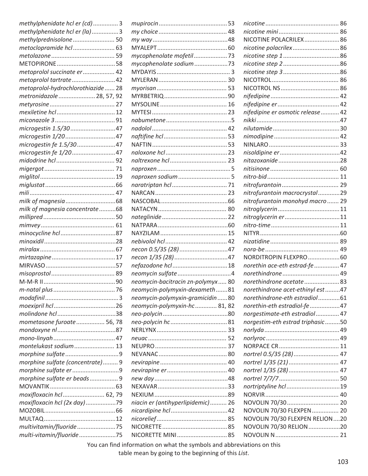| methylphenidate hcl er (cd)3       |
|------------------------------------|
| methylphenidate hcl er (la)3       |
| methylprednisolone 50              |
| metoclopramide hcl 63              |
|                                    |
|                                    |
| metoprolol succinate er  42        |
| metoprolol tartrate 42             |
| metoprolol-hydrochlorothiazide  28 |
| metronidazole  28, 57, 92          |
|                                    |
|                                    |
|                                    |
| microgestin 1.5/3047               |
| microgestin 1/2047                 |
| microgestin fe 1.5/3047            |
| microgestin fe 1/2047              |
|                                    |
|                                    |
|                                    |
|                                    |
|                                    |
|                                    |
| milk of magnesia concentrate68     |
|                                    |
|                                    |
|                                    |
|                                    |
|                                    |
|                                    |
|                                    |
|                                    |
|                                    |
|                                    |
|                                    |
|                                    |
|                                    |
| mometasone furoate  56, 78         |
|                                    |
|                                    |
| montelukast sodium 13              |
|                                    |
| morphine sulfate (concentrate) 9   |
| morphine sulfate er9               |
| morphine sulfate er beads 9        |
|                                    |
| moxifloxacin hcl  62, 79           |
| moxifloxacin hcl (2x day)79        |
|                                    |
|                                    |
| multivitamin/fluoride75            |
| multi-vitamin/fluoride75           |
|                                    |

| mycophenolate mofetil73           |  |
|-----------------------------------|--|
| mycophenolate sodium73            |  |
|                                   |  |
|                                   |  |
|                                   |  |
|                                   |  |
|                                   |  |
|                                   |  |
|                                   |  |
|                                   |  |
|                                   |  |
|                                   |  |
|                                   |  |
|                                   |  |
|                                   |  |
|                                   |  |
|                                   |  |
|                                   |  |
|                                   |  |
|                                   |  |
|                                   |  |
|                                   |  |
|                                   |  |
|                                   |  |
| necon 0.5/35 (28)47               |  |
|                                   |  |
|                                   |  |
| neomycin sulfate 4                |  |
| neomycin-bacitracin zn-polymyx 80 |  |
| neomycin-polymyxin-dexameth81     |  |
| neomycin-polymyxin-gramicidin 80  |  |
| neomycin-polymyxin-hc 81, 82      |  |
|                                   |  |
|                                   |  |
|                                   |  |
|                                   |  |
|                                   |  |
|                                   |  |
|                                   |  |
|                                   |  |
|                                   |  |
|                                   |  |
|                                   |  |
| niacin er (antihyperlipidemic) 26 |  |
|                                   |  |
|                                   |  |
|                                   |  |
|                                   |  |

| NICOTINE POLACRILEX86             |  |
|-----------------------------------|--|
| nicotine polacrilex86             |  |
|                                   |  |
|                                   |  |
|                                   |  |
|                                   |  |
|                                   |  |
|                                   |  |
|                                   |  |
| nifedipine er osmotic release  42 |  |
|                                   |  |
|                                   |  |
|                                   |  |
|                                   |  |
|                                   |  |
|                                   |  |
|                                   |  |
|                                   |  |
|                                   |  |
| nitrofurantoin macrocrystal29     |  |
| nitrofurantoin monohyd macro  29  |  |
|                                   |  |
| nitroglycerin er11                |  |
|                                   |  |
|                                   |  |
|                                   |  |
|                                   |  |
| NORDITROPIN FLEXPRO  60           |  |
| norethin ace-eth estrad-fe  47    |  |
|                                   |  |
| norethindrone acetate 83          |  |
| norethindrone acet-ethinyl est47  |  |
| norethindrone-eth estradiol61     |  |
| norethin-eth estradiol-fe 47      |  |
| norgestimate-eth estradiol 47     |  |
| norgestim-eth estrad triphasic50  |  |
|                                   |  |
|                                   |  |
|                                   |  |
| nortrel 0.5/35 (28) 47            |  |
| nortrel 1/35 (21)  47             |  |
| nortrel 1/35 (28)  47             |  |
|                                   |  |
| nortriptyline hcl 19              |  |
|                                   |  |
|                                   |  |
| NOVOLIN 70/30 FLEXPEN  20         |  |
| NOVOLIN 70/30 FLEXPEN RELION 20   |  |
| NOVOLIN 70/30 RELION 20           |  |
|                                   |  |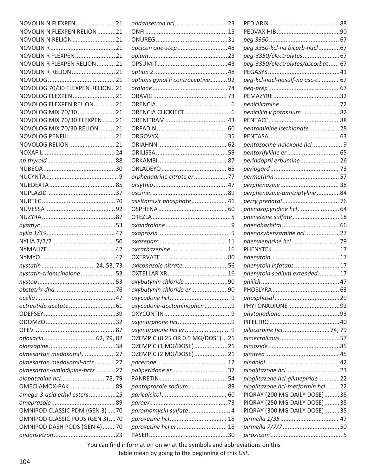| NOVOLIN N FLEXPEN 21           |
|--------------------------------|
| NOVOLIN N FLEXPEN RELION21     |
| NOVOLIN N RELION 21            |
|                                |
| NOVOLIN R FLEXPEN 21           |
| NOVOLIN R FLEXPEN RELION 21    |
| NOVOLIN R RELION  21           |
|                                |
| NOVOLOG 70/30 FLEXPEN RELION21 |
| NOVOLOG FLEXPEN  21            |
| NOVOLOG FLEXPEN RELION  21     |
| NOVOLOG MIX 70/30 21           |
|                                |
| NOVOLOG MIX 70/30 FLEXPEN 21   |
| NOVOLOG MIX 70/30 RELION 21    |
| NOVOLOG PENFILL21              |
| NOVOLOG RELION 21              |
|                                |
|                                |
|                                |
|                                |
|                                |
|                                |
|                                |
|                                |
|                                |
|                                |
|                                |
|                                |
|                                |
|                                |
| nystatin 24, 53, 73            |
| nystatin-triamcinolone53       |
|                                |
|                                |
|                                |
|                                |
|                                |
|                                |
|                                |
|                                |
| ofloxacin62, 79, 82            |
|                                |
| olmesartan medoxomil 27        |
| olmesartan medoxomil-hctz 27   |
| olmesartan-amlodipine-hctz27   |
| olopatadine hcl  78, 79        |
| OMECLAMOX-PAK 89               |
| omega-3-acid ethyl esters25    |
|                                |
| OMNIPOD CLASSIC PDM (GEN 3)70  |
| OMNIPOD CLASSIC PODS (GEN 3)70 |
| OMNIPOD DASH PODS (GEN 4) 70   |
|                                |
|                                |

| opcicon one-step 48               |  |
|-----------------------------------|--|
|                                   |  |
|                                   |  |
|                                   |  |
| options gynol ii contraceptive 92 |  |
|                                   |  |
|                                   |  |
|                                   |  |
|                                   |  |
|                                   |  |
|                                   |  |
|                                   |  |
|                                   |  |
|                                   |  |
|                                   |  |
|                                   |  |
| orphenadrine citrate er 77        |  |
|                                   |  |
|                                   |  |
| oseltamivir phosphate  41         |  |
|                                   |  |
|                                   |  |
|                                   |  |
|                                   |  |
|                                   |  |
| oxcarbazepine  16                 |  |
|                                   |  |
| oxiconazole nitrate  56           |  |
|                                   |  |
| oxybutynin chloride90             |  |
|                                   |  |
| oxybutynin chloride er 90         |  |
| oxycodone-acetaminophen9          |  |
|                                   |  |
|                                   |  |
|                                   |  |
|                                   |  |
| OZEMPIC (0.25 OR 0.5 MG/DOSE) 21  |  |
| OZEMPIC (1 MG/DOSE)21             |  |
| OZEMPIC (2 MG/DOSE)21             |  |
|                                   |  |
|                                   |  |
|                                   |  |
| pantoprazole sodium  89           |  |
|                                   |  |
|                                   |  |
| paromomycin sulfate  4            |  |
|                                   |  |
| paroxetine hcl er  18             |  |
|                                   |  |
|                                   |  |

| peg 3350-kcl-na bicarb-nacl67      |  |
|------------------------------------|--|
| peg-3350/electrolytes67            |  |
| peg-3350/electrolytes/ascorbat  67 |  |
|                                    |  |
| peg-kcl-nacl-nasulf-na asc-c 67    |  |
|                                    |  |
|                                    |  |
|                                    |  |
| penicillin v potassium 82          |  |
|                                    |  |
| pentamidine isethionate 28         |  |
|                                    |  |
| pentazocine-naloxone hcl 9         |  |
| pentoxifylline er  65              |  |
| perindopril erbumine 26            |  |
|                                    |  |
|                                    |  |
|                                    |  |
| perphenazine-amitriptyline84       |  |
|                                    |  |
| phenazopyridine hcl 64             |  |
| phenelzine sulfate 18              |  |
|                                    |  |
| phenoxybenzamine hcl27             |  |
|                                    |  |
|                                    |  |
|                                    |  |
| phenytoin infatabs 17              |  |
| phenytoin sodium extended17        |  |
|                                    |  |
|                                    |  |
|                                    |  |
| PHYTONADIONE92                     |  |
|                                    |  |
|                                    |  |
| pilocarpine hcl74, 79              |  |
|                                    |  |
|                                    |  |
|                                    |  |
|                                    |  |
|                                    |  |
| pioglitazone hcl-glimepiride22     |  |
| pioglitazone hcl-metformin hcl  22 |  |
| PIQRAY (200 MG DAILY DOSE)35       |  |
| PIQRAY (250 MG DAILY DOSE)  35     |  |
| PIQRAY (300 MG DAILY DOSE)35       |  |
|                                    |  |
|                                    |  |
|                                    |  |
|                                    |  |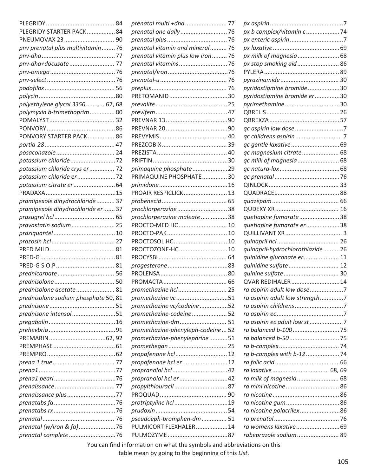| PLEGRIDY STARTER PACK84              |                                                                                | px b complex/vitamin c74        |  |
|--------------------------------------|--------------------------------------------------------------------------------|---------------------------------|--|
|                                      |                                                                                |                                 |  |
| pnv prenatal plus multivitamin  76   | prenatal vitamin and mineral 76                                                |                                 |  |
|                                      | prenatal vitamin plus low iron  76                                             | px milk of magnesia 68          |  |
|                                      |                                                                                | px stop smoking aid 86          |  |
|                                      |                                                                                |                                 |  |
|                                      |                                                                                |                                 |  |
|                                      |                                                                                | pyridostigmine bromide30        |  |
|                                      |                                                                                | pyridostigmine bromide er30     |  |
| polyethylene glycol 335067, 68       |                                                                                | pyrimethamine30                 |  |
| polymyxin b-trimethoprim 80          |                                                                                |                                 |  |
|                                      |                                                                                |                                 |  |
|                                      |                                                                                |                                 |  |
| PONVORY STARTER PACK 86              |                                                                                |                                 |  |
|                                      |                                                                                |                                 |  |
|                                      |                                                                                | qc magnesium citrate  68        |  |
| potassium chloride72                 |                                                                                | qc milk of magnesia 68          |  |
| potassium chloride crys er  72       | primaquine phosphate29                                                         |                                 |  |
| potassium chloride er 72             | PRIMAQUINE PHOSPHATE30                                                         |                                 |  |
|                                      |                                                                                |                                 |  |
|                                      | PROAIR RESPICLICK 13                                                           |                                 |  |
| pramipexole dihydrochloride  37      |                                                                                |                                 |  |
| pramipexole dihydrochloride er  37   | prochlorperazine38                                                             |                                 |  |
|                                      |                                                                                |                                 |  |
|                                      | prochlorperazine maleate38                                                     | quetiapine fumarate38           |  |
| pravastatin sodium 25                | PROCTO-MED HC 10                                                               | quetiapine fumarate er 38       |  |
|                                      |                                                                                |                                 |  |
|                                      | PROCTOSOL HC 10                                                                |                                 |  |
|                                      | PROCTOZONE-HC 10                                                               | quinapril-hydrochlorothiazide26 |  |
|                                      |                                                                                | quinidine gluconate er  11      |  |
|                                      |                                                                                | quinidine sulfate  12           |  |
|                                      |                                                                                |                                 |  |
|                                      |                                                                                | QVAR REDIHALER14                |  |
| prednisolone acetate  81             | promethazine hcl  25                                                           | ra aspirin adult low dose 7     |  |
| prednisolone sodium phosphate 50, 81 | promethazine vc51                                                              | ra aspirin adult low strength7  |  |
|                                      | promethazine vc/codeine 52                                                     |                                 |  |
| prednisone intensol51                | promethazine-codeine52                                                         |                                 |  |
|                                      | promethazine-dm  51                                                            | ra aspirin ec adult low st7     |  |
|                                      | promethazine-phenyleph-codeine 52                                              |                                 |  |
|                                      | promethazine-phenylephrine51                                                   |                                 |  |
|                                      |                                                                                |                                 |  |
|                                      | propafenone hcl  12                                                            | ra b-complex with b-1274        |  |
|                                      | propafenone hcl er12                                                           |                                 |  |
|                                      |                                                                                |                                 |  |
|                                      |                                                                                | ra milk of magnesia 68          |  |
|                                      |                                                                                |                                 |  |
| prenaissance plus77                  |                                                                                |                                 |  |
|                                      |                                                                                |                                 |  |
|                                      |                                                                                | ra nicotine polacrilex86        |  |
|                                      | pseudoeph-bromphen-dm  51                                                      |                                 |  |
| prenatal (w/iron & fa)76             | PULMICORT FLEXHALER14                                                          |                                 |  |
| prenatal complete 76                 |                                                                                | rabeprazole sodium  89          |  |
|                                      | More again, fixed information, on what the countries and abbreviations and his |                                 |  |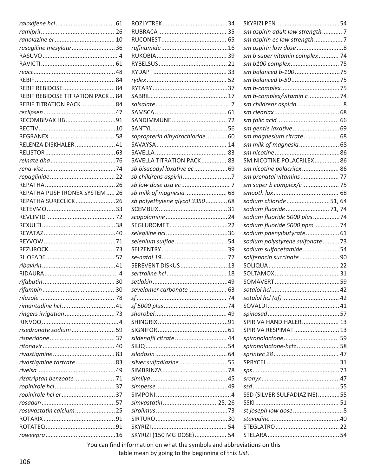|                                  |    |                                | sm aspirin adult low strength  7 |  |
|----------------------------------|----|--------------------------------|----------------------------------|--|
|                                  |    |                                | sm aspirin ec low strength  7    |  |
| rasagiline mesylate36            |    |                                | sm aspirin low dose 8            |  |
|                                  |    |                                | sm b super vitamin complex 74    |  |
|                                  |    |                                | sm b100 complex 75               |  |
|                                  |    |                                |                                  |  |
|                                  |    |                                |                                  |  |
|                                  |    |                                |                                  |  |
| REBIF REBIDOSE TITRATION PACK 84 |    |                                | sm b-complex/vitamin c74         |  |
| REBIF TITRATION PACK 84          |    |                                | sm childrens aspirin  8          |  |
|                                  |    |                                |                                  |  |
| RECOMBIVAX HB91                  |    |                                |                                  |  |
|                                  |    |                                |                                  |  |
|                                  |    |                                | sm gentle laxative  69           |  |
|                                  |    | sapropterin dihydrochloride60  | sm magnesium citrate  68         |  |
| RELENZA DISKHALER 41             |    |                                | sm milk of magnesia  68          |  |
|                                  |    |                                |                                  |  |
|                                  |    | SAVELLA TITRATION PACK 83      | SM NICOTINE POLACRILEX86         |  |
|                                  |    | sb bisacodyl laxative ec69     | sm nicotine polacrilex 86        |  |
|                                  |    |                                | sm prenatal vitamins 77          |  |
|                                  |    |                                | sm super b complex/c  75         |  |
| REPATHA PUSHTRONEX SYSTEM 26     |    | sb milk of magnesia 68         |                                  |  |
| REPATHA SURECLICK26              |    | sb polyethylene glycol 3350 68 | sodium chloride51, 64            |  |
|                                  |    |                                | sodium fluoride  71, 74          |  |
|                                  |    |                                | sodium fluoride 5000 plus 74     |  |
|                                  |    |                                | sodium fluoride 5000 ppm  74     |  |
|                                  |    |                                | sodium phenylbutyrate 61         |  |
|                                  |    | selenium sulfide 54            | sodium polystyrene sulfonate  73 |  |
|                                  |    |                                | sodium sulfacetamide54           |  |
|                                  |    |                                | solifenacin succinate  90        |  |
|                                  |    | SEREVENT DISKUS 13             |                                  |  |
|                                  |    |                                |                                  |  |
|                                  |    |                                |                                  |  |
|                                  |    | sevelamer carbonate 63         |                                  |  |
|                                  |    |                                |                                  |  |
|                                  |    |                                |                                  |  |
|                                  |    |                                |                                  |  |
|                                  |    |                                | SPIRIVA HANDIHALER 13            |  |
| risedronate sodium59             |    |                                | SPIRIVA RESPIMAT 13              |  |
|                                  |    | sildenafil citrate  44         |                                  |  |
|                                  |    |                                | spironolactone-hctz 58           |  |
|                                  |    |                                |                                  |  |
| rivastigmine tartrate83          |    | silver sulfadiazine 55         |                                  |  |
|                                  |    |                                |                                  |  |
|                                  |    |                                |                                  |  |
| rizatriptan benzoate 71          |    |                                |                                  |  |
|                                  | 37 |                                |                                  |  |
| ropinirole hcl er37              |    |                                | SSD (SILVER SULFADIAZINE)55      |  |
|                                  |    |                                |                                  |  |
| rosuvastatin calcium  25         |    |                                | st joseph low dose 8             |  |
|                                  |    |                                |                                  |  |
|                                  |    |                                |                                  |  |
|                                  |    | SKYRIZI (150 MG DOSE) 54       |                                  |  |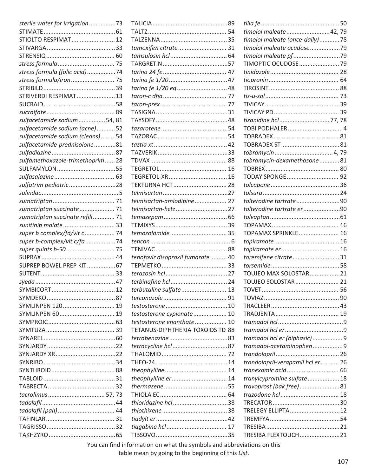| sterile water for irrigation 73   |                                   |  |
|-----------------------------------|-----------------------------------|--|
|                                   |                                   |  |
| STIOLTO RESPIMAT 12               |                                   |  |
|                                   | tamoxifen citrate 31              |  |
|                                   |                                   |  |
|                                   |                                   |  |
| stress formula (folic acid)74     |                                   |  |
| stress formula/iron  75           |                                   |  |
|                                   |                                   |  |
| STRIVERDI RESPIMAT 13             |                                   |  |
|                                   |                                   |  |
|                                   |                                   |  |
| sulfacetamide sodium54, 81        |                                   |  |
| sulfacetamide sodium (acne)52     |                                   |  |
| sulfacetamide sodium (cleans) 54  |                                   |  |
| sulfacetamide-prednisolone81      |                                   |  |
|                                   |                                   |  |
| sulfamethoxazole-trimethoprim  28 |                                   |  |
|                                   |                                   |  |
|                                   |                                   |  |
| sulfatrim pediatric28             | <b>TEKTURNA HCT 28</b>            |  |
|                                   |                                   |  |
|                                   | telmisartan-amlodipine 27         |  |
| sumatriptan succinate  71         | telmisartan-hctz27                |  |
| sumatriptan succinate refill 71   |                                   |  |
| sunitinib malate  33              |                                   |  |
| super b complex/fa/vit c  74      |                                   |  |
| super b-complex/vit c/fa 74       |                                   |  |
| super quints b-50 75              |                                   |  |
|                                   | tenofovir disoproxil fumarate  40 |  |
| SUPREP BOWEL PREP KIT 67          |                                   |  |
|                                   |                                   |  |
|                                   |                                   |  |
|                                   | terbutaline sulfate  13           |  |
|                                   |                                   |  |
| SYMLINPEN 120  19                 |                                   |  |
|                                   | testosterone cypionate 10         |  |
|                                   | testosterone enanthate 10         |  |
|                                   | TETANUS-DIPHTHERIA TOXOIDS TD 88  |  |
|                                   |                                   |  |
|                                   |                                   |  |
|                                   |                                   |  |
|                                   |                                   |  |
|                                   |                                   |  |
|                                   | theophylline er 14                |  |
|                                   |                                   |  |
|                                   |                                   |  |
|                                   | thioridazine hcl38                |  |
|                                   |                                   |  |
|                                   |                                   |  |
|                                   |                                   |  |
|                                   |                                   |  |
|                                   |                                   |  |

| timolol maleate 42, 79            |  |
|-----------------------------------|--|
| timolol maleate (once-daily)78    |  |
| timolol maleate ocudose 79        |  |
|                                   |  |
| TIMOPTIC OCUDOSE  79              |  |
|                                   |  |
|                                   |  |
|                                   |  |
|                                   |  |
|                                   |  |
|                                   |  |
| tizanidine hcl  77, 78            |  |
|                                   |  |
|                                   |  |
|                                   |  |
|                                   |  |
| tobramycin-dexamethasone81        |  |
|                                   |  |
|                                   |  |
|                                   |  |
|                                   |  |
| tolterodine tartrate90            |  |
| tolterodine tartrate er90         |  |
|                                   |  |
|                                   |  |
|                                   |  |
| TOPAMAX SPRINKLE 16               |  |
|                                   |  |
|                                   |  |
| toremifene citrate31              |  |
|                                   |  |
| TOUJEO MAX SOLOSTAR21             |  |
| TOUJEO SOLOSTAR 21                |  |
|                                   |  |
|                                   |  |
|                                   |  |
|                                   |  |
|                                   |  |
|                                   |  |
| tramadol hcl er (biphasic)9       |  |
| tramadol-acetaminophen9           |  |
|                                   |  |
| trandolapril-verapamil hcl er  26 |  |
| tranexamic acid 66                |  |
| tranylcypromine sulfate 18        |  |
| travoprost (bak free)81           |  |
|                                   |  |
|                                   |  |
| TRELEGY ELLIPTA12                 |  |
|                                   |  |
|                                   |  |
| TRESIBA FLEXTOUCH21               |  |
|                                   |  |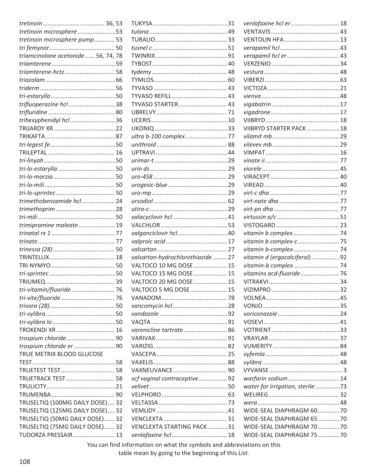| tretinoin microsphere53             |  |
|-------------------------------------|--|
| tretinoin microsphere pump 53       |  |
|                                     |  |
| triamcinolone acetonide  56, 74, 78 |  |
|                                     |  |
| triamterene-hctz  58                |  |
|                                     |  |
|                                     |  |
|                                     |  |
| trifluoperazine hcl  38             |  |
|                                     |  |
|                                     |  |
| trihexyphenidyl hcl  36             |  |
|                                     |  |
|                                     |  |
|                                     |  |
|                                     |  |
|                                     |  |
|                                     |  |
|                                     |  |
|                                     |  |
|                                     |  |
| trimethobenzamide hcl  24           |  |
|                                     |  |
|                                     |  |
| trimipramine maleate19              |  |
|                                     |  |
|                                     |  |
|                                     |  |
|                                     |  |
|                                     |  |
|                                     |  |
|                                     |  |
|                                     |  |
| tri-vitamin/fluoride  76            |  |
| tri-vite/fluoride 76                |  |
|                                     |  |
|                                     |  |
|                                     |  |
|                                     |  |
| trospium chloride 90                |  |
| trospium chloride er 90             |  |
| TRUE METRIX BLOOD GLUCOSE           |  |
|                                     |  |
|                                     |  |
| TRUETRACK TEST 58                   |  |
|                                     |  |
|                                     |  |
| TRUSELTIQ (100MG DAILY DOSE) 32     |  |
| TRUSELTIQ (125MG DAILY DOSE) 32     |  |
| TRUSELTIQ (50MG DAILY DOSE) 32      |  |
| TRUSELTIQ (75MG DAILY DOSE) 32      |  |
| TUDORZA PRESSAIR 13                 |  |
|                                     |  |

| TYVASO STARTER 43               |  |
|---------------------------------|--|
|                                 |  |
|                                 |  |
|                                 |  |
|                                 |  |
|                                 |  |
|                                 |  |
|                                 |  |
|                                 |  |
|                                 |  |
|                                 |  |
|                                 |  |
|                                 |  |
|                                 |  |
|                                 |  |
|                                 |  |
| valganciclovir hcl40            |  |
|                                 |  |
|                                 |  |
| valsartan-hydrochlorothiazide27 |  |
| VALTOCO 10 MG DOSE  15          |  |
| VALTOCO 15 MG DOSE  15          |  |
| VALTOCO 20 MG DOSE  15          |  |
| VALTOCO 5 MG DOSE  15           |  |
|                                 |  |
|                                 |  |
|                                 |  |
|                                 |  |
|                                 |  |
| varenicline tartrate 86         |  |
|                                 |  |
|                                 |  |
|                                 |  |
|                                 |  |
|                                 |  |
| vcf vaginal contraceptive  92   |  |
|                                 |  |
|                                 |  |
|                                 |  |
|                                 |  |
|                                 |  |
| VENCLEXTA STARTING PACK31       |  |
|                                 |  |

| venlafaxine hcl er 18           |  |
|---------------------------------|--|
|                                 |  |
| <b>VENTOLIN HFA 13</b>          |  |
|                                 |  |
| verapamil hcl er 43             |  |
|                                 |  |
|                                 |  |
|                                 |  |
|                                 |  |
|                                 |  |
|                                 |  |
|                                 |  |
|                                 |  |
| VIIBRYD STARTER PACK18          |  |
|                                 |  |
|                                 |  |
|                                 |  |
|                                 |  |
|                                 |  |
|                                 |  |
|                                 |  |
|                                 |  |
|                                 |  |
|                                 |  |
|                                 |  |
|                                 |  |
|                                 |  |
|                                 |  |
| vitamin b complex-c 75          |  |
| vitamin b-complex 74            |  |
| vitamin d (ergocalciferol)92    |  |
| vitamin-b complex 74            |  |
| vitamins acd-fluoride 76        |  |
|                                 |  |
|                                 |  |
|                                 |  |
|                                 |  |
|                                 |  |
|                                 |  |
|                                 |  |
|                                 |  |
|                                 |  |
|                                 |  |
|                                 |  |
|                                 |  |
| warfarin sodium14               |  |
| water for irrigation, sterile73 |  |
|                                 |  |
|                                 |  |
| WIDE-SEAL DIAPHRAGM 6070        |  |
| WIDE-SEAL DIAPHRAGM 65 70       |  |
|                                 |  |
| WIDE-SEAL DIAPHRAGM 7070        |  |
| WIDE-SEAL DIAPHRAGM 7570        |  |